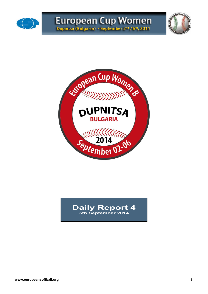





# **Daily Report 4 5th September 2014**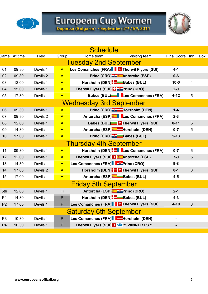

# European Cup Women<br>Dupnitsa (Bulgaria) - September 2nd / 6th, 2014

|                |                     |          |                | <b>Schedule</b>                                  |                    |                         |     |
|----------------|---------------------|----------|----------------|--------------------------------------------------|--------------------|-------------------------|-----|
|                | <b>Game</b> At time | Field    | Group          | Home team<br>Visiting team                       | <b>Final Score</b> | Inn                     | Box |
|                |                     |          |                | <b>Tuesday 2nd September</b>                     |                    |                         |     |
| 01             | 09:30               | Devils 1 | $\mathsf{A}$   | Les Comanches (FRA) <b>Therwil Flyers (SUI)</b>  | $4 - 1$            |                         |     |
| 02             | 09:30               | Devils 2 | $\mathsf{A}$   | Princ (CRO) <b>Antorcha</b> (ESP)                | $0-6$              |                         |     |
| 03             | 12:00               | Devils 1 | $\overline{A}$ | Horsholm (DEN) <b>B</b> Babes (BUL)              | $10 - 0$           | $\overline{\mathbf{4}}$ |     |
| 04             | 15:00               | Devils 1 | $\mathsf{A}$   | Therwil Flyers (SUI) <b>El Etercial</b> (CRO)    | $2-0$              |                         |     |
| 05             | 17:30               | Devils 1 | $\overline{A}$ | Babes (BUL)   Les Comanches (FRA)                | $4 - 12$           | 5                       |     |
|                |                     |          |                | <b>Wednesday 3rd September</b>                   |                    |                         |     |
| 06             | 09:30               | Devils 1 | $\overline{A}$ | Princ (CRO) <sup>-3</sup> -Horsholm (DEN)        | $1-4$              |                         |     |
| 07             | 09:30               | Devils 2 | $\overline{A}$ | Antorcha (ESP) Les Comanches (FRA)               | $2 - 3$            |                         |     |
| 08             | 12:00               | Devils 1 | $\mathsf{A}$   | Babes (BUL) <sup>1</sup> Therwil Flyers (SUI)    | $0 - 11$           | 5                       |     |
| 09             | 14:30               | Devils 1 | $\mathsf{A}$   | Antorcha (ESP) <sup>®</sup> FHorsholm (DEN)      | $0 - 7$            | 5                       |     |
| 10             | 17:00               | Devils 1 | $\mathsf{A}$   | Princ (CRO) <sup>-2</sup> -Babes (BUL)           | $5 - 13$           |                         |     |
|                |                     |          |                | <b>Thursday 4th September</b>                    |                    |                         |     |
| 11             | 09:30               | Devils 1 | $\overline{A}$ | Horsholm (DEN). Les Comanches (FRA)              | $0 - 7$            | 6                       |     |
| 12             | 12:00               | Devils 1 | $\mathsf{A}$   | Therwil Flyers (SUI) <b>El *</b> Antorcha (ESP)  | $7-0$              | 5                       |     |
| 13             | 14:30               | Devils 1 | $\mathsf{A}$   | Les Comanches (FRA) Fortinc (CRO)                | $9 - 8$            |                         |     |
| 14             | 17:00               | Devils 2 | $\mathsf{A}$   | Horsholm (DEN)- Therwil Flyers (SUI)             | $0 - 1$            | $\bf 8$                 |     |
| 15             | 17:00               | Devils 1 | $\mathsf{A}$   | Antorcha (ESP) Babes (BUL)                       | $4-5$              |                         |     |
|                |                     |          |                | <b>Friday 5th September</b>                      |                    |                         |     |
| 5th            | 12:00               | Devils 1 | Fi             | Antorcha (ESP) <b>Example 2</b> Princ (CRO)      | $2 - 1$            |                         |     |
| P <sub>1</sub> | 14:30               | Devils 1 | $\mathsf P$    | Horsholm (DEN). Babes (BUL)                      | $4 - 3$            |                         |     |
| P <sub>2</sub> | 17:00               | Devils 1 | $\mathsf{P}$   | Les Comanches (FRA)   Therwil Flyers (SUI)       | $4 - 10$           | 8                       |     |
|                |                     |          |                | <b>Saturday 6th September</b>                    |                    |                         |     |
| P <sub>3</sub> | 10:30               | Devils 1 | $\sf P$        | Les Comanches (FRA) Factor Horsholm (DEN)        |                    |                         |     |
| P <sub>4</sub> | 16:30               | Devils 1 | P              | Therwil Flyers (SUI) <b>Ex</b> ::: WINNER P3 ::: |                    |                         |     |
|                |                     |          |                |                                                  |                    |                         |     |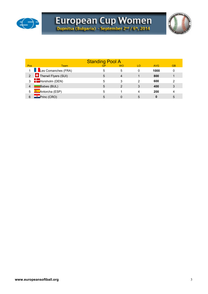



|            |                         | <b>Standing Pool A</b> |           |    |            |           |
|------------|-------------------------|------------------------|-----------|----|------------|-----------|
| <b>Pos</b> | <b>Team</b>             | <b>GP</b>              | <b>WO</b> | LO | <b>AVG</b> | <b>GB</b> |
|            | 1 Les Comanches (FRA)   | 5                      | 5         | 0  | 1000       | 0         |
|            | 2 Therwil Flyers (SUI)  | 5                      | 4         |    | 800        |           |
|            | $3 \t -$ Horsholm (DEN) | 5                      | 3         | 2  | 600        | 2         |
| 4          | Babes (BUL)             | 5                      | 2         | 3  | 400        | 3         |
| 5          | <b>K</b> Antorcha (ESP) | 5                      |           | Δ  | 200        | 4         |
|            | <b>Frinc</b> (CRO)      | 5                      |           | 5  |            | 5         |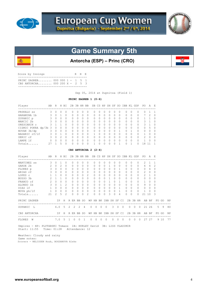

殲



# **Game Summary 5th**

**Antorcha (ESP) – Princ (CRO)**

| Score by Innings                                                       | R H E |  |
|------------------------------------------------------------------------|-------|--|
| PRINC ZAGREB 000 000 1 - 1 5 1<br>CBS ANTORCHA 000 200 $X - 2 = 5 = 3$ |       |  |
|                                                                        |       |  |

Sep 05, 2014 at Dupnitsa (Field 1)

### **PRINC ZAGREB 1 (0-6)**

| AB R H BI<br>Player                                                                     |                         |                     |                |                 |                |                            |                                                        |                |                | 2B 3B HR BB SB CS HP SH SF SO IBB KL GDP |                |                                             |              |                   |                |                |            |              |                | PO.                                 | AE           |             |       |    |
|-----------------------------------------------------------------------------------------|-------------------------|---------------------|----------------|-----------------|----------------|----------------------------|--------------------------------------------------------|----------------|----------------|------------------------------------------|----------------|---------------------------------------------|--------------|-------------------|----------------|----------------|------------|--------------|----------------|-------------------------------------|--------------|-------------|-------|----|
| PRSKALO ss                                                                              | $\mathbf{3}$            | $\circ$             | $\mathbf{0}$   | $\circ$         |                | 0                          | $\Omega$                                               | 0              | $\circ$        | $\circ$                                  | 0              | 0                                           | $\circ$      | $\circ$           | $\circ$        | 0              |            | $\Omega$     | $\circ$        | $\mathbf{0}$                        | 1            | -1          |       |    |
| HARAMINA 1b 3                                                                           |                         | $\circ$             | $\mathbf{1}$   | 0               |                | 0                          | $\Omega$                                               | 0              | 0              | 0                                        | 0              | 0                                           | 0            | $\Omega$          | $\Omega$       | 0              |            | $\Omega$     | 0              | $7\phantom{.0}$                     | 2            | $\mathbf 0$ |       |    |
| ZUPANIC p                                                                               | $\overline{\mathbf{3}}$ | $\mathbf{0}$        | $\mathbf{0}$   | $\circ$         |                | 0                          | $\circ$                                                | 0              | 0              | 0                                        | 0              | 0                                           | 0            | $\Omega$          | $\circ$        | 0              |            | $\Omega$     | 0              | $\mathbf{1}$                        | $\mathbf{1}$ | 0           |       |    |
| MANCIC 2b                                                                               | $\mathbf{3}$            | $0\quad 0$          |                | $\circ$         |                | 0                          | $\circ$                                                | $\circ$        | $\circ$        | $\mathbf{0}$                             | $\circ$        | 0                                           | 0            | $\Omega$          | $\circ$        | 0              |            | $\Omega$     | 0              | 3                                   | $\mathbf{1}$ | 0           |       |    |
| ORESCANIN c                                                                             | 3                       | 1                   | $\overline{1}$ | $\circ$         |                | $\circ$                    | $\Omega$                                               | $\Omega$       | $\circ$        | $\mathbf{0}$                             | $\Omega$       | $\Omega$                                    | $\Omega$     | $\Omega$          | $\Omega$       | $\Omega$       |            | $\Omega$     | 0              | 3                                   | $\mathbf{1}$ | $\Omega$    |       |    |
| CIZMIC POKRA dp/3b 3 0 0                                                                |                         |                     |                | $\Omega$        |                | $\circ$                    | $\Omega$                                               | $\Omega$       | $\circ$        | $\mathbf{0}$                             | $\Omega$       | $\Omega$                                    | $\Omega$     | $\Omega$          | $\Omega$       | $\Omega$       |            | $\Omega$     | $\circ$        | $\circ$                             | 5            | $\Omega$    |       |    |
|                                                                                         |                         |                     |                |                 |                | $\circ$                    | $\Omega$                                               | $\Omega$       | $\circ$        | 0                                        | $\Omega$       | $\Omega$                                    | $\Omega$     | $\Omega$          | $\mathbf{1}$   | $\circ$        |            | $\mathbf{1}$ | $\circ$        | $\mathbf{0}$                        | $\Omega$     | $\Omega$    |       |    |
|                                                                                         |                         |                     |                |                 |                | $0\quad 0$                 |                                                        | $\overline{0}$ | $\overline{0}$ | $\mathbf{1}$                             | $\circ$        | $\overline{0}$                              | $\circ$      | $\Omega$          | $\Omega$       | $\circ$        |            | $\Omega$     | 0              | $\mathbf{1}$                        | 0            | 0           |       |    |
|                                                                                         |                         |                     |                |                 |                | $0\quad 0$                 |                                                        |                | $0\quad 0$     | $\circ$                                  |                | $0\quad 0$                                  | $\circ$      |                   | $0\quad 0$     | $\circ$        |            | $\Omega$     | $\overline{0}$ | 2                                   | $\bigcirc$   | 0           |       |    |
| NOVAK 3b/dp<br>BAGARIC rf/lf<br>3 0 1 0<br>SERIC cf<br>1 3 0 2 0<br>DAMPE lf<br>0 0 0 0 |                         |                     |                |                 |                | $0 \quad 0$                |                                                        |                | $0\quad 0$     | $\circ$                                  |                | $\begin{array}{cccc} 0 & 0 & 0 \end{array}$ |              | $\Omega$          | $\bigcirc$     | $\overline{0}$ |            | $\Omega$     | $\Omega$       | $\mathbf{1}$                        | $\bigcirc$   | $\Omega$    |       |    |
| Totals $27 \t1$                                                                         |                         |                     | $\overline{5}$ | $\Omega$        |                | $\Omega$                   | $\Omega$                                               | $\Omega$       | $\Omega$       | $\mathbf{1}$                             | $\Omega$       | $\Omega$                                    | $\Omega$     | $\Omega$          | $\mathbf{1}$   | $\Omega$       |            | $\mathbf{1}$ | $\Omega$       | 18                                  | 11           | -1          |       |    |
|                                                                                         |                         |                     |                |                 |                |                            |                                                        |                |                | CBS ANTORCHA $2(2-4)$                    |                |                                             |              |                   |                |                |            |              |                |                                     |              |             |       |    |
| AB AB<br>Player<br>---------------------------------                                    |                         |                     |                | R H BI          |                |                            |                                                        |                |                | 2B 3B HR BB SB CS HP SH SF SO IBB KL GDP |                |                                             |              |                   |                |                |            |              |                | PO A E<br>------------------------- |              |             |       |    |
| $\overline{3}$ 0<br>MARTINEZ ss                                                         |                         |                     | $\mathbf{1}$   | $\circ$         |                | 0                          | 0                                                      | 0              | 0              | 0                                        | 0              | 0                                           | 0            | 0                 | 0              | 0              |            | 0            | 0              | 2                                   | 1            | 1           |       |    |
| $2\quad 0$<br>GARDE 2b                                                                  |                         |                     | 2              | $\Omega$        |                | $\Omega$                   | $\Omega$                                               | $\Omega$       | 0              | $\Omega$                                 | $\Omega$       | $\Omega$                                    | 1            | $\Omega$          | $\overline{0}$ | $\circ$        |            | $\Omega$     | 0              |                                     | $4\quad 4$   | 2           |       |    |
| FLORES p                                                                                | $3 -$                   | $0\quad 0$          |                | 0               |                | 0                          | 0                                                      | 0              | $\circ$        | 0                                        | 0              | $\overline{0}$                              | $\circ$      |                   | $0\quad1$      | $\circ$        |            | $\Omega$     | $\overline{0}$ |                                     | $0\quad 4$   | 0           |       |    |
| ARIAS rf                                                                                | $3 -$                   | $\Omega$            | $\Omega$       | $\circ$         |                | $\circ$                    | $\Omega$                                               | $\circ$        | $\overline{0}$ | $\mathbf{0}$                             | $\circ$        | $\circ$                                     | $\circ$      | $\Omega$          | $\mathbf{0}$   | $\circ$        |            | $\Omega$     | 0              | 2                                   | $\circ$      | $\mathbf 0$ |       |    |
| LOPEZ c                                                                                 | $\mathbf{1}$            | 1 0                 |                | $\Omega$        |                | $\circ$                    | $\Omega$                                               | $\circ$        | 2              | $\Omega$                                 | $\Omega$       | $\Omega$                                    | $\Omega$     | $\Omega$          | $\Omega$       | $\circ$        |            | $\Omega$     | $\circ$        | 2                                   | $\mathbf{1}$ | $\Omega$    |       |    |
| BUSSO 3b                                                                                |                         | $2 \quad 1 \quad 1$ |                | $\Omega$        |                | 0                          | $\Omega$                                               | $\Omega$       | $\bigcirc$     | $\Omega$                                 | $\Omega$       | $\Omega$                                    | $\mathbf{1}$ | $\Omega$          | $\Omega$       | $\Omega$       |            | $\Omega$     | $\Omega$       | $\Omega$                            | $\Omega$     | $\Omega$    |       |    |
| $2\qquad 0\qquad 0$<br>FRANCO cf                                                        |                         |                     |                | $\Omega$        |                | 0                          | $\Omega$                                               | $\circ$        | $\circ$        | $\mathbf{0}$                             | $\Omega$       | $0\quad 1$                                  |              | $\Omega$          | $\overline{1}$ | $\circ$        |            | $\Omega$     | 0              | 1                                   | $\Omega$     | $\Omega$    |       |    |
| $3 \t0 \t1$<br>ALONSO 1b                                                                |                         |                     |                | $\overline{2}$  |                | $\circ$                    | $\mathbf{0}$                                           | $\circ$        | $\overline{0}$ | $\circ$                                  | $\circ$        |                                             |              | $0\quad 0\quad 0$ | $\circ$        |                | $0\quad 0$ |              | $\overline{0}$ | 9                                   | $\circ$      | 0           |       |    |
| $\begin{array}{ccccccccc}\n1 & 0 & 0 & 0\n\end{array}$<br>DIAZ lf                       |                         |                     |                |                 |                |                            | $\begin{array}{ccccccccc}\n0 & 0 & 0 & 0\n\end{array}$ |                | $\overline{0}$ | $\circ$                                  | $\overline{0}$ |                                             |              |                   |                | 0 0 0 1 0 0    |            |              | $\overline{0}$ |                                     | $0\quad 0$   | 0           |       |    |
| 1 0 0 0<br>MOYA ph/lf                                                                   |                         |                     |                |                 |                | $\circ$                    | $\circ$                                                | $\circ$        | $\overline{0}$ | $\mathbf{0}$                             | $\circ$        | $0\quad 0$                                  |              | $\circ$           | $\overline{1}$ | $\overline{0}$ |            | $\Omega$     | $\circ$        | $\mathbf{1}$                        | $\Omega$     | $\Omega$    |       |    |
| Totals                                                                                  | 21                      | $2^{\circ}$         | 5              | 2               |                | $\Omega$                   | $\Omega$                                               | $\Omega$       | $\overline{c}$ | $\Omega$                                 | $\mathbf{0}$   | $\circ$                                     | 3            | $\Omega$          | $\overline{4}$ | $\Omega$       |            | $\Omega$     | $\Omega$       | 21                                  | 10           | 3           |       |    |
| PRINC ZAGREB                                                                            |                         |                     |                |                 |                |                            |                                                        |                |                | IP H R ER BB SO WP HB BK IBB SH SF CI    |                |                                             |              |                   |                |                |            |              |                | 2B 3B HR AB BF                      |              |             | FO GO | ΝP |
| ZUPANIC<br>L                                                                            |                         | 6.05                |                |                 | 2              | $\overline{\phantom{0}}$ 2 | 2                                                      | $\overline{4}$ |                | $\circ$<br>$\circ$                       | $\circ$        | $\circ$                                     |              | 3 <sup>7</sup>    | $\overline{0}$ | $\overline{0}$ | $\circ$    | $\circ$      | $\circ$        |                                     | 21 26        |             | 5 9   | 80 |
| CBS ANTORCHA<br>---------------------------------                                       |                         |                     |                | IP H R ER BB SO |                |                            |                                                        |                |                | WP HB BK IBB SH SF CI                    |                |                                             |              |                   |                |                |            |              |                | 2B 3B HR AB BF                      |              |             | FO GO | ΝP |
| FLORES<br>W                                                                             |                         | $7.0\ 5$            |                |                 | $\overline{1}$ | $\circ$                    | $\circ$                                                | <sup>1</sup>   |                | $\circ$<br>$\circ$                       | $\overline{0}$ | $\overline{0}$                              |              | $0\qquad 0$       |                | $\overline{0}$ |            | $0\qquad 0$  | $\overline{0}$ |                                     | 27 27        |             | 9 10  | 77 |

 Umpires - HP: PLUTARSKI Tomasz 1B: HURLEY David 3B: LISS VLADIMIR Start: 11:55 Time: 01:28 Attendance: 12

 Weather: Cloudy and rainy Game notes: Scorers - NELISSEN Huub, BOGDANOVA Aleks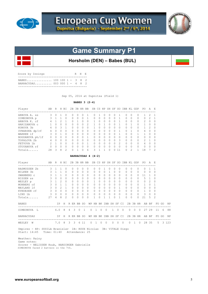



# **Game Summary P1**

**Horsholm (DEN) – Babes (BUL)**

| Score by Innings |                                                         |  |  | R H E |  |
|------------------|---------------------------------------------------------|--|--|-------|--|
|                  | BABES 100 100 1 - 3 8 2<br>BARRACUDAS 003 000 1 - 4 8 2 |  |  |       |  |

Sep 05, 2014 at Dupnitsa (Field 1)

# **BABES 3 (2-4)**

|                   |                |                |                         |                |              |                         |              |          |                                          |                       |                                |                |              |            |                |                | 2B 3B HR BB SB CS HP SH SF SO IBB KL GDP |                |                | PO.            | AE             |                |       |         |
|-------------------|----------------|----------------|-------------------------|----------------|--------------|-------------------------|--------------|----------|------------------------------------------|-----------------------|--------------------------------|----------------|--------------|------------|----------------|----------------|------------------------------------------|----------------|----------------|----------------|----------------|----------------|-------|---------|
| ARBOVA A. ss      | 3              | $\mathbf{0}$   | 1                       | 0              | $\Omega$     |                         | 0            | 0        | 1                                        | 0                     | 1                              | 0              | $\Omega$     | $\Omega$   | 1              |                | $\Omega$                                 | $\Omega$       | $\Omega$       | 1              | 2              | -1             |       |         |
| SIMEONOVA p       | 3              | 1              | $\mathbf{1}$            | $\Omega$       | 0            |                         | $\Omega$     | $\Omega$ | $\mathbf{1}$                             | 0                     | $\Omega$                       | $\Omega$       | $\Omega$     | $\Omega$   | 1              |                | $\Omega$                                 | $\Omega$       | 0              | $\circ$        | 2              | 1              |       |         |
| ARBOVA K. cf      | $\overline{4}$ | $\mathbf{1}$   | 2                       | 1              | 0            |                         | $\mathbf{1}$ | 0        | $\circ$                                  | $\mathbf{1}$          | 0                              | 0              | $\circ$      | $\Omega$   | $\mathbf{1}$   |                | $\circ$                                  | 0              | 0              | 2              | $\mathbf{0}$   | $\circ$        |       |         |
| HARIZANOVA c      | $\mathbf{1}$   | $\cap$         | $\Omega$                | $\Omega$       | $\Omega$     |                         | $\Omega$     | $\Omega$ | 2                                        | $\mathbf{1}$          | $\Omega$                       | $\mathbf{1}$   | $\Omega$     | $\Omega$   | $\mathbf{1}$   |                | $\Omega$                                 | $\mathbf{1}$   | 0              | $\mathbf{1}$   | $\Omega$       | $\Omega$       |       |         |
| KONOVA 3b         | $\overline{4}$ | $\Omega$       | $\overline{\mathbf{3}}$ | 1              | $\Omega$     |                         | $\Omega$     | $\Omega$ | $\Omega$                                 | $\mathbf{1}$          | $\Omega$                       | $\Omega$       | $\Omega$     | $\Omega$   | $\Omega$       |                | $\Omega$                                 | $\Omega$       | 0              | $\mathbf{1}$   | $\overline{c}$ | $\Omega$       |       |         |
| OVNARSKA dp/rf    | 4              | $\Omega$       | $\Omega$                | $\Omega$       | $\Omega$     |                         | $\Omega$     | $\Omega$ | $\Omega$                                 | $\Omega$              | $\Omega$                       | $\Omega$       | $\Omega$     | $\Omega$   | $\mathbf{1}$   |                | $\Omega$                                 | 1              | 0              | $\overline{4}$ | $\Omega$       | $\Omega$       |       |         |
| WARREN 1f         | 3              | $\Omega$       | $\mathbf{1}$            | $\Omega$       | $\Omega$     |                         | $\Omega$     | $\Omega$ | $\Omega$                                 | $\Omega$              | $\Omega$                       | $\Omega$       | $\Omega$     | $\Omega$   | $\mathbf{1}$   |                | $\Omega$                                 | $\Omega$       | 1              | 1              | $\Omega$       | $\Omega$       |       |         |
| BOGDANOVA ph/lf   | $\circ$        | $\mathbf{0}$   | $\Omega$                | $\Omega$       | $\circ$      |                         | $\Omega$     | $\Omega$ | $\mathbf{1}$                             | $\Omega$              | $\Omega$                       | $\Omega$       | $\Omega$     | $\Omega$   | $\Omega$       |                | $\circ$                                  | $\Omega$       | $\Omega$       | 0              | $\circ$        | $\Omega$       |       |         |
| TOPALOVA 2b       | 4              | $\circ$        | $\Omega$                | $\Omega$       | $\circ$      |                         | $\Omega$     | $\Omega$ | $\circ$                                  | $\mathbf{0}$          | $\Omega$                       | $\overline{0}$ | $\circ$      | $\Omega$   | 3              |                | $\circ$                                  | $\Omega$       | 0              | 2              | 1              | $\Omega$       |       |         |
| FETVOVA 1b        | 2              | 1              | $\overline{0}$          | $\circ$        | $\circ$      |                         | $\circ$      | $\circ$  | $\mathbf{1}$                             | $\mathbf{0}$          | $\circ$                        | $\overline{0}$ | $\circ$      | $\Omega$   | $\overline{c}$ |                | $\circ$                                  | $\Omega$       | $\mathbf{0}$   | 6              | $\circ$        | $\circ$        |       |         |
| STOYANOVA rf      | $\circ$        | $\Omega$       | $\Omega$                | $\Omega$       | $\Omega$     |                         | $\Omega$     | $\Omega$ | $\circ$                                  | 0                     | 0                              | $\circ$        | $\Omega$     | $\Omega$   | $\Omega$       |                | $\mathbf{0}$                             | $\Omega$       | $\circ$        | $\circ$        | $\Omega$       | $\Omega$       |       |         |
| Totals            | 28             | 3              | 8                       | $\mathcal{D}$  | $\Omega$     |                         | 1            | $\Omega$ | 6                                        | 3                     | $\mathbf{1}$                   | $\mathbf{1}$   | $\Omega$     | $\Omega$   | 11             |                | $\Omega$                                 | $\mathfrak{D}$ | $\mathbf{1}$   | 18             | 7              | $\mathfrak{D}$ |       |         |
|                   |                |                |                         |                |              |                         |              |          | BARRACUDAS 4 (4-2)                       |                       |                                |                |              |            |                |                |                                          |                |                |                |                |                |       |         |
| Player            | AВ             |                |                         | R H BI         |              |                         |              |          | 2B 3B HR BB SB CS HP SH SF SO IBB KL GDP |                       |                                |                |              |            |                |                |                                          |                |                | PO.            | A F.           |                |       |         |
| RASMUSSEN 2b      | 3              | $\mathbf{1}$   | $\mathbf{1}$            | $\circ$        | $\circ$      |                         | $\Omega$     | $\circ$  | $\circ$                                  | $\circ$               | 0                              | $\mathbf{1}$   | $\circ$      | $\circ$    | $\circ$        |                | 0                                        | $\circ$        | $\circ$        | 0              | $\mathbf{1}$   | 1              |       |         |
| WILKEN 3b         | 3              | $\overline{1}$ | $\mathbf{1}$            | $\Omega$       | $\Omega$     |                         | $\Omega$     | $\Omega$ | $\Omega$                                 | $\Omega$              | $\Omega$                       | $\Omega$       | 1            | $\Omega$   | $\Omega$       |                | $\Omega$                                 | $\Omega$       | $\Omega$       | $\Omega$       | $\Omega$       | $\Omega$       |       |         |
| SWANBERG C        | 3              | $\mathbf{1}$   | $\mathbf{1}$            | $\Omega$       | $\Omega$     |                         | $\Omega$     | 0        | $\circ$                                  | 0                     | $\Omega$                       | $\Omega$       | $\circ$      | $\Omega$   | $\Omega$       |                | 0                                        | $\Omega$       | $\Omega$       | 11             | 1              | $\Omega$       |       |         |
| NISSEN ss         | 3              | $\Omega$       | $\Omega$                | $\Omega$       | $\Omega$     |                         | $\Omega$     | $\Omega$ | $\Omega$                                 | $\Omega$              | $\Omega$                       | $\Omega$       | $\Omega$     | $\Omega$   | $\Omega$       |                | $\Omega$                                 | $\Omega$       | $\Omega$       | 5              | $\mathbf{1}$   | $\Omega$       |       |         |
| WESLEY p          | 3              | $\mathbf{1}$   | $\mathfrak{D}$          | $\Omega$       | 0            |                         | $\Omega$     | $\Omega$ | $\Omega$                                 | $\mathbf{1}$          | $\Omega$                       | $\Omega$       | $\Omega$     | $\Omega$   | $\Omega$       |                | $\Omega$                                 | $\Omega$       | 0              | $\mathbf{0}$   | 2              | $\Omega$       |       |         |
| MONBERG cf        | $\mathbf{3}$   | $\Omega$       | $\overline{1}$          | 1              | 0            |                         | $\Omega$     | $\Omega$ | $\Omega$                                 | $\Omega$              | $\Omega$                       | $\Omega$       | $\Omega$     | $\Omega$   | $\Omega$       |                | $\Omega$                                 | $\Omega$       | 0              | 1              | $\Omega$       | $\mathbf{1}$   |       |         |
| MAYLAND 1f        | $\mathbf{3}$   | $\Omega$       | $\mathfrak{D}$          | $\mathbf{1}$   | $\circ$      |                         | $\Omega$     | $\Omega$ | $\Omega$                                 | $\mathbf{0}$          | $\Omega$                       | $\circ$        | $\Omega$     | $\Omega$   | $\mathbf{1}$   |                | $\Omega$                                 | $\Omega$       | $\circ$        | 0              | $\Omega$       | $\Omega$       |       |         |
| KYNDESEN rf       | 3              | $\Omega$       | $\bigcirc$              | $\Omega$       | $\circ$      |                         | $\Omega$     | $\circ$  | $\overline{0}$                           | $\mathbf{0}$          | $\mathbf{0}$                   | $\circ$        | $\mathbf{0}$ | $\Omega$   | $\Omega$       |                | $\mathbf{0}$                             | $\Omega$       | $\circ$        | $\mathbf{1}$   | 0              | 0              |       |         |
| LIND 1b           | 3              | $\Omega$       | $\Omega$                | $\Omega$       | $\Omega$     |                         | $\Omega$     | $\Omega$ | $\Omega$                                 | $\Omega$              | $\Omega$                       | $\Omega$       | $\Omega$     | $\Omega$   | $\Omega$       |                | $\Omega$                                 | $\Omega$       | $\Omega$       | 3              | $\Omega$       | $\Omega$       |       |         |
| Totals            | 27             | 4              | 8                       | $\overline{2}$ | $\Omega$     |                         | $\Omega$     | $\Omega$ | $\Omega$                                 | 1                     | $\Omega$                       | 1              | 1            | 0          | 1              |                | $\Omega$                                 | 0              | $\Omega$       | 21             | 5              | $\overline{2}$ |       |         |
| <b>BABES</b>      |                |                | ΙP                      | Η              | R ER BB SO   |                         |              |          |                                          | WP HB BK IBB SH SF CI |                                |                |              |            |                |                |                                          |                |                | 2B 3B HR AB BF |                |                | FO GO | ΝP      |
| SIMEONOVA L       |                | 6.0            |                         | 8              | $4 \quad 3$  |                         | $\circ$      | 1        | $\circ$                                  |                       | $\overline{0}$<br>$\mathbf{1}$ | $\circ$        |              | 1          | $\overline{0}$ | $\overline{0}$ | $\circ$                                  | $\overline{0}$ | $\overline{0}$ |                | 27 29          | 11             | 6     | 88      |
| <b>BARRACUDAS</b> |                |                | IP -                    |                | H R ER BB SO |                         |              |          |                                          | WP HB BK IBB SH SF CI |                                |                |              |            |                |                |                                          |                |                | 2B 3B HR AB BF |                |                | FO GO | ΝP      |
| WESLEY W          |                |                | 7.0                     | 8              | 3            | $\overline{\mathbf{3}}$ |              | 6 11     | $\circ$                                  | $\,$ 1 $\,$           | $\overline{0}$                 | $\circ$        |              | $0\quad 0$ |                | $\overline{0}$ | $\circ$                                  | 1              | $\circ$        |                | 28 35          | 5              |       | 3 1 2 3 |

 Weather: Rainy Game notes: Scorer - NELISSEN Huub, HARDINGER Gabrielle SIMEONOVA faced 2 batters in the 7th.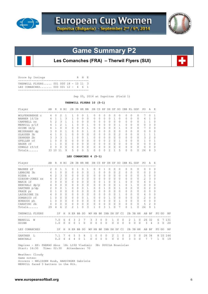



# **Game Summary P2**

**Les Comanches (FRA) – Therwil Flyers (SUI)**

| Score by Innings |                                                                             |  |  | R H E |  |
|------------------|-----------------------------------------------------------------------------|--|--|-------|--|
|                  | THERWILL FLYERS 001 000 18 - 10 11 3<br>T.E.S. COMANCHES 000 001 12 - 4 6 1 |  |  |       |  |
|                  |                                                                             |  |  |       |  |

Sep 05, 2014 at Dupnitsa (Field 1)

## **THERWILL FLYERS 10 (5-1)**

| Player         | AВ | R | H            | ВI        | 2B | 3B | HR           | BB           |   |              |              | SB CS HP SH SF |              | SO.           | IBB KL       |          | GDP      | PO.      | A             | E             |
|----------------|----|---|--------------|-----------|----|----|--------------|--------------|---|--------------|--------------|----------------|--------------|---------------|--------------|----------|----------|----------|---------------|---------------|
| WOLFENSBERGE C | 4  |   |              |           |    |    | $^{()}$      |              |   | $\Omega$     |              | $^{()}$        |              | 0             |              | $\Omega$ | $\Omega$ |          |               |               |
| WANNER 1f/1b   | 4  |   |              | २         |    | O  | $\Omega$     | 0            | 0 | $\Omega$     | 0            | 0              |              | 0             | $\Omega$     | $\Omega$ | $\Omega$ | 4        |               |               |
| CAMPBELL SS    | 5  | っ | 3            |           |    | U  | $\bigcap$    | <sup>0</sup> | 0 | $\Omega$     | <sup>n</sup> | U              | n.           | 0             | $\bigcap$    | $\Omega$ | $\Omega$ |          |               | $\Omega$      |
| MERRILL p/lf   | 4  |   |              |           |    | Ω  | $\Omega$     |              |   | $\bigcap$    | <sup>0</sup> | O              | 0            |               | <sup>0</sup> | $\Omega$ | $\Omega$ | $\Omega$ | 3             | $\Omega$      |
| GUINN 1b/p     | 4  |   |              |           |    | U  | <sup>0</sup> |              |   | <sup>0</sup> | U            | O              | Λ            |               | $\cap$       | $\Omega$ | $\Omega$ |          | $\cap$        | $\Omega$      |
| MEIERHANS dp   |    | U | 0            |           | O. | U  | $\bigcap$    |              | U | $\Omega$     | ∩            | U              | O.           | <sup>0</sup>  | $\bigcap$    | $\Omega$ | $\Omega$ | 0        | $\bigcap$     | $\cap$        |
| GLAUSER 3b     | 4  |   | O            |           |    | U  | <sup>0</sup> | O            | 0 | $\Omega$     | <sup>n</sup> | O              | 0            | $\mathcal{P}$ | <sup>0</sup> | $\Omega$ | $\Omega$ |          |               |               |
| ZEHNDER 2b     |    | 3 | २            |           |    | Λ  | $\cap$       |              |   | $\bigcap$    | $\cap$       | $\cap$         | O.           | $\Omega$      | <sup>0</sup> | $\Omega$ | $\Omega$ | 3        | $\mathcal{P}$ | $\Omega$      |
| GFELLER cf     |    |   | <sup>0</sup> | $\Omega$  | U  | U  | $\bigcap$    | O            | U | $\bigcap$    | U            | っ              | <sup>n</sup> | 1             | $\cap$       | $\Omega$ | $\Omega$ |          | $\cap$        |               |
| HAGER rf       |    |   | O            | $\bigcap$ | O. | U  | O.           | O            | U | $\Omega$     | <sup>n</sup> | U              | Λ            | $\Omega$      | $\bigcap$    | $\Omega$ | $\Omega$ | O        | $\Omega$      | $\Omega$      |
| OSWALD rf/cf   | U  |   | U            | $\Omega$  |    | Ω  | $\cap$       | $\Omega$     |   | $\cap$       |              | $\cap$         | U            | $\Omega$      | $\cap$       | $\Omega$ | $\Omega$ | U        |               | $\Omega$      |
| Totals         | 33 |   |              | 9         | 5  | Λ  | U            | 5            |   | $\cap$       | n            | $\mathcal{D}$  |              | 5             | $\cap$       | $\Omega$ | $\Omega$ | 24       | 8             | $\mathcal{E}$ |

### **LES COMANCHES 4 (5-1)**

| Player<br>-----------------------------------                    | AB R H BI       |                   |               |               |                |                | 2B 3B HR BB     |                |                               | SB CS HP SH SF SO IBB KL GDP |           |                |                     |                          |              |              |          |           |             |          | PO.                                | A              |                                   |          |           |
|------------------------------------------------------------------|-----------------|-------------------|---------------|---------------|----------------|----------------|-----------------|----------------|-------------------------------|------------------------------|-----------|----------------|---------------------|--------------------------|--------------|--------------|----------|-----------|-------------|----------|------------------------------------|----------------|-----------------------------------|----------|-----------|
| MAGNEE cf                                                        | $2^{1}$         | $\Omega$          | $\mathbf{1}$  | $\mathbf{1}$  |                | $\Omega$       |                 | $\Omega$       | -----------<br>$\overline{1}$ | $\Omega$                     | $\Omega$  | $\mathbf{1}$   | $\Omega$            | $\Omega$                 |              | $\Omega$     | $\Omega$ | $\Omega$  |             | $\Omega$ | ----------------------<br>$\Omega$ | <sup>0</sup>   | $\Omega$                          |          |           |
| LEMAIRE 3b                                                       | $\overline{4}$  | $\overline{1}$    | $\Omega$      | $\Omega$      |                | $\Omega$       | $\Omega$        | $\Omega$       | $\Omega$                      | 1                            | $\Omega$  | $\Omega$       | 0                   | $\Omega$                 |              | 2            | $\Omega$ | $\bigcap$ |             | $\Omega$ | $\Omega$                           | $\overline{c}$ | $\Omega$                          |          |           |
| RIERA C                                                          | $\overline{4}$  | $\mathcal{L}$     | $\mathcal{B}$ | $\Omega$      |                | $\Omega$       | $\Omega$        | $\Omega$       | $\Omega$                      | $\Omega$                     | $\Omega$  | $\Omega$       | $\circ$             | $\Omega$                 |              | $\Omega$     | $\Omega$ | $\Omega$  |             | $\Omega$ | 5                                  | $\Omega$       | $\Omega$                          |          |           |
| GIBSON-JONES SS                                                  |                 | $4\quad 0$        | $2^{1}$       | $\Omega$      |                | 2              | $\Omega$        | $\Omega$       | $\Omega$                      | $\Omega$                     | $\Omega$  | $\cap$         | $\Omega$            | $\Omega$                 |              | $\Omega$     | $\Omega$ | $\Omega$  |             | $\Omega$ | $2^{1}$                            | 3              | $\Omega$                          |          |           |
| MARIE 1f                                                         |                 | $3 \quad 0$       | $\Omega$      | $\Omega$      |                | $\bigcap$      | $\cap$          | $\Omega$       | $\bigcap$                     | $\Omega$                     | $\Omega$  | $\mathbf{1}$   | $\Omega$            | $\Omega$                 |              | 1            | $\cap$   | $\bigcap$ |             | $\Omega$ | 4                                  | $\Omega$       | -1                                |          |           |
| BENCHALI $dp/p$ 4 0                                              |                 |                   | $\Omega$      | $\Omega$      |                | $\Omega$       | $\Omega$        | $\Omega$       | $\Omega$                      | $\Omega$                     | $\Omega$  | $\Omega$       | $\Omega$            | $\Omega$                 |              | 1            | $\Omega$ |           |             | $\Omega$ | $\Omega$                           | $\Omega$       | $\Omega$                          |          |           |
| GARTNER p/dp                                                     |                 | $2 \quad 0$       | $\Omega$      | 1             |                | $\Omega$       | $\Omega$        | $\Omega$       | $\mathbf{1}$                  | $\Omega$                     | $\Omega$  | $\mathbf{1}$   | $\Omega$            | $\bigcap$                |              | $\mathbf{1}$ | $\Omega$ | $\Omega$  |             | $\Omega$ | $\Omega$                           | $\mathfrak{D}$ | $\Omega$                          |          |           |
| PRADE pr                                                         | $\circ$         | $\mathbf{1}$      | $\Omega$      | $\Omega$      |                | $\Omega$       | $\Omega$        | $\Omega$       | $\Omega$                      | $\Omega$                     | $\Omega$  | 0              | $\cap$              | $\Omega$                 |              | $\Omega$     | $\cap$   | $\cap$    |             | $\Omega$ | $\Omega$                           | $\Omega$       | $\Omega$                          |          |           |
| LASSAIGNE 1b<br>DOMANICO rf                                      | $4\overline{ }$ | $\Omega$          | $\Omega$      | $\Omega$      |                | $\bigcap$      | $\Omega$        | $\Omega$       | $\Omega$                      | $\Omega$                     | $\Omega$  | $\cap$         | $\circ$             | $\Omega$                 |              | $\mathbf{1}$ | $\Omega$ | $\cap$    |             | 0        | 6                                  | $\Omega$       | $\Omega$                          |          |           |
|                                                                  | 1               | $\Omega$          | $\Omega$      | $\Omega$      |                | $\Omega$       | $\Omega$        | $\Omega$       | 1                             | $\Omega$                     | $\Omega$  | $\Omega$       |                     | $\mathbf{1}$<br>$\Omega$ |              | $\Omega$     | $\Omega$ | $\bigcap$ |             | $\Omega$ | $\overline{c}$                     | $\Omega$       | $\Omega$                          |          |           |
| BONAUDO ph                                                       |                 | $1 \quad 0$       | $\Omega$      | $\circ$       |                | $\circ$        | $\Omega$        | $\circ$        | $\Omega$                      | $\mathbf{0}$                 | $\circ$   |                | $\circ$<br>$\Omega$ | $\Omega$                 |              | $\mathbf{1}$ | $\circ$  | $\Omega$  |             | $\circ$  | $\circ$                            | $\circ$        | $\Omega$                          |          |           |
| CARATINI 2b                                                      |                 | $0\quad 0\quad 0$ |               | $\circ$       |                | $\circ$        | $\overline{0}$  | $\circ$        | $\circ$                       | $\circ$                      | $\circ$   | $\overline{0}$ | $\circ$             | $\circ$                  |              | $\circ$      | $\circ$  | $\circ$   |             | $\circ$  | 5                                  | 2              | 0                                 |          |           |
| Totals                                                           | 29              | 4                 | 6             | $\mathcal{L}$ |                | $\mathfrak{D}$ | 1               | $\Omega$       | 3                             | 1.                           | $\Omega$  | 3              | 1                   |                          | $\Omega$     |              | $\Omega$ | 1         |             | $\Omega$ | 24                                 | 9              | 1                                 |          |           |
| THERWILL FLYERS                                                  |                 |                   |               |               |                |                | IP H R ER BB SO |                | WΡ                            |                              |           |                |                     | HB BK IBB SH SF CI       |              |              |          |           |             |          | 2B 3B HR AB BF                     |                |                                   | FO GO    | <b>NP</b> |
| MERRILL W                                                        |                 | 7.0 6             |               |               | $\overline{4}$ | $\mathcal{B}$  |                 | 2 7            |                               | $3 \quad 3 \quad 0$          |           |                | $\Omega$            | 1                        | $\Omega$     | $\Omega$     |          |           |             |          | 2 1 0 26 32                        |                |                                   |          | 6 7 1 3 1 |
| GUINN                                                            |                 | 1.0               |               | $\Omega$      | $\Omega$       | $\circ$        | $\overline{1}$  | $\Omega$       | $\Omega$                      | $\Omega$                     |           | $\Omega$       | $\Omega$            | $\Omega$                 | $\Omega$     | $\Omega$     |          | $\Omega$  | $\Omega$    | $\Omega$ | $\mathcal{B}$                      | $\overline{4}$ | $\mathcal{L}$                     | $\Omega$ | 20        |
| LES COMANCHES                                                    |                 |                   |               |               |                |                | IP H R ER BB SO |                | WP                            |                              |           |                |                     | HB BK IBB SH SF CI       |              |              |          |           |             | 2B 3B HR |                                    | AB BF          |                                   | FO GO    | <b>NP</b> |
| GARTNER L                                                        |                 |                   | 7.1 7         |               | 6              | .5             | 5               | $\overline{4}$ | ----------<br>$\mathbf{1}$    | $\Omega$                     | --------- | $\Omega$       | $\Omega$            | 2                        | $\mathbf{1}$ |              | $\Omega$ |           | $2 \quad 0$ | $\Omega$ |                                    | 26 34          | --------------------------------- |          | 8 10 144  |
| BENCHALI                                                         |                 |                   |               | $0.2 \quad 4$ |                | $4\quad 4$     | $\Omega$        | $\overline{1}$ | $\Omega$                      | $\Omega$                     |           | $\Omega$       | $\Omega$            | $\Omega$                 | $\mathbf{0}$ | $\Omega$     |          | 3         | $\Omega$    | $\Omega$ | 7                                  | 7              | 1                                 | $\Omega$ | 19        |
| Umpires - HP: FARKAS Akos 1B: LISS Vladimir 3B: SUSILA Branislav |                 |                   |               |               |                |                |                 |                |                               |                              |           |                |                     |                          |              |              |          |           |             |          |                                    |                |                                   |          |           |

Start: 16:30 Time: 02:30 Attendance: 70

 Weather: Cloudy Game notes: Scorers - NELISSEN Huub, HARDINGER Gabriele MERRILL faced 3 batters in the 8th.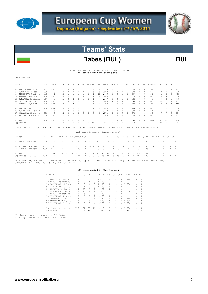



# **Teams' Stats**

# Babes (BUL) BUL

Overall Statistics for BABES (as of Sep 05, 2014)  **(All games Sorted by Batting avg)** 

| record: 2-4                                                                                                         |      |           |                |                |                |               |              |             |                |                                      |    |      |                |                |                |                |               |               |          |              |              |              |              |                |  |
|---------------------------------------------------------------------------------------------------------------------|------|-----------|----------------|----------------|----------------|---------------|--------------|-------------|----------------|--------------------------------------|----|------|----------------|----------------|----------------|----------------|---------------|---------------|----------|--------------|--------------|--------------|--------------|----------------|--|
| Player                                                                                                              | AVG  | $GP - GS$ | A <sub>B</sub> | R              | Н              | 2B            | 3B           | HR RBI      |                | TB                                   |    | SLG% | BB HBP         |                | SO GDP         |                | OB%           | SF            | SH       | SB-ATT       | PO           | Α            |              | E FLD%         |  |
| 21 HARIZANOVA Lyubim                                                                                                | .467 | $6 - 6$   | 1.5            | 3              |                | 1             | $\Omega$     | O.          |                | 8                                    |    | .533 | 3              | $\mathfrak{D}$ | 3              | $\mathcal{O}$  | .600          | $\mathcal{O}$ | $\Omega$ | $1 - 1$      | 15           | 6            |              | 2, 913         |  |
| 32 KONOVA Nikoleta                                                                                                  | .389 | $6 - 6$   | 18             | $\overline{2}$ | 7              | $\Omega$      | $\mathbf{1}$ | 0           | 5              | 9                                    |    | .500 | $\circ$        | 0              | $\mathbf{1}$   | $\Box$         | .389          | $\circ$       | $\Omega$ | $2 - 2$      | 4            | 10           |              | 01.000         |  |
| 77 SIMEONOVA Tedi                                                                                                   | .385 | $4 - 4$   | 13             | 6              | 5              | 1             | 2            | $\Omega$    | 1              | 10                                   |    | .769 | $\mathfrak{D}$ | $\Omega$       | 3              | $\Box$         | .467          | $\mathcal{O}$ | $\Omega$ | $1 - 1$      | 5            | 8            |              | 4 .765         |  |
| 2 ARBOVA Karoline                                                                                                   | .278 | $6 - 6$   | 18             | 7              | 5              | $\mathbf{1}$  | $\mathbf{1}$ | $\Omega$    | $\mathfrak{D}$ | R                                    |    | .444 | 1              | 1              | 3              | $\Box$         | .350          | $\mathcal{O}$ | $\Omega$ | $3 - 3$      | 9            | 4            |              | 01.000         |  |
| 29 OVNARSKA Filipina                                                                                                | .267 | $6 - 6$   | 1.5            | $\Omega$       | $\overline{4}$ | $\Omega$      | $\circ$      | $\Omega$    | $\mathbf{1}$   | $\Delta$                             |    | .267 | $\mathcal{L}$  | $\Omega$       | 3              | $\Omega$       | .353          | $\Omega$      | $\cap$   | $0 - 0$      | 7            | $\Omega$     |              | 2 .778         |  |
| 22 FETVOVA Mariya                                                                                                   | .200 | $6 - 6$   | 1.5            | 3              | 3              | $\Omega$      | $\circ$      | $\Omega$    | $\mathbf{1}$   | 3                                    |    | .200 | 4              | $\Omega$       | 7              | $\Omega$       | .368          | $\Omega$      | $\Omega$ | $0 - 0$      | 42           | $\mathbf{1}$ | $\mathbf{1}$ | .977           |  |
| 1 ARBOVA Avqustina.                                                                                                 | .200 | $6 - 6$   | 1.5            | $\mathbf{1}$   | 3              | $\Omega$      | $\Omega$     | 0           | $\mathbf{1}$   | $\mathcal{R}$                        |    | .200 | <sup>1</sup>   | $\Omega$       | $\overline{4}$ | $\cap$         | .250          | $\Omega$      | $\Omega$ | $2 - 3$      | 5            | 17           |              | 3.880          |  |
| 91 WARREN Iva                                                                                                       | .286 | $4 - 4$   |                | $\cap$         | $\mathcal{D}$  | $\cap$        | $\Omega$     | $\cap$      | 2              | 2                                    |    | .286 | $\Omega$       | $\cap$         | $\mathcal{L}$  | $\mathbf{1}$   | .286          | $\mathcal{O}$ | $\cap$   | $0 - 0$      | $\mathbf{1}$ | 0            |              | 01.000         |  |
| 18 BOGDANOVA Aleksan                                                                                                | .273 | $5 - 3$   | 11             | 3              | 3              | $\Omega$      | $\Omega$     | $\Omega$    | $\Omega$       | 3                                    |    | .273 | 2              | $\Omega$       | $\mathbf{1}$   | $\Box$         | .385          | $\mathcal{O}$ | $\Omega$ | $3 - 4$      | $\Omega$     | 6            |              | 01.000         |  |
| 17 TOPALOVA Elena                                                                                                   | .071 | $6 - 6$   | 14             | $\circ$        | $\mathbf{1}$   | $\circ$       | $\circ$      | 0           | $\Omega$       | $\mathbf{1}$                         |    | .071 | 0              | 0              |                | $\Box$         | .071          | $\mathcal{O}$ | $\Omega$ | $1 - 2$      |              | 7            |              | 3.824          |  |
| 10 STOYANOVA Nadezhd                                                                                                | .000 | $5 - 5$   | $\mathcal{L}$  | $\Omega$       | $\Omega$       | $\Omega$      | $\Omega$     | $\Omega$    | $\Omega$       | $\Omega$                             |    | .000 | $\Omega$       | $\Omega$       | $\mathbf{1}$   | $\cap$         | .000          | $\circ$       | $\Omega$ | $0 - 0$      | 6            | 1            |              | 1 .875         |  |
|                                                                                                                     |      |           |                |                |                |               |              |             |                |                                      |    |      |                |                |                |                |               |               |          |              |              |              |              |                |  |
| Totals                                                                                                              | .280 | 6-6       | 143            | 25             | 40             | 3             | 4            | $\Omega$    | 20             | 51                                   |    | .357 | 15             | 3.             | 35             | 1              | .360          | $\Omega$      | $\Omega$ | $13 - 16$    | 101          | 60           | 16           | .910           |  |
| Opponents .367                                                                                                      |      | $6 - 6$   | 158            | 46             | 58             | 15            | 2            | $2^{\circ}$ | 35             | 83                                   |    | .525 | 12             | 5.             | 7              | $\mathbf{1}$   | .426          | 1             | 7        | $7 - 7$      | 105          | 39           |              | 7.954          |  |
| LOB - Team (31), Opp (36). DPs turned - Team (3), Opp (4). IBB - Team (1), HARIZANOVA 1. Picked off - HARIZANOVA 1. |      |           |                |                |                |               |              |             |                |                                      |    |      |                |                |                |                |               |               |          |              |              |              |              |                |  |
|                                                                                                                     |      |           |                |                |                |               |              |             |                |                                      |    |      |                |                |                |                |               |               |          |              |              |              |              |                |  |
|                                                                                                                     |      |           |                |                |                |               |              |             |                | (All games Sorted by Earned run avg) |    |      |                |                |                |                |               |               |          |              |              |              |              |                |  |
| Player                                                                                                              | ERA  | $W - T$ . | APP            | GS             |                | CG SHO/CBO SV |              |             | IP             | Н                                    |    | R ER | BB             | <b>SO</b>      |                |                | 2B 3B HR      |               | AB B/Avq | WP HBP       |              |              | BK SFA SHA   |                |  |
| 77 SIMEONOVA Tedi 6.30<br>--------------                                                                            |      | $1 - 2$   | 3.             | 3              | 3              | 0/0           |              |             | 0, 16.2        | 23                                   | 19 | 15   | 6              | 7              | $\overline{2}$ | $\overline{1}$ | $\Omega$      | 75            | .307     | 4            | 2            | $\Omega$     | -1           | $\mathcal{P}$  |  |
| 18 BOGDANOVA Aleksan 6.77                                                                                           |      | $1 - 1$   | $\overline{2}$ | 2              | $\overline{1}$ | 0/0           |              | $\cap$      | 10.1           | 19                                   | 14 | 10   | 2              | $\Omega$       | 6              | $\Omega$       | $\Omega$      | 50            | .380     | 4            | 2            | $\Omega$     | $\Omega$     | 3              |  |
| 1 ARBOVA Avqustina. 12.60                                                                                           |      | $0 - 1$   | $2^{\circ}$    | 1              | 1              | 0/0           |              | $\cap$      | $6.2$ 16       |                                      | 13 | 12   | $\overline{4}$ | $\Omega$       | $\tau$         | 1              | $\mathcal{L}$ | 33            | .485     | $\mathbf{1}$ |              | $\Omega$     | $\Omega$     | $\mathfrak{D}$ |  |
|                                                                                                                     |      |           |                |                |                |               |              |             |                |                                      |    |      |                |                |                |                |               |               |          |              |              |              |              |                |  |
| Totals                                                                                                              | 7.69 | $2 - 4$   | 6              | 6              | 5              | 0/0           |              |             | 33.2           | 58                                   | 46 | 37   | 12             |                | 15             |                | 2             | 158           | .367     | 9            | 5            | $\Omega$     |              | 7              |  |
| Opponents 4.20                                                                                                      |      | $4 - 2$   | 6              | 6              | $\overline{4}$ | 2/1           |              | $\Omega$    | 35.0           | 40                                   | 25 | 21   | 15             | 35             | -3             | 4              | $\Omega$      | 143           | .280     | 3            | 3            | $\Omega$     | $\Omega$     | $\Omega$       |  |
|                                                                                                                     |      |           |                |                |                |               |              |             |                |                                      |    |      |                |                |                |                |               |               |          |              |              |              |              |                |  |

PB - Team (4), HARIZANOVA 2, OVNARSKA 1, ARBOVA K. 1, Opp (2). Pickoffs - Team (0), Opp (1). SBA/ATT - HARIZANOVA (5-5),<br>SIMEONOVA (4-4), BOGDANOVA (3-3), OVNARSKA (2-2).

### **(All games Sorted by Fielding pct)**

|     | Player               | C   | PO.            | Α        | E.           | FLD%  | DPs                                                                                                                                                                                                                                                                                                                                                                                                                        | SBA CSB |          | SBA%    | PB             | СI       |
|-----|----------------------|-----|----------------|----------|--------------|-------|----------------------------------------------------------------------------------------------------------------------------------------------------------------------------------------------------------------------------------------------------------------------------------------------------------------------------------------------------------------------------------------------------------------------------|---------|----------|---------|----------------|----------|
|     | 32 KONOVA Nikoleta   | 14  | $\overline{4}$ | 10       | 0            | 1,000 | $\Omega$                                                                                                                                                                                                                                                                                                                                                                                                                   | 0       | 0        | ---     | 0              | 0        |
|     | 2 ARBOVA Karoline    | 13  | 9              | 4        | 0            | 1,000 |                                                                                                                                                                                                                                                                                                                                                                                                                            | 0       | 0        | ---     |                | 0        |
|     | 18 BOGDANOVA Aleksan | 6   | 0              | 6        | 0            | 1,000 | 0                                                                                                                                                                                                                                                                                                                                                                                                                          | 3       | 0        | 1,000   | 0              | 0        |
| 91  | WARREN Iva           | 1.  | 1              | $\Omega$ | $\Omega$     | 1,000 | 0                                                                                                                                                                                                                                                                                                                                                                                                                          | 0       | 0        | $- - -$ | 0              | $\Omega$ |
|     | 22 FETVOVA Mariya    | 44  | 42             |          | 1            | .977  | $\mathfrak{D}_{1}^{2}(\mathfrak{D}_{1})=\mathfrak{D}_{2}^{2}(\mathfrak{D}_{2})=\mathfrak{D}_{2}^{2}(\mathfrak{D}_{1})=\mathfrak{D}_{2}^{2}(\mathfrak{D}_{2})=\mathfrak{D}_{2}^{2}(\mathfrak{D}_{1})=\mathfrak{D}_{2}^{2}(\mathfrak{D}_{2})=\mathfrak{D}_{2}^{2}(\mathfrak{D}_{1})=\mathfrak{D}_{2}^{2}(\mathfrak{D}_{2})=\mathfrak{D}_{2}^{2}(\mathfrak{D}_{1})=\mathfrak{D}_{2}^{2}(\mathfrak{D}_{2})=\mathfrak{D}_{2}^{$ | 0       | $\Omega$ | ---     | $\mathcal{O}$  | 0        |
|     | 21 HARIZANOVA Lyubim | 23  | 1.5            | 6        | 2            | .913  | $\mathfrak{D}$                                                                                                                                                                                                                                                                                                                                                                                                             | 5       | 0        | 1,000   | $\mathfrak{D}$ | 0        |
|     | 1 ARBOVA Avqustina.  | 25  | 5.             | 17       | 3            | .880  |                                                                                                                                                                                                                                                                                                                                                                                                                            | 0       | 0        | ---     | 0              | 0        |
|     | 10 STOYANOVA Nadezhd | 8   | 6              | 1        | $\mathbf{1}$ | .875  | 0                                                                                                                                                                                                                                                                                                                                                                                                                          | 0       | $\Omega$ | $- - -$ | 0              | 0        |
|     | 17 TOPALOVA Elena    | 17  | 7              | 7        | 3            | .824  | 0                                                                                                                                                                                                                                                                                                                                                                                                                          | 0       | $\Omega$ | ---     | $\Omega$       | $\Omega$ |
|     | 29 OVNARSKA Filipina | 9   | 7              | $\Omega$ | 2            | .778  | 0                                                                                                                                                                                                                                                                                                                                                                                                                          | 2       | 0        | 1,000   |                | 0        |
| 77. | SIMEONOVA Tedi       | 17  | 5.             | 8        | 4            | .765  | 1                                                                                                                                                                                                                                                                                                                                                                                                                          | 4       | 0        | 1,000   | $\mathcal{O}$  | 0        |
|     | Totals               | 177 | 101            | 60       | 16           | .910  | 3                                                                                                                                                                                                                                                                                                                                                                                                                          |         | 0        | 1,000   | 4              | $\Omega$ |
|     | Opponents            | 151 | 105            | 39       | 7            | .954  | 4                                                                                                                                                                                                                                                                                                                                                                                                                          | 13      | 3        | .813    | $\mathfrak{D}$ | $\Omega$ |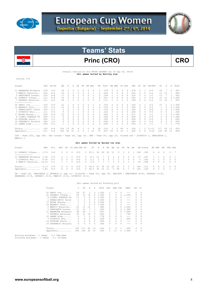



# Princ (CRO) CRO

### Overall Statistics for PRINC ZAGREB (as of Sep 05, 2014) **(All games Sorted by Batting avg)**

record: 0-6

| Player                           | AVG  | $GP - GS$ | AB                                                                                                              | R  | Н  | 2B       | 3B       |          | HR RBI   | TB.      | SLG% | BB.      | HBP           | SO GDP       |        | OB%  | SF            | SH | SB-ATT                                                                                                          | PO.           | Α   | Е. | FLD%   |
|----------------------------------|------|-----------|-----------------------------------------------------------------------------------------------------------------|----|----|----------|----------|----------|----------|----------|------|----------|---------------|--------------|--------|------|---------------|----|-----------------------------------------------------------------------------------------------------------------|---------------|-----|----|--------|
| 11 HARAMINA Michaela             | .278 | $6 - 6$   | 18                                                                                                              | 2  | 5. |          |          | 0        |          | 5.       | .278 |          | $\cap$        | 4            |        | .278 |               |    | $0 - 0$                                                                                                         | 29            |     | 2  | .947   |
| 2 MANCIC Katarina                | .263 | $6 - 6$   | 19                                                                                                              | 4  |    |          |          | $\Omega$ |          | 5.       | .263 | $\Omega$ | $\Box$        | 6            |        | 263  | 0             | 0  | $2 - 2$                                                                                                         | 11            | 13  |    | .960   |
| 5 ORESCANIN Lorena.              | .235 | $6 - 6$   | 17                                                                                                              |    |    |          | 0        | $\Omega$ |          | 5.       | .294 |          |               | 4            |        | .316 | $\Omega$      | 0  | $1 - 1$                                                                                                         | 13            |     |    | .952   |
| 21 ZUPANIC Tihana                | .211 | $6 - 6$   | 19                                                                                                              |    |    |          |          | $\Omega$ | 3        | 8        | .421 |          |               | 6            |        | .200 |               | n. | $0 - 0$                                                                                                         | 12            | -14 |    | 01.000 |
| 7 PRSKALO Katarina.              | .111 | $6 - 6$   | 18                                                                                                              |    |    |          |          | 0        |          | 2.       | .111 |          |               | 3            |        | .158 | 0             | 0  | $2 - 2$                                                                                                         | 11            | 14  |    | 5 .833 |
| --------------<br>$20$ SERIC Iva | .333 | $6 - 6$   | 12                                                                                                              |    | 4  |          | 0        | 0        |          | 4        | .333 |          | 0             | 4            |        | .333 |               |    | $2 - 2$                                                                                                         | 27            | 2   |    | 01.000 |
| 19 BAGARIC Dora                  | .333 | $5 - 5$   | 12                                                                                                              | 2  |    | $\Omega$ | $\Omega$ | $\Omega$ |          | 4        | .333 |          | $\Omega$      | 5            |        | .385 | $\mathcal{O}$ | 0  | $2 - 2$                                                                                                         |               | O.  |    | 01.000 |
| 1 TANASIJEVIC Selen              | .333 | $2 - 1$   |                                                                                                                 |    |    |          |          | 0        |          |          | .333 |          | $\cap$        |              |        | .333 | $\cap$        | n. | $0 - 0$                                                                                                         | $\mathcal{L}$ |     |    | 01.000 |
| 3 ZIVKOVIC Mia                   | .111 | $4 - 3$   | 9                                                                                                               |    |    |          |          | 0        |          |          | .222 |          |               | 6            |        | .200 | 0             |    | $0 - 0$                                                                                                         | 0             |     |    | 2.000  |
| 17 NOVAK Helena                  | .000 | $6 - 4$   | 12                                                                                                              |    |    | $\Omega$ | 0.       | $\Omega$ |          | $\Omega$ | .000 |          | $\cap$        |              |        | .077 | $\Omega$      | n  | $1 - 1$                                                                                                         |               |     |    | 01.000 |
| 8 CIZMIC POKRAJA Pe              | .000 | $3 - 3$   | 8                                                                                                               |    |    |          |          | 0        |          | $\Box$   | .000 |          |               | <sup>n</sup> |        | .000 | O.            | n. | $0 - 0$                                                                                                         | 3.            |     |    | 01.000 |
| 14 DUVNJAK Paula                 | .000 | $3 - 1$   |                                                                                                                 |    |    | 0        |          | 0        | 0        | 0        | .000 |          |               |              |        | .000 | $\Omega$      | 0  | $0 - 0$                                                                                                         | 0             | 0   | 0  | .000   |
| 16 STEPANCIC Brigita             | .000 | $3 - 2$   |                                                                                                                 |    |    |          | $\Omega$ | $\Omega$ | $\Omega$ | $\cap$   | .000 | $\cap$   | $\cap$        | २            |        | .000 | 0.            |    | $0 - 0$                                                                                                         | $\Omega$      | O.  | 0  | .000   |
| 12 LAMPE Ajda                    | .000 | $6 - 5$   |                                                                                                                 |    |    |          |          |          |          | $\Omega$ | .000 |          |               |              |        | .500 |               |    | $1 - 1$                                                                                                         |               |     | 2. | .778   |
| Totals                           | .192 | $6 - 6$   | 156                                                                                                             | 15 | 30 | 4        |          | $\Omega$ | 9        | 36       | .231 | 5.       | $\mathcal{L}$ | 49           | $\cap$ | .226 |               | 2  | $11 - 11$                                                                                                       | 117           | 65  | 13 | .933   |
| Opponents                        | .311 | $6 - 6$   | 164                                                                                                             | 36 | 51 | 6        |          |          | 25       | 70       | .427 | 20       | 6             | 10           |        | .405 | $\mathcal{O}$ | 8  | $9 - 10$                                                                                                        | 126           | 45  | 13 | .929   |
|                                  |      |           | the contract of the contract of the contract of the contract of the contract of the contract of the contract of |    |    |          |          |          |          |          |      |          |               |              |        |      |               |    | the contract of the contract of the contract of the contract of the contract of the contract of the contract of |               |     |    |        |

LOB – Team (25), Opp (45). DPs turned – Team (4), Opp (3). IBB – Team (0), Opp (2). Picked off – ZIVKOVIC 1, ORESCANIN 1,<br>MANCIC 1.

### **(All games Sorted by Earned run avg)**

| Player                                                                                  | ERA | W-T. |                             |                    | APP GS CG SHO/CBO SV IP H R ER BB SO 2B 3B HR AB B/Avq WP HBP BK SFA SHA |                                                                |  |  |  |  |                                                |  |                                                   |           |                                        |
|-----------------------------------------------------------------------------------------|-----|------|-----------------------------|--------------------|--------------------------------------------------------------------------|----------------------------------------------------------------|--|--|--|--|------------------------------------------------|--|---------------------------------------------------|-----------|----------------------------------------|
| 21 ZUPANIC Tihana 2.76 0-4 5 4 4 0/0 0 25.1 32 20 10 11 9 3 2 1 106 .302                |     |      |                             |                    |                                                                          |                                                                |  |  |  |  |                                                |  |                                                   | 4 4 0 0 7 |                                        |
| 11 HARAMINA Michaela 3.36 0-0<br>3 ZIVKOVIC Mia 6.00 0-1<br>2 MANCIC Katarina 16.33 0-1 |     |      | 2 1 0<br>2 0<br>$1 \quad 1$ | $\circ$<br>$\circ$ | 0/0<br>0/0                                                               | 0 8.1 11 7 4 5 0 0 2 0 37 .297<br>0 2.1 1 2 2 1 1 1 0 0 5 .200 |  |  |  |  | 0/0 0 3.0 7 7 7 3 0 2 1 0 16 .438              |  | 1 1 0<br>$0 \quad 1 \quad 0$<br>$0\quad 0\quad 0$ |           | $0\quad1$<br>$0 \quad 0$<br>$0\quad 0$ |
| $Totals$ $4.13$ $0-6$<br>Opponents $1.83$ $6-0$                                         |     |      |                             |                    | 6 6 4 0/0<br>6 6 5 2/0 0 42.0 30 15 11 5 49 4 1 0 156 192                |                                                                |  |  |  |  | 0 39.0 51 36 23 20 10 6 5 1 164 .311 5 6 0 0 8 |  |                                                   | 4 2 0 1 2 |                                        |

PB - Team (4), ORESCANIN 2, PRSKALO 2, Opp (1). Pickoffs - Team (0), Opp (3). SBA/ATT - ORESCANIN (6-6), PRSKALO (3-4),<br>HARAMINA (3-3), ZUPANIC (3-3), MANCIC (3-3), ZIVKOVIC (0-1).

### (All games Sorted by Fielding pct)

| Player |                      | С            | PO  | A        | Ε  | FLD%  | <b>DPs</b>     | SBA CSB |               | SBA%  | PB | СI       |
|--------|----------------------|--------------|-----|----------|----|-------|----------------|---------|---------------|-------|----|----------|
|        | 20 SERIC Iva         | 29           | 27  | 2        | 0  | 1,000 | 2              | 0       | $\mathcal{O}$ | ---   | 0  | 0        |
|        | 21 ZUPANIC Tihana    | 26           | 12  | 14       | 0  | 1,000 | 2              | 3       | 0             | 1,000 | 0  | 0        |
|        | 8 CIZMIC POKRAJA Pe  | 11           | 3   | 8        | 0  | 1,000 | 0              |         |               | ---   | 0  | 0        |
|        | 1 TANASIJEVIC Selen  | 2            | 2   | $\Omega$ | 0  | 1,000 | 0              | 0       | $\mathcal{O}$ |       | 0  | $\Omega$ |
| 17     | NOVAK Helena         | $\mathbf{1}$ | 1   | $\Omega$ | 0  | 1,000 | 0              |         | $\mathcal{O}$ | ---   | 0  | $\Omega$ |
|        | 19 BAGARIC Dora      | 1            | 1   | $\Omega$ | 0  | 1,000 | 0              | 0       | $\mathcal{O}$ |       | 0  | 0        |
|        | 2 MANCIC Katarina    | 25           | 11  | 13       | 1  | .960  |                | 3       |               | 1.000 | 0  | $\Omega$ |
|        | 5 ORESCANIN Lorena.  | 21           | 13  | 7        | 1  | .952  | 2              | 6       |               | 1,000 | 2  | $\Omega$ |
|        | 11 HARAMINA Michaela | 38           | 29  |          | 2  | .947  | $\mathfrak{D}$ | 3       |               | 1,000 | 0  | $\Omega$ |
| 7      | PRSKALO Katarina.    | 30           | 11  | 14       | 5  | .833  | 3              | 3       | 1.            | .750  | 2  | $\Omega$ |
|        | 12 LAMPE Ajda        | 9            | 7   | $\Omega$ | 2  | .778  | 0              | O.      | $\mathcal{O}$ | ---   | 0  | 0        |
|        | 3 ZIVKOVIC Mia       | 2            | 0   | $\Omega$ | 2  | .000  | 0              |         | 1.            | .000  | 0  | $\Omega$ |
| 14     | DUVNJAK Paula        | 0            | 0   | 0        | 0  | .000  | 0              | 0       | $\Omega$      | ---   | 0  | $\Omega$ |
|        | 16 STEPANCIC Brigita | 0            | 0   | $\Omega$ | 0  | .000  | 0              |         | $\mathcal{O}$ | ---   | 0  | $\Omega$ |
|        | Totals               | 195          | 117 | 65       | 13 | .933  | 4              | 9       |               | .900  | 4  | $\Omega$ |
|        | Opponents            | 184          | 126 | 45       | 13 | .929  | 3              | 11      |               | 1,000 | 1  | $\Omega$ |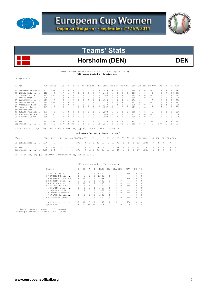



# Horsholm (DEN) DEN

 Overall Statistics for BARRACUDAS (as of Sep 05, 2014) **(All games Sorted by Batting avg)** 

record: 4-2

| Player                                                                                              | AVG   | $GP - GS$ | AB       | R        | Н        | 2B            | 3B       |          | HR RBI   | TB       | SLG%                                 | BB.           | HBP           | SO.            | GDP       | OB%           | SF       | SH       | SB-ATT  | PO       | Α        | E             | FLD%   |
|-----------------------------------------------------------------------------------------------------|-------|-----------|----------|----------|----------|---------------|----------|----------|----------|----------|--------------------------------------|---------------|---------------|----------------|-----------|---------------|----------|----------|---------|----------|----------|---------------|--------|
| 20 SWANBERG Sharlene                                                                                | .471  | $6 - 6$   | 17       | 6        |          |               |          | $\Omega$ | 4        | 9        | .529                                 | 3             | 0             | 0              | $\bigcap$ | .550          |          | 0        | $0 - 0$ | 79       |          | 1.            | .988   |
| 25 WESLEY Erin                                                                                      | .412  | $6 - 6$   | 17       |          |          | 0             | 0        | $\circ$  | 5        |          | .412                                 |               | 0             | 0              | $\circ$   | .421          |          |          | $1 - 1$ | 0        |          |               | 01.000 |
| 2 MONBERG Julie                                                                                     | .389  | $6 - 6$   | 18       |          |          | $\Omega$      |          | 0        | 3        | 9        | .500                                 | 0             | 0             | 4              | $\Omega$  | .389          | 0        | 0        | $0 - 0$ | 2        | 0        |               | .667   |
| 22 NISSEN Mette                                                                                     | . 235 | $6 - 6$   | 17       |          |          | $\Omega$      | 0        | 0        | 3        | 4        | .235                                 | 2             | 0             | 3              | $\Omega$  | .300          |          | n        | $0 - 0$ | 8        |          |               | .909   |
| 17 KYNDESENSofia                                                                                    | .125  | $6 - 6$   | 16       |          |          |               |          | $\Omega$ |          | 2.       | .125                                 |               | $\Box$        |                |           | .176          | 0        |          | $0 - 0$ | 2        | 0        |               | 01.000 |
| 66 WILKEN Mette                                                                                     | .118  | $6 - 6$   | 17       | 4        |          | $\Omega$      |          | $\Omega$ |          | 2        | .118                                 | $\mathcal{L}$ | $\Omega$      | 3              | $\bigcap$ | .211          | 0        |          | $0 - 0$ | 0        | 2        | 1.            | .667   |
| 64 RASMUSSEN Nana                                                                                   | .111  | $6 - 6$   | 18       |          | 2        |               | 0        | 0        | $\Omega$ | 3.       | .167                                 |               | $\mathcal{L}$ | 2              | $\Box$    | .238          | 0        | 0        | $0 - 0$ | 4        | 4        | 2             | .800   |
| 23 LIND Katrine<br>----------------                                                                 | .067  | $6 - 6$   | 1.5      |          |          |               |          | 0        | $\cap$   |          | .067                                 | O.            |               | $\mathfrak{D}$ | $\cap$    | .125          | 0        | $\Omega$ | $0 - 0$ | 16       |          |               | 2.895  |
| 49 MYLAND Pernille                                                                                  | .273  | $6 - 6$   | 11       | $\Omega$ | 3        | $\Omega$      | $\Omega$ | $\Omega$ |          | 3.       | .273                                 |               |               | 4              | $\Omega$  | .385          | $\Omega$ |          | $0 - 0$ | $\Omega$ | $\Omega$ | $\mathcal{O}$ | .000   |
| 10 JOHANSEN Malene                                                                                  | .000  | $3 - 0$   | 2        | $\circ$  | $\Omega$ | $\circ$       | $\Omega$ | $\circ$  | 1        | $\Omega$ | .000                                 | $\Omega$      |               | 2              | $\Omega$  | .333          | $\Omega$ | $\Omega$ | $0 - 0$ | 0        | 0        | $\Omega$      | .000   |
| 88 ELLEHAVE Sarah                                                                                   | .000  | $3 - 0$   | $\Omega$ | $\circ$  |          | $\circ$       |          | 0        | $\Omega$ | $\Omega$ | .000                                 |               | 0             | 0              |           | 01.000        | 0        | $\Omega$ | $0 - 0$ | 0        | $\Omega$ | 0             | .000   |
| Totals                                                                                              | .243  | $6 - 6$   | 148      | 25       | 36       | 2             |          | 0        | 19       | 40       | .270                                 | 12            | 5.            | 2.4            |           | .317          | 2        | 5        | $1 - 1$ | 111      | 18       | 8             | .942   |
| Opponents                                                                                           | .204  | $6 - 6$   | 137      | 12       | 28       | 5             |          | $\circ$  | 9        | 35       | .255                                 | 12            | 5             | 78             |           | .292          | 0        | 5        | $6 - 8$ | 107      | 46       | 14            | .916   |
| LOB - Team $(41)$ , Opp $(37)$ . DPs turned - Team $(2)$ , Opp $(2)$ . IBB - Team $(1)$ , WESLEY 1. |       |           |          |          |          |               |          |          |          |          |                                      |               |               |                |           |               |          |          |         |          |          |               |        |
|                                                                                                     |       |           |          |          |          |               |          |          |          |          | (All games Sorted by Earned run avg) |               |               |                |           |               |          |          |         |          |          |               |        |
| Player                                                                                              | ERA   | $W-L$     | APP      | GS       |          | CG SHO/CBO SV |          |          | ΙP       | Н        | $R_{\perp}$<br>ER                    | BB            | SO            | 2B             | 3B        | HR            |          | AB B/Avq | WP HBP  | BK       |          | SFA SHA       |        |
| 25 WESLEY Erin 1.70                                                                                 |       | $4 - 2$   | 6.       | 6        | 6        | 2/0           |          | 0.       | 37.0     | 28       | 12                                   | 9 12          | 78            | 5              | -1.       | $\mathcal{O}$ | 137      | .204     | 4       | 5.       | $\Omega$ | $\Omega$      | 5      |

Totals.............. 1.70 4-2 6 6 6 2/0 0 37.0 28 12 9 12 78 5 1 0 137 .204 4 5 0 0 5 Opponents........... 2.55 2-4 6 6 6 2/0 0 35.2 36 25 13 12 24 2 1 0 148 .243 3 5 0 2 5

 $PB$  - Team (0), Opp (2). SBA/ATT - SWANBERG (6-8), WESLEY (6-8).

(All games Sorted by Fielding pct)

| Player               |     | PO            | Α        | Е        | FLD%  | DPs                                                                                                                                                                                                                                                                                                                                                                                                                        | SBA CSB |          | SBA%    | PB            | СI       |
|----------------------|-----|---------------|----------|----------|-------|----------------------------------------------------------------------------------------------------------------------------------------------------------------------------------------------------------------------------------------------------------------------------------------------------------------------------------------------------------------------------------------------------------------------------|---------|----------|---------|---------------|----------|
| 25 WESLEY Erin       |     | 0             | 7        | 0        | 1,000 |                                                                                                                                                                                                                                                                                                                                                                                                                            | 6       | 2        | .750    | $\circ$       | 0        |
| 17 KYNDESENSofia     | 2   | $\mathcal{L}$ | $\Omega$ | 0        | 1,000 | 0                                                                                                                                                                                                                                                                                                                                                                                                                          | O.      | 0        | $- - -$ | $\Box$        | $\Omega$ |
| 20 SWANBERG Sharlene | 82  | 79            | 2        | 1        | .988  |                                                                                                                                                                                                                                                                                                                                                                                                                            | 6       | 2        | .750    | $\Omega$      | 0        |
| 22 NISSEN Mette      | 11  | 8             | 2        |          | .909  | $\mathfrak{D}_{1}^{2}(\mathfrak{D}_{1})=\mathfrak{D}_{2}^{2}(\mathfrak{D}_{2})=\mathfrak{D}_{2}^{2}(\mathfrak{D}_{1})=\mathfrak{D}_{2}^{2}(\mathfrak{D}_{2})=\mathfrak{D}_{2}^{2}(\mathfrak{D}_{1})=\mathfrak{D}_{2}^{2}(\mathfrak{D}_{2})=\mathfrak{D}_{2}^{2}(\mathfrak{D}_{1})=\mathfrak{D}_{2}^{2}(\mathfrak{D}_{2})=\mathfrak{D}_{2}^{2}(\mathfrak{D}_{1})=\mathfrak{D}_{2}^{2}(\mathfrak{D}_{2})=\mathfrak{D}_{2}^{$ | n       | 0        | $- - -$ | $\mathcal{O}$ | $\Omega$ |
| 23 LIND Katrine      | 19  | 16            |          | 2        | .895  |                                                                                                                                                                                                                                                                                                                                                                                                                            | 0       | 0        | $- - -$ | $\mathcal{O}$ | 0        |
| 64 RASMUSSEN Nana    | 10  | 4             | 4        | 2        | .800  | n                                                                                                                                                                                                                                                                                                                                                                                                                          | O.      | 0        | $- - -$ | $\cap$        | $\Omega$ |
| 66 WILKEN Mette      | 3   | 0             | 2        | 1.       | .667  | n                                                                                                                                                                                                                                                                                                                                                                                                                          | O.      | 0        | $- - -$ | $\mathcal{O}$ | 0        |
| 2 MONBERG Julie      | 3   | $\mathcal{L}$ | $\Omega$ |          | .667  | 0                                                                                                                                                                                                                                                                                                                                                                                                                          | O.      | 0        | $- - -$ | $\cap$        | $\Omega$ |
| 10 JOHANSEN Malene   | 0   | 0             | $\Omega$ | $\Omega$ | .000  | 0                                                                                                                                                                                                                                                                                                                                                                                                                          |         | 0        | $- - -$ | $\mathcal{O}$ | 0        |
| 49 MYLAND Pernille   | 0   | 0             | $\Omega$ | $\Omega$ | . 000 | 0                                                                                                                                                                                                                                                                                                                                                                                                                          | O.      | $\Omega$ | $- - -$ | $\mathcal{O}$ | $\Omega$ |
| 88 ELLEHAVE Sarah    | 0   | 0             | $\Omega$ | $\Omega$ | .000  | 0                                                                                                                                                                                                                                                                                                                                                                                                                          |         | 0        |         | $\cap$        | $\Omega$ |
| Totals               | 137 | 111           | 18       | 8        | .942  | $\mathfrak{D}_{1}^{2}(\mathfrak{D}_{1})=\mathfrak{D}_{2}^{2}(\mathfrak{D}_{2})=\mathfrak{D}_{2}^{2}(\mathfrak{D}_{1})=\mathfrak{D}_{2}^{2}(\mathfrak{D}_{2})=\mathfrak{D}_{2}^{2}(\mathfrak{D}_{1})=\mathfrak{D}_{2}^{2}(\mathfrak{D}_{2})=\mathfrak{D}_{2}^{2}(\mathfrak{D}_{1})=\mathfrak{D}_{2}^{2}(\mathfrak{D}_{2})=\mathfrak{D}_{2}^{2}(\mathfrak{D}_{1})=\mathfrak{D}_{2}^{2}(\mathfrak{D}_{2})=\mathfrak{D}_{2}^{$ | 6       | 2        | .750    | $\Omega$      | $\Omega$ |
| Opponents            | 167 | 107           | 46       | 14       | .916  | $\mathfrak{D}_{1}^{2}(\mathfrak{D}_{1})=\mathfrak{D}_{2}^{2}(\mathfrak{D}_{2})=\mathfrak{D}_{2}^{2}(\mathfrak{D}_{1})=\mathfrak{D}_{2}^{2}(\mathfrak{D}_{2})=\mathfrak{D}_{2}^{2}(\mathfrak{D}_{1})=\mathfrak{D}_{2}^{2}(\mathfrak{D}_{2})=\mathfrak{D}_{2}^{2}(\mathfrak{D}_{1})=\mathfrak{D}_{2}^{2}(\mathfrak{D}_{2})=\mathfrak{D}_{2}^{2}(\mathfrak{D}_{1})=\mathfrak{D}_{2}^{2}(\mathfrak{D}_{2})=\mathfrak{D}_{2}^{$ |         | O.       | 1,000   | 2             | $\Omega$ |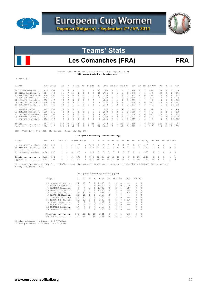



# Les Comanches (FRA) FRA

Overall Statistics for LES COMANCHES (as of Sep 05, 2014) **(All games Sorted by Batting avg)** 

record: 5-1

| Player                                                                    | AVG  | $GP - GS$ | AB  | R             | Н  | 2B | 3B |   | HR RBI | TB  | SLG% | BB            | HBP | SO. | GDP      | OB%  | SF            | SH       | $SB-ATT$  | PO. | Α        | E             | FLD%   |
|---------------------------------------------------------------------------|------|-----------|-----|---------------|----|----|----|---|--------|-----|------|---------------|-----|-----|----------|------|---------------|----------|-----------|-----|----------|---------------|--------|
| 49 MAGNEE Margaux                                                         | .529 | $6 - 6$   | 17  | 6             | 9  |    |    |   |        | 12  | .706 |               |     |     | $\Box$   | .636 | O.            |          | $2 - 2$   | 19  | 5.       |               | 01.000 |
| 15 RIERA Camille                                                          | .524 | $6 - 6$   | 21  |               | 11 |    |    |   |        | 1.5 | .714 |               |     |     |          | .545 | $\Omega$      | 0        | $3 - 3$   | 32  | 6        |               | .974   |
| 17 GIBSON-JONES Sara                                                      | .400 | $6 - 6$   | 20  | 5             | 8  | 3  |    |   | 6      | 11  | .550 |               |     |     | $\Box$   | .455 | $\Omega$      | 0        | $1 - 1$   | 13  | 8        |               | .955   |
| 3 MARIE Manon                                                             | .278 | $6 - 6$   | 18  |               |    |    |    |   |        | 6.  | .333 |               |     |     |          | .300 |               |          | $2 - 2$   |     |          |               | .889   |
| 12 LEMAIRE Camille                                                        | .250 | $6 - 6$   | 16  | 6             |    |    |    |   | २      | 4   | .250 |               |     |     |          | .333 | O.            |          | $1 - 1$   | 4   | 9        |               | .765   |
| 8 CARATINI Marion                                                         | .200 | $6 - 6$   | 1.5 | $\mathcal{D}$ | २  |    |    |   |        | 4   | .267 |               |     | 5   |          | .200 | $\mathcal{O}$ | $\Omega$ | $0 - 0$   | 16  | 6        |               | .957   |
| 10 DOMANICO Elsa                                                          | .071 | $6 - 6$   | 14  |               |    |    |    |   |        | 2   | .143 |               |     | 3   | $\Omega$ | .133 | $\mathcal{O}$ | 3        | $0 - 0$   | 6.  | $\Omega$ |               | 01.000 |
|                                                                           |      |           |     |               |    |    |    |   |        |     |      |               |     |     |          |      |               |          |           |     |          |               |        |
| 7 PRADE Pauline                                                           | .538 | $6 - 4$   | 13  |               |    |    |    |   |        |     | .538 |               |     | 3   | $\Box$   | .538 | $\mathcal{O}$ | $\Omega$ | $1 - 3$   | 4   | $\Omega$ |               | .800   |
| 23 BONAUDO Marion                                                         | .500 | $2 - 0$   |     | <sup>0</sup>  |    |    |    |   |        |     | .500 | O.            |     |     |          | .500 | 0             | 0        | $0 - 0$   | 0   | 0        | $\mathcal{O}$ | .000   |
| 11 LASSAIGNE Celine.                                                      | .444 | $3 - 3$   | 9   |               |    |    | 0  | 0 |        | 6   | .667 |               |     |     | $\Box$   | .500 | $\mathcal{O}$ | $\Omega$ | $0 - 0$   | 13  |          |               | .933   |
| 25 BENCHALI Sarah                                                         | .231 | $5 - 5$   | 13  |               |    |    |    |   |        | 4   | .308 |               |     |     |          | .231 | O.            | 0        | $0 - 0$   | 2.  |          |               | 01.000 |
| 4 GARTNER Charline.                                                       | .000 | $5 - 5$   | 5.  |               |    |    |    |   |        | 0   | .000 | $\mathcal{L}$ |     |     |          | .375 | $\mathcal{O}$ | 0        | $0 - 0$   | 4   | 5        |               | 01.000 |
| $Totals$                                                                  | .344 | 6-6       | 163 | 39            | 56 | 14 |    | 0 | 24     | 72  | .442 | 10            | 6.  | 28  | 2        | .400 | 1.            | 9        | $10 - 12$ | 120 | 48       | 10            | .944   |
| Opponents                                                                 | .228 | $6 - 6$   | 149 | 25            | 34 | 8  |    | 0 | 21     | 42  | .282 | 16            |     | 30  | 0        | .305 |               | 5        | $7 - 8$   | 114 | 51       | 20            | .892   |
| Team $(37)$ , Opp $(28)$ . DPs turned - Team $(1)$ , Opp $(4)$ .<br>LOB - |      |           |     |               |    |    |    |   |        |     |      |               |     |     |          |      |               |          |           |     |          |               |        |

### **(All games Sorted by Earned run avg)**

| Player                                                                                                                | ERA W-L |  |  |  |  |  |  |  | APP GS CG SHO/CBO SV IP H R ER BB SO 2B 3B HR AB B/Avg WP HBP BK SFA SHA                                                                        |  |  |  |
|-----------------------------------------------------------------------------------------------------------------------|---------|--|--|--|--|--|--|--|-------------------------------------------------------------------------------------------------------------------------------------------------|--|--|--|
| 4 GARTNER Charline. 2.29 2-1 4 4 2 1/0 0 18.1 14 10 6 9 7 2 0 0 65 .215 1 0 0 1 2<br>25 BENCHALI Sarah 3.62 3-0       |         |  |  |  |  |  |  |  | 4   2   1   0/0   0   19.1   17   12   10   4   22   6   0   0   76   .224   1   0   0   0   3                                                  |  |  |  |
| 11 LASSAIGNE Celine. 9.00 0-0 1 0 0 0/0 0 2.1 3 3 3 3 1 0 0 0 8 .375 0 1 0 0 0                                        |         |  |  |  |  |  |  |  |                                                                                                                                                 |  |  |  |
| Totals $3.33 \t 5-1$<br>Opponents $4.42$ 1-5                                                                          |         |  |  |  |  |  |  |  | 6 6 3 1/0 0 40.0 34 25 19 16 30 8 0 0 149 .228 2 1 0 1 5<br>6  6  4  0 / 0  0  38  0  5  6  39  24  10  28  14  1  0  163  .344  10  6  0  1  9 |  |  |  |
| הסוגרה מון 14.41 בזגוומוגרה (1,01 בהסדר ה-1,000 בהממלכה כ-1,000 ב-1,000 ב-1,01 ה-1,01 באלה (1,01 המסדר (1,01 המקום הח |         |  |  |  |  |  |  |  |                                                                                                                                                 |  |  |  |

PB - Team (2), RIERA 2, Opp (7). Pickoffs - Team (4), RIERA 3, LASSAIGNE 1. SBA/ATT - RIERA (7-8), BENCHALI (4-4), GARTNER<br>(2-3), LASSAIGNE (1-1).

## (All games Sorted by Fielding pct)

| Player |                      |     | PO             | Α        | E.           | FLD%  | DPs      | SBA CSB       |          | SBA%    | PB            | CI       |
|--------|----------------------|-----|----------------|----------|--------------|-------|----------|---------------|----------|---------|---------------|----------|
|        | 49 MAGNEE Margaux    | 24  | 19             | 5        | $\Omega$     | 1,000 | 1.       | 0             | $\Omega$ |         | $\mathcal{O}$ | 0        |
|        | 25 BENCHALT Sarah    | 9   | 2              | 7        | $\Omega$     | 1,000 | 0        | 4             | 0        | 1,000   | $\Omega$      | 0        |
|        | 4 GARTNER Charline.  | 9   | $\overline{4}$ | 5        | 0            | 1,000 | $\Omega$ | $\mathcal{L}$ |          | .667    | $\circ$       | 0        |
|        | 10 DOMANICO Elsa     | 6   | 6              | $\Omega$ | $\Omega$     | 1,000 | 0        | 0             | $\Omega$ | $- - -$ | $\Omega$      | 0        |
|        | 15 RIERA Camille     | 39  | 32             | 6.       | 1            | .974  |          | 7             |          | .875    | 2             | 0        |
|        | 8 CARATINI Marion    | 23  | 16             | 6.       | $\mathbf{1}$ | .957  | 0        | 0             | 0        | $- - -$ | $\Omega$      | 0        |
| 17     | GIBSON-JONES Sara    | 22  | 13             | 8        | 1            | .955  |          | 0             | $\Omega$ | $- - -$ | $\Omega$      | $\Omega$ |
|        | 11 LASSAIGNE Celine. | 1.5 | 13             |          | $\mathbf{1}$ | .933  | 0        |               | 0        | 1,000   | $\Omega$      | 0        |
|        | 3 MARIE Manon        | 9   | 7              |          | $\mathbf{1}$ | .889  | 0        | 0             | 0        | $- - -$ | $\mathcal{O}$ | $\Omega$ |
|        | PRADE Pauline        | 5   | 4              | $\Omega$ | $\mathbf{1}$ | .800  | 0        | 0             | $\Omega$ | $- - -$ | $\mathcal{O}$ | $\Omega$ |
|        | 12 LEMATRE Camille   | 17  | 4              | 9        | 4            | .765  | 0        | 0             | $\Omega$ | $- - -$ | $\mathcal{O}$ | $\Omega$ |
|        | 23 BONAUDO Marion    | 0   | 0              | 0        | $\Omega$     | .000  | 0        | O.            | $\Omega$ | $- - -$ | $\mathcal{O}$ | $\Omega$ |
|        | Totals               | 178 | 120            | 48       | 10           | .944  |          | 7             |          | .875    | 2             | $\Omega$ |
|        | Opponents            | 185 | 114            | 51       | 20           | .892  | 4        | 10            | 2        | .833    | 7             | $\Omega$ |
|        |                      |     |                |          |              |       |          |               |          |         |               |          |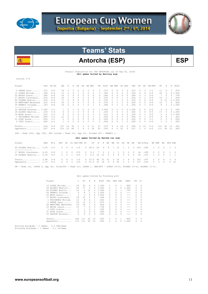



# Antorcha (ESP) BSP

Overall Statistics for CBS ANTORCHA (as of Sep 05, 2014) **(All games Sorted by Batting avg)** 

record: 2-4

| Player                  | AVG  | $GP - GS$ | AB  | R  | Η             | 2B | 3B | <b>HR</b> | <b>RBI</b> | TB       | SLG% | BB. | HBP | SO.      | GDP    | OB%    | SF            | SH       | $SB-ATT$ | PO.      | Α  | E  | FLD%   |
|-------------------------|------|-----------|-----|----|---------------|----|----|-----------|------------|----------|------|-----|-----|----------|--------|--------|---------------|----------|----------|----------|----|----|--------|
| 5 GARDE Sara            | .313 | $6 - 6$   | 16  | 2  | $\mathcal{L}$ |    |    | 0         |            | 5.       | 313  |     | 0   | 3        | $\Box$ | .313   | $\Omega$      | 3        | $1 - 1$  | 11       | 9  | 3. | .870   |
| 13 LOPEZ Miriam.        | .308 | $6 - 6$   | 13  |    |               |    |    | 0         | 2          | 5.       | .385 | 6.  |     | 2        | 0      | .526   | $\Omega$      | 0        | $0 - 0$  | 25       | 4  |    | 01.000 |
| 23 ARIAS Laura          | .286 | $6 - 6$   | 14  |    |               |    |    |           |            | 4        | .286 |     |     |          |        | .286   |               | 3        | $0 - 0$  |          |    | 3. | .700   |
| 17 BUSSO Constanza      | .250 | $6 - 6$   | 16  |    |               |    |    |           |            | 4        | 250  |     |     |          |        | .250   | O.            |          | $0 - 0$  | 15       |    |    | .944   |
| 69 FLORES Noelia        | .235 | $6 - 6$   | 17  |    |               |    |    |           |            | 4        | 235  |     |     |          |        | .316   | n             | 0        | $0 - 0$  | 4        | 2ء |    | 01.000 |
| 36 MARTINEZ Macarena    | .222 | $6 - 6$   | 18  |    |               |    |    |           |            | 6.       | 333  |     |     |          |        | 263    | 0             | $\Omega$ | $0 - 0$  | 12       |    | 4  | .826   |
| 24 FRANCO Yolanda       | .143 | $6 - 6$   | 14  |    | 2             |    |    |           |            | 4        | .286 |     |     | २        | $\cap$ | .200   | $\cap$        |          | $0 - 0$  | 8.       |    |    | 01.000 |
| --------------          |      |           |     |    |               |    |    |           |            |          |      |     |     |          |        |        |               |          |          |          |    |    |        |
| 33 PASTOR Encarna 1.000 |      | $1 - 1$   |     |    |               |    |    |           | 0          | 1 1      | .000 |     | 0   | $\Omega$ |        | 01.000 | $\mathcal{O}$ | $\Omega$ | $0 - 0$  | 0        | 0  | 0  | .000   |
| 18 ALONSO Beatriz       | .250 | $5 - 4$   |     |    |               |    |    |           |            |          | .250 |     |     |          | 0      | .400   | 0             | $\Omega$ | $0 - 0$  | 17       | 3  |    | 01.000 |
| 10 MOYA Sonia           | .222 | $5 - 3$   | 9   |    |               |    |    |           |            |          | 222  |     |     |          |        | .300   | O.            |          | $0 - 0$  | 3.       |    |    | 01.000 |
| 1 TRIGUEROS Miriam.     | .083 | $5 - 5$   | 12  |    |               |    |    |           |            |          | .083 |     |     |          |        | .083   | n             |          | $0 - 0$  | 8        |    |    | .923   |
| 31 DIAZ Diana.<br>.     | .000 | $3 - 1$   | 2   |    |               |    |    |           |            | $\Omega$ | .000 |     |     |          |        | .000   | n             |          | $1 - 1$  | $\Omega$ |    |    | .000   |
| $2$ COTO Lianis         | .000 | $2 - 1$   |     |    |               |    |    |           | $\Omega$   | 0        | .000 |     |     |          |        | .000   | O.            | n        | $0 - 0$  |          |    |    | .500   |
| Totals                  | .234 | $6 - 6$   | 137 | 14 | 32            |    |    |           | 11         | 37       | 270  | 9   | 3   | 24       | $\Box$ | .295   | $\mathcal{O}$ | 10       | $2 - 2$  | 111      | 42 | 13 | .922   |
| Opponents               | .297 | $6 - 6$   | 155 | 23 | 46            |    |    |           | 18         | 55       | .355 | 'n. |     | 22       |        | .317   | २             |          | $4 - 5$  | 111      | 54 | 10 | .943   |

LOB - Team (34), Opp (34). DPs turned - Team (3), Opp (2). Picked off - FRANCO 1.

### **(All games Sorted by Earned run avg)**

| Player                                                                                                                                                        |  | ERA W-L APP GS CG SHO/CBO SV IP H R ER BB SO 2B 3B HR AB B/Avq WP HBP BK SFA SHA |  |  |  |  |  |  |  |  |  |  |
|---------------------------------------------------------------------------------------------------------------------------------------------------------------|--|----------------------------------------------------------------------------------|--|--|--|--|--|--|--|--|--|--|
| 69 FLORES Noelia 2.00 2-2 4 4 4 1/0 0 28.0 29 9 8 1 15 1 2 0 109 .266 1 0 0 1 3                                                                               |  |                                                                                  |  |  |  |  |  |  |  |  |  |  |
| 17 BUSSO Constanza 4.20 0-0 1 0 0 0/0 0 3.1 7 2 2 1 1 0 2 0 16 438 0 0 0 1 0<br>18 ALONSO Beatriz 6.18 0-2 2 2 1 0/0 0 5.2 10 12 5 4 6 0 0 0 30 333 1 0 0 1 1 |  |                                                                                  |  |  |  |  |  |  |  |  |  |  |
| Totals 2.84 2-4 6 6 5 1/0 0 37.0 46 23 15 6 22 1 4 0 155 .297 2 0 0 3 4<br>Opponents 1.70 4-2 6 6 5 2/0 0 37.0 32 14 9 9 24 1 2 0 137 .234 3 3 0 0 10         |  |                                                                                  |  |  |  |  |  |  |  |  |  |  |
| PB - Team (3), LOPEZ 3, Opp (4). Pickoffs - Team (1), LOPEZ 1. SBA/ATT - LOPEZ (4-5), FLORES (3-4), ALONSO (1-1).                                             |  |                                                                                  |  |  |  |  |  |  |  |  |  |  |

### (All games Sorted by Fielding pct)

| Player                | C   | PO  | A             | E  | FLD%  | <b>DPs</b>     | SBA CSB |          | SBA%  | PB | СI       |
|-----------------------|-----|-----|---------------|----|-------|----------------|---------|----------|-------|----|----------|
| 13 LOPEZ Miriam       | 29  | 25  | 4             | 0  | 1,000 |                | 4       | 1        | .800  | 3  | 0        |
| ALONSO Beatriz<br>18  | 20  | 17  | 3             | 0  | 1,000 | 2              | 1.      |          | 1,000 | 0  | 0        |
| FLORES Noelia<br>69   | 16  | 4   | 12            |    | 1,000 | $\Omega$       | 3       |          | .750  | 0  | 0        |
| 24 FRANCO Yolanda     | 9   | 8   | 1             | n  | 1,000 |                |         |          | ---   | 0  | $\Omega$ |
| MOYA Sonia<br>10      | 3   | 3   | $\Omega$      | 0  | 1,000 | $\Omega$       |         | $\Omega$ | ---   | 0  | 0        |
| BUSSO Constanza<br>17 | 18  | 1.5 | $\mathcal{L}$ | 1  | .944  | $\Omega$       |         | 0        | ---   | 0  | $\Omega$ |
| 1 TRIGUEROS Miriam.   | 13  | 8   | 4             |    | .923  |                |         |          | ---   | 0  | $\Omega$ |
| GARDE Sara<br>5.      | 23  | 11  | 9             | 3  | .870  |                |         |          | ---   | 0  | $\Omega$ |
| 36 MARTINEZ Macarena  | 23  | 12  |               | 4  | .826  | $\Omega$       |         | $\Omega$ | ---   | 0  | $\Omega$ |
| 23 ARIAS Laura        | 10  | 7   | O             | 3  | .700  | $\Omega$       |         | $\Omega$ | ---   | 0  | $\Omega$ |
| 2 COTO Lianis         | 2   | 1   | 0             |    | .500  | $\Omega$       | 0       | $\Omega$ |       | 0  | $\Omega$ |
| 31 DIAZ Diana         |     | 0   | $\Omega$      | 0  | .000  | 0              |         | $\Omega$ | ---   | 0  | $\Omega$ |
| 33 PASTOR Encarna     |     | 0   | 0             | 0  | .000  | 0              |         | $\Omega$ | ---   | 0  | $\Omega$ |
| $Totals$              | 166 | 111 | 42            | 13 | .922  | 3              | 4       |          | .800  | 3  | $\Omega$ |
| Opponents             | 175 | 111 | 54            | 10 | .943  | $\mathfrak{D}$ | 2       | 0        | 1.000 | 4  | $\Omega$ |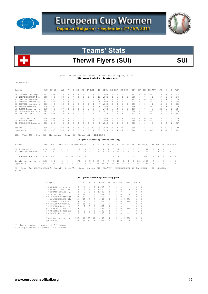



# Therwil Flyers (SUI) **SUI**

Overall Statistics for THERWILL FLYERS (as of Sep 05, 2014)  **(All games Sorted by Batting avg)** 

record: 5-1

| Player                              | AVG  | $GP - GS$                                                  | AB              | R        | Н             | 2B       | 3B       | HR.      | RBI      | TB            | SLG%  | BB.      | HBP       | SO GDP         |           | OB%  | SF            | SH       | SB-ATT  | PO.      | Α             | Е             | FLD%   |
|-------------------------------------|------|------------------------------------------------------------|-----------------|----------|---------------|----------|----------|----------|----------|---------------|-------|----------|-----------|----------------|-----------|------|---------------|----------|---------|----------|---------------|---------------|--------|
| 24 CAMPBELL Kathryn.                | .591 | $6 - 6$                                                    | 22              | 6.       | 13            |          |          |          | 6        | 22 1          | .000  | 0        | $\Box$    |                | $\Box$    | .591 |               | 0        | $0 - 0$ | 6.       |               |               | .929   |
| 1 WOLFENSBERGER Nin                 | .368 | $6 - 6$                                                    | 19              | 5.       |               |          | 2        | $\Omega$ | 2        | 13            | .684  | 4        |           | 4              |           | .500 | $\cap$        | $\cap$   | $1 - 1$ | 47       |               | 3.            | .941   |
| 23 MERRILL Jennifer.                | .333 | $6 - 6$                                                    | 18              | 6        |               |          |          |          |          |               | . 611 |          |           | 5              |           | .429 | $\cap$        | $\cap$   | $0 - 0$ | 3.       |               |               | 01.000 |
| 52 ZEHNDER Kimberley                | .333 | $6 - 6$                                                    | 1.5             | 3        |               |          |          |          |          | 6             | .400  | 4        | $\bigcap$ | 4              | $\Omega$  | .474 | $\cap$        |          | $0 - 0$ | 13       | 10            |               | 1 .958 |
| 53 GLAUSER Adeline                  | .263 | $6 - 6$                                                    | 19              |          |               |          |          |          |          |               | .368  | 0        | 0         | 5              |           | .250 |               |          | $1 - 1$ | 15       | 6             |               | 2.913  |
| 49 WANNER Melanie                   | .250 | $5 - 5$                                                    | 12              |          |               |          |          |          | 4        | 6             | .500  |          | $\Omega$  |                |           | .286 |               |          | $0 - 0$ | 6.       |               |               | 01.000 |
| 38 GUINN Daryl                      | .235 | $6 - 6$                                                    | 17              | 3        |               |          |          |          |          |               | .412  | 5.       |           | 3              |           | .409 | $\cap$        |          | $0 - 0$ | 22       |               |               | .964   |
| 10 MEIERHANS Barbara                | .222 | $5 - 5$                                                    | 9               |          |               |          |          |          | 3        |               | .222  | 5.       |           |                |           | .500 | $\cap$        |          | $0 - 0$ | 0        | $\Omega$      | $\mathcal{O}$ | .000   |
| 14 GFELLER Lena                     | .167 | $6 - 6$                                                    | 12 <sub>2</sub> | 2        |               |          |          | $\Omega$ | 2        | 3             | .250  |          | $\Omega$  | 3.             | $\Omega$  | .231 | $\cap$        | 2        | $0 - 0$ | 2.       | $\Omega$      |               | .667   |
| ----------------<br>7 OSWALD Giulia | .200 | $6 - 4$                                                    | 10              | $\Omega$ | $\mathcal{L}$ | $\Omega$ | 0        | $\Omega$ |          | $\mathcal{L}$ | .200  |          | $\Box$    | 4              | $\bigcap$ | .200 | $\cap$        | 0        | $0 - 0$ | 3.       | $\Omega$      |               | 01.000 |
| 29 HAGER Nadine                     | .000 | $4 - 1$                                                    | 3               | 3        | $\Omega$      | $\Omega$ | $\Omega$ | $\Omega$ |          | $\circ$       | .000  | $\Omega$ |           | $\Omega$       | $\Omega$  | .250 | $\mathcal{O}$ | $\Omega$ | $0 - 0$ | $\Omega$ | $\Omega$      | 0             | .000   |
| 62 GRABOWICZ Patrici                | .000 | $2 - 2$                                                    | २               | $\Omega$ | $\cap$        |          |          | $\cap$   | $\Omega$ | $\Omega$      | .000  | O.       | $\Omega$  | $\mathfrak{D}$ | $\cap$    | .000 | $\cap$        | $\cap$   | $0 - 0$ | $\Omega$ | $\mathcal{P}$ |               | .667   |
|                                     |      |                                                            |                 |          |               |          |          |          |          |               |       |          |           |                |           |      |               |          |         |          |               |               |        |
| Totals                              | .308 | $6 - 6$                                                    | 159             | 32       | 49            | 13       | 4        | 3        | 29       | 79            | .497  | 23       | 2         | 34             | $\circ$   | .398 | 2             | 6        | $2 - 2$ | 117      | 39            | 10            | .940   |
| Opponents                           | .182 | $6 - 6$                                                    | 143             | 8        | 26            | 2        |          | $\Omega$ | 4        | 30            | .210  | 8        | 4         | 47             |           | .244 |               | 3        | $6 - 6$ | 114      | 37            | 6.            | .962   |
| $LOB = Team (48)$ , Opp             |      | $(36)$ . DPs turned - Team $(2)$ . Picked off - ZEHNDER 1. |                 |          |               |          |          |          |          |               |       |          |           |                |           |      |               |          |         |          |               |               |        |

### **(All games Sorted by Earned run avg)**

| Player                                                                                                                                                           | ERA |  |  | W-L APP GS CG SHO/CBO SV IP H R ER BB SO 2B 3B HR AB B/Avq WP HBP BK SFA SHA |  |  |  |  |  |  |  |           |  |
|------------------------------------------------------------------------------------------------------------------------------------------------------------------|-----|--|--|------------------------------------------------------------------------------|--|--|--|--|--|--|--|-----------|--|
| 38 GUINN Daryl 0.74 2-1 4 3 2 1/1 0 19.0 14 4 2 3 22 0 0 0 71 197 2 0 0 1 2<br>23 MERRILL Jennifer. 1.11 3-0 3 3 2 2/0 0 19.0 12 4 3 4 24 2 1 0 69 174 3 4 0 0 1 |     |  |  |                                                                              |  |  |  |  |  |  |  |           |  |
| 53 GLAUSER Adeline 0.00 0-0  1  0  0  0/1  0  1.0  0  0  0  1  1  0  0  0  3  000  0  0  0  0  0  0                                                              |     |  |  |                                                                              |  |  |  |  |  |  |  |           |  |
| Totals $0.90$ 5-1<br>Opponents 5.53 1-5 6 6 3 0/0 0 38.0 49 32 30 23 34 13 4 3 159 .308                                                                          |     |  |  | 6 6 4 4/1 0 39.0 26 8 5 8 47 2 1 0 143 182 5 4 0 1 3                         |  |  |  |  |  |  |  | 4 2 0 2 6 |  |

PB - Team (5), WOLFENSBERGE 5, Opp (2). Pickoffs - Team (0), Opp (1). SBA/ATT - WOLFENSBERGE (6-6), GUINN (4-4), MERRILL (2-2).

# **(All games Sorted by Fielding pct)**

| Player               |     | PO.            | A              | E.            | FLD%  | <b>DPs</b> | SBA CSB  |               | SBA%  | PB.           | СI       |
|----------------------|-----|----------------|----------------|---------------|-------|------------|----------|---------------|-------|---------------|----------|
| WANNER Melanie<br>49 | 10  | 6              | 4              | $\Omega$      | 1,000 | 1.         | $\Omega$ | $\Omega$      | ---   | $\mathcal{O}$ |          |
| 23 MERRILL Jennifer. |     | 3              | 4              | $\Omega$      | 1,000 | 0          | $2^{1}$  | $\mathcal{O}$ | 1,000 | 0             |          |
| 7 OSWALD Giulia      | 3   | 3              | $\circ$        | $\Omega$      | 1,000 | 0          | 0        | 0             | ---   | 0             |          |
| 38 GUINN Daryl       | 28  | 22             | 5.             |               | .964  | 0          | 4        | 0             | 1,000 | 0             | $\Omega$ |
| 52 ZEHNDER Kimberley | 24  | 13             | 10             | 1             | .958  | 2          | 0        | 0             | ---   | $\mathcal{O}$ | $\Omega$ |
| 1 WOLFENSBERGER Nin  | 51  | 47             |                | 3             | .941  | 0          | 6.       | 0             | 1,000 | 5             | $\Omega$ |
| 24 CAMPBELL Kathryn. | 14  | 6              |                | 1             | .929  |            | 0        | 0             | ---   | 0             | $\Omega$ |
| 53 GLAUSER Adeline   | 23  | 1.5            | 6.             | $\mathcal{L}$ | .913  |            | 0        | $\mathcal{O}$ | ---   | $\mathcal{O}$ | $\cap$   |
| 14 GFELLER Lena      | 3   | $\mathfrak{D}$ | $\Omega$       | 1.            | .667  | 0          | 0        | $\mathcal{O}$ | ---   | $\mathcal{O}$ |          |
| 62 GRABOWICZ Patrici | 3   | 0              | $\mathfrak{D}$ | 1             | .667  | 0          | $\Omega$ | $\mathcal{O}$ | ---   | $\mathcal{O}$ |          |
| 10 MEIERHANS Barbara | 0   | 0              | $\Omega$       | $\Omega$      | .000  | 0          | $\Omega$ | $\mathcal{O}$ | ---   | 0             |          |
| 29 HAGER Nadine      | 0   | 0              | $\Omega$       | $\Omega$      | .000  | n          | 0        | 0             | ---   |               | $\cap$   |
| $Totals$             | 166 | 117            | 39             | 10            | .940  | 2          | 6        | <sup>0</sup>  | 1,000 | 5             |          |
| Opponents            | 157 | 114            | 37             | 6             | .962  | 0          | 2        | 0             | 1,000 | 2             |          |
|                      |     |                |                |               |       |            |          |               |       |               |          |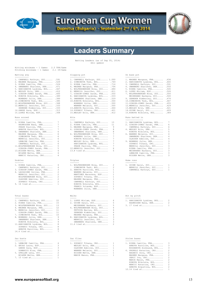



# **Leaders Summary**

Batting Leaders (as of Sep 05, 2014) (All games)

| Batting avg                                   |                | Slugging pct                                                                                                                                                                                                                                                                                                                                                                                                                                                                          | On base pct                                      |              |
|-----------------------------------------------|----------------|---------------------------------------------------------------------------------------------------------------------------------------------------------------------------------------------------------------------------------------------------------------------------------------------------------------------------------------------------------------------------------------------------------------------------------------------------------------------------------------|--------------------------------------------------|--------------|
| -----------                                   |                | ------------                                                                                                                                                                                                                                                                                                                                                                                                                                                                          | -----------                                      |              |
| 1. CAMPBELL Kathryn, SUI .591                 |                | 1. CAMPBELL Kathryn, SUI 1.000                                                                                                                                                                                                                                                                                                                                                                                                                                                        | 1. MAGNEE Margaux, FRA .636                      |              |
| 2. MAGNEE Margaux, FRA .529                   |                | 2. SIMEONOVA Tedi, BUL . 769                                                                                                                                                                                                                                                                                                                                                                                                                                                          | 2. HARIZANOVA Lyubima, BUL                       | .600         |
| 3. RIERA Camille, FRA .524                    |                | 3. RIERA Camille, FRA .714                                                                                                                                                                                                                                                                                                                                                                                                                                                            | 3. CAMPBELL Kathryn, SUI                         | .591         |
| 4. SWANBERG Sharlene, DEN . 471               |                | 4. MAGNEE Margaux, FRA .706                                                                                                                                                                                                                                                                                                                                                                                                                                                           | 4. SWANBERG Sharlene, DEN                        | .550         |
| 5. HARIZANOVA Lyubima, BUL .467               |                | 5. WOLFENSBERGER Nina, SUI . 684                                                                                                                                                                                                                                                                                                                                                                                                                                                      | 5. RIERA Camille, FRA .545                       |              |
| 6. WESLEY Erin, DEN . 412                     |                | 6. MERRILL Jennifer, SUI . 611                                                                                                                                                                                                                                                                                                                                                                                                                                                        | 6. LOPEZ Miriam, ESP .526                        |              |
| 7. GIBSON-JONES Sarah, FRA . 400              |                | 7. GIBSON-JONES Sarah, FRA .550                                                                                                                                                                                                                                                                                                                                                                                                                                                       | 7. WOLFENSBERGER Nina, SUI .500                  |              |
| 8. KONOVA Nikoleta, BUL .389                  |                | 8. HARIZANOVA Lyubima, BUL .533                                                                                                                                                                                                                                                                                                                                                                                                                                                       | MEIERHANS Barbara, SUI                           | .500         |
| MONBERG Julie, DEN .389                       |                | 9. SWANBERG Sharlene, DEN .529                                                                                                                                                                                                                                                                                                                                                                                                                                                        | 9. ZEHNDER Kimberley, SUI . 474                  |              |
| 10.SIMEONOVA Tedi, BUL .385                   |                | 10. KONOVA Nikoleta, BUL . 500                                                                                                                                                                                                                                                                                                                                                                                                                                                        | 10.SIMEONOVA Tedi, BUL . 467                     |              |
| 11. WOLFENSBERGER Nina, SUI . 368             |                | MONBERG Julie, DEN .500                                                                                                                                                                                                                                                                                                                                                                                                                                                               | 11.GIBSON-JONES Sarah, FRA                       | .455         |
| 12.MERRILL Jennifer, SUI .333                 |                | WANNER Melanie, SUI .500                                                                                                                                                                                                                                                                                                                                                                                                                                                              | 12.MERRILL Jennifer, SUI                         | .429         |
| ZEHNDER Kimberley, SUI .333                   |                | 13.ARBOVA Karoline, BUL . 444                                                                                                                                                                                                                                                                                                                                                                                                                                                         | 13. WESLEY Erin, DEN . 421                       |              |
| 14. GARDE Sara, ESP . 313                     |                | 14.ZUPANIC Tihana, CRO . 421                                                                                                                                                                                                                                                                                                                                                                                                                                                          | 14. GUINN Daryl, SUI . 409                       |              |
| 15. LOPEZ Miriam, ESP . 308                   |                | $15.WESLEY Erin, DEN \t.412$                                                                                                                                                                                                                                                                                                                                                                                                                                                          | 15. KONOVA Nikoleta, BUL . 389                   |              |
| Runs scored                                   |                | Hits                                                                                                                                                                                                                                                                                                                                                                                                                                                                                  | Runs batted in                                   |              |
| -----------                                   | 7              | $- - - -$                                                                                                                                                                                                                                                                                                                                                                                                                                                                             | --------------                                   | 7            |
| 1. RIERA Camille, FRA                         | 7              | 1. CAMPBELL Kathryn, SUI<br>13                                                                                                                                                                                                                                                                                                                                                                                                                                                        | 1. HARIZANOVA Lyubima, BUL                       |              |
| RASMUSSEN Nana, DEN                           |                | 2. RIERA Camille, FRA<br>11                                                                                                                                                                                                                                                                                                                                                                                                                                                           | 2. GIBSON-JONES Sarah, FRA                       | 6            |
| PRADE Pauline, FRA                            | 7<br>7         | 3. MAGNEE Margaux, FRA<br>9<br>8                                                                                                                                                                                                                                                                                                                                                                                                                                                      | CAMPBELL Kathryn, SUI                            | 6<br>5       |
| ARBOVA Karoline, BUL                          |                | 4. GIBSON-JONES Sarah, FRA                                                                                                                                                                                                                                                                                                                                                                                                                                                            | 4. WESLEY Erin, DEN                              |              |
| 5. SWANBERG Sharlene, DEN                     | 6              | SWANBERG Sharlene, DEN<br>8<br>7                                                                                                                                                                                                                                                                                                                                                                                                                                                      | KONOVA Nikoleta, BUL                             | 5<br>4       |
| MAGNEE Margaux, FRA                           | 6<br>6         | 6. WOLFENSBERGER Nina, SUI<br>7                                                                                                                                                                                                                                                                                                                                                                                                                                                       | 6. WANNER Melanie, SUI<br>SWANBERG Sharlene, DEN | 4            |
| SIMEONOVA Tedi, BUL                           |                | MONBERG Julie, DEN<br>7                                                                                                                                                                                                                                                                                                                                                                                                                                                               |                                                  | 4            |
| MERRILL Jennifer, SUI<br>LEMAIRE Camille, FRA | 6              | KONOVA Nikoleta, BUL<br>7                                                                                                                                                                                                                                                                                                                                                                                                                                                             | GLAUSER Adeline, SUI                             |              |
|                                               | 6              | WESLEY Erin, DEN<br>7                                                                                                                                                                                                                                                                                                                                                                                                                                                                 | 9. MONBERG Julie, DEN                            | 3<br>3       |
| CAMPBELL Kathryn, SUI                         | 6              | HARIZANOVA Lyubima, BUL                                                                                                                                                                                                                                                                                                                                                                                                                                                               | ZUPANIC Tihana, CRO                              |              |
| 11. WOLFENSBERGER Nina, SUI                   | 5              | 7<br>PRADE Pauline, FRA                                                                                                                                                                                                                                                                                                                                                                                                                                                               | MERRILL Jennifer, SUI                            | 3            |
| GIBSON-JONES Sarah, FRA                       | 5              | 6<br>12.MERRILL Jennifer, SUI                                                                                                                                                                                                                                                                                                                                                                                                                                                         | RIERA Camille, FRA                               | 3<br>3       |
| 13.NISSEN Mette, DEN<br>WILKEN Mette, DEN     | 4<br>4         | 13.8 tied at<br>5                                                                                                                                                                                                                                                                                                                                                                                                                                                                     | MEIERHANS Barbara, SUI                           | 3            |
| MANCIC Katarina, CRO                          | 4              |                                                                                                                                                                                                                                                                                                                                                                                                                                                                                       | LEMAIRE Camille, FRA<br>NISSEN Mette, DEN        | 3            |
|                                               |                |                                                                                                                                                                                                                                                                                                                                                                                                                                                                                       |                                                  |              |
| Doubles<br>-------                            |                | Triples<br>$\frac{1}{2} \left( \frac{1}{2} \right) \left( \frac{1}{2} \right) \left( \frac{1}{2} \right) \left( \frac{1}{2} \right) \left( \frac{1}{2} \right) \left( \frac{1}{2} \right) \left( \frac{1}{2} \right) \left( \frac{1}{2} \right) \left( \frac{1}{2} \right) \left( \frac{1}{2} \right) \left( \frac{1}{2} \right) \left( \frac{1}{2} \right) \left( \frac{1}{2} \right) \left( \frac{1}{2} \right) \left( \frac{1}{2} \right) \left( \frac{1}{2} \right) \left( \frac$ | Home runs<br>---------                           |              |
| 1. RIERA Camille, FRA                         | 4              | 2<br>1. WOLFENSBERGER Nina, SUI                                                                                                                                                                                                                                                                                                                                                                                                                                                       | 1. GUINN Daryl, SUI                              | $\mathbf{1}$ |
| CAMPBELL Kathryn, SUI                         | 4              | SIMEONOVA Tedi, BUL<br>2                                                                                                                                                                                                                                                                                                                                                                                                                                                              | MERRILL Jennifer, SUI                            | $\mathbf{1}$ |
| 3. GIBSON-JONES Sarah, FRA                    | 3              | $\mathbf{1}$<br>3. ARBOVA Karoline, BUL                                                                                                                                                                                                                                                                                                                                                                                                                                               | CAMPBELL Kathryn, SUI                            | 1            |
| 4. LASSAIGNE Celine, FRA                      | 2              | 1<br>WANNER Melanie, SUI                                                                                                                                                                                                                                                                                                                                                                                                                                                              |                                                  |              |
| MERRILL Jennifer, SUI                         | 2              | 1<br>MARTINEZ Macarena, ESP                                                                                                                                                                                                                                                                                                                                                                                                                                                           |                                                  |              |
| WOLFENSBERGER Nina, SUI                       | 2              | ZUPANIC Tihana, CRO<br>1                                                                                                                                                                                                                                                                                                                                                                                                                                                              |                                                  |              |
| GLAUSER Adeline, SUI                          | 2              | MAGNEE Margaux, FRA<br>1                                                                                                                                                                                                                                                                                                                                                                                                                                                              |                                                  |              |
| ZUPANIC Tihana, CRO                           | 2              | CAMPBELL Kathryn, SUI<br>1                                                                                                                                                                                                                                                                                                                                                                                                                                                            |                                                  |              |
| 9. 16 tied at                                 | 1              | 1<br>KONOVA Nikoleta, BUL                                                                                                                                                                                                                                                                                                                                                                                                                                                             |                                                  |              |
|                                               |                | FRANCO Yolanda, ESP<br>1<br>1                                                                                                                                                                                                                                                                                                                                                                                                                                                         |                                                  |              |
|                                               |                | MONBERG Julie, DEN                                                                                                                                                                                                                                                                                                                                                                                                                                                                    |                                                  |              |
| Total bases                                   |                | Walks                                                                                                                                                                                                                                                                                                                                                                                                                                                                                 | Hit by pitch                                     |              |
| -----------                                   |                | $\frac{1}{2} \frac{1}{2} \frac{1}{2} \frac{1}{2} \frac{1}{2} \frac{1}{2} \frac{1}{2} \frac{1}{2} \frac{1}{2} \frac{1}{2} \frac{1}{2} \frac{1}{2} \frac{1}{2} \frac{1}{2} \frac{1}{2} \frac{1}{2} \frac{1}{2} \frac{1}{2} \frac{1}{2} \frac{1}{2} \frac{1}{2} \frac{1}{2} \frac{1}{2} \frac{1}{2} \frac{1}{2} \frac{1}{2} \frac{1}{2} \frac{1}{2} \frac{1}{2} \frac{1}{2} \frac{1}{2} \frac{$                                                                                          | --------------                                   |              |
| 1. CAMPBELL Kathryn, SUI                      | 22             | 1. LOPEZ Miriam, ESP<br>6                                                                                                                                                                                                                                                                                                                                                                                                                                                             | 1. HARIZANOVA Lyubima, BUL                       | 2            |
| 2. RIERA Camille, FRA                         | 15             | 2. GUINN Daryl, SUI<br>5                                                                                                                                                                                                                                                                                                                                                                                                                                                              | RASMUSSEN Nana, DEN                              | 2            |
| 3. WOLFENSBERGER Nina, SUI                    | 13             | 5<br>MEIERHANS Barbara, SUI                                                                                                                                                                                                                                                                                                                                                                                                                                                           | 3. 17 tied at                                    | 1            |
| 4. MAGNEE Margaux, FRA                        | 12             | 4. WOLFENSBERGER Nina, SUI<br>4                                                                                                                                                                                                                                                                                                                                                                                                                                                       |                                                  |              |
| 5. MERRILL Jennifer, SUI                      | 11             | 4<br>FETVOVA Mariya, BUL                                                                                                                                                                                                                                                                                                                                                                                                                                                              |                                                  |              |
| GIBSON-JONES Sarah, FRA                       | 11             | ZEHNDER Kimberley, SUI<br>4                                                                                                                                                                                                                                                                                                                                                                                                                                                           |                                                  |              |
| 7. SIMEONOVA Tedi, BUL                        | 10             | 4<br>MAGNEE Margaux, FRA                                                                                                                                                                                                                                                                                                                                                                                                                                                              |                                                  |              |
| 8. MONBERG Julie, DEN                         | 9              | 3<br>8. HARIZANOVA Lyubima, BUL                                                                                                                                                                                                                                                                                                                                                                                                                                                       |                                                  |              |
| SWANBERG Sharlene, DEN                        | 9              | 3<br>MERRILL Jennifer, SUI                                                                                                                                                                                                                                                                                                                                                                                                                                                            |                                                  |              |
| KONOVA Nikoleta, BUL                          | 9              | SWANBERG Sharlene, DEN                                                                                                                                                                                                                                                                                                                                                                                                                                                                |                                                  |              |
| 11.HARIZANOVA Lyubima, BUL                    | 8              | 11.6 tied at<br>2                                                                                                                                                                                                                                                                                                                                                                                                                                                                     |                                                  |              |
| ZUPANIC Tihana, CRO                           | 8              |                                                                                                                                                                                                                                                                                                                                                                                                                                                                                       |                                                  |              |
| ARBOVA Karoline, BUL<br>14.4 tied at          | 8<br>7         |                                                                                                                                                                                                                                                                                                                                                                                                                                                                                       |                                                  |              |
|                                               |                |                                                                                                                                                                                                                                                                                                                                                                                                                                                                                       |                                                  |              |
| Sac bunts                                     |                | Sac flies                                                                                                                                                                                                                                                                                                                                                                                                                                                                             | Stolen bases                                     |              |
| ---------                                     |                | ---------                                                                                                                                                                                                                                                                                                                                                                                                                                                                             | ------------                                     |              |
| 1. LEMAIRE Camille, FRA                       | 4              | 1. ZUPANIC Tihana, CRO<br>1                                                                                                                                                                                                                                                                                                                                                                                                                                                           | 1. RIERA Camille, FRA                            | 3            |
| 2. ARIAS Laura, ESP                           | 3              | WESLEY Erin, DEN<br>1                                                                                                                                                                                                                                                                                                                                                                                                                                                                 | ARBOVA Karoline, BUL                             | 3            |
| GARDE Sara, ESP                               | 3              | GLAUSER Adeline, SUI<br>1                                                                                                                                                                                                                                                                                                                                                                                                                                                             | BOGDANOVA Aleksand, BUL                          | 3            |
| DOMANICO Elsa, FRA                            | 3              | $\mathbf{1}$<br>WANNER Melanie, SUI                                                                                                                                                                                                                                                                                                                                                                                                                                                   | 4. PRSKALO Katarina, CRO                         | 2            |
| 5. GFELLER Lena, SUI                          | 2              | NISSEN Mette, DEN<br>1                                                                                                                                                                                                                                                                                                                                                                                                                                                                | BAGARIC Dora, CRO                                | 2            |
| WILKEN Mette, DEN                             | $\overline{2}$ | MARIE Manon, FRA<br>$\mathbf{1}$                                                                                                                                                                                                                                                                                                                                                                                                                                                      | MAGNEE Margaux, FRA                              | 2            |
| 7. 15 tied at                                 | 1              |                                                                                                                                                                                                                                                                                                                                                                                                                                                                                       | SERIC Iva, CRO                                   | 2            |
|                                               |                |                                                                                                                                                                                                                                                                                                                                                                                                                                                                                       | MARIE Manon, FRA                                 | 2            |
|                                               |                |                                                                                                                                                                                                                                                                                                                                                                                                                                                                                       | KONOVA Nikoleta, BUL                             | 2            |
|                                               |                |                                                                                                                                                                                                                                                                                                                                                                                                                                                                                       | MANCIC Katarina, CRO                             | 2            |
|                                               |                |                                                                                                                                                                                                                                                                                                                                                                                                                                                                                       | ARBOVA Avgustina, BUL                            | 2            |
|                                               |                |                                                                                                                                                                                                                                                                                                                                                                                                                                                                                       | $12.14$ tied at                                  | $\mathbf{1}$ |

# **www.europeansoftball.org** 13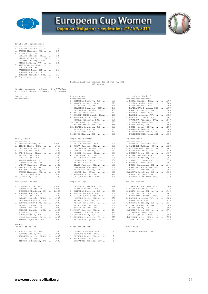

# European Cup Women



Total plate appearances

| 1. WOLFENSBERGER Nina, SUI | 24 |
|----------------------------|----|
| 2. MAGNEE Margaux, FRA     | 23 |
| 3. GUINN Daryl, SUI        | 22 |
| LEMAIRE Camille, FRA       | 22 |
| GIBSON-JONES Sarah, FRA    | 22 |
| CAMPBELL Kathryn, SUI      | 22 |
| RIERA Camille, FRA         | 22 |
| 8. WILKEN Mette, DEN       | 21 |
| MARIE Manon, FRA           | 21 |
| RASMUSSEN Nana, DEN        | 21 |
| GLAUSER Adeline, SUI       | 21 |
| MERRILL Jennifer, SUI      | 21 |
| $13.7$ tied at             | 20 |
|                            |    |

Batting Analysis Leaders (as of Sep 05, 2014) (All games)

| Hitting minimums - 1 Games  |  | 2.5 TPA/Game |  |
|-----------------------------|--|--------------|--|
| Pitching minimums - 1 Games |  | 2.1 IP/Game  |  |

| 1,000<br>1. SIMEONOVA Tedi, BUL |
|---------------------------------|
| .750                            |
| .700                            |
| .600                            |
| .500                            |
| .500                            |
| .500                            |
| .500                            |
| .429                            |
| .429                            |
| .400                            |
| .400                            |
| .400                            |
| .400                            |
|                                 |

| 1. MONBERG Julie, DEN 1.000      | 1. SWANBERG Sharlene, DEN .714  | 1. SWANBERG Sharlene, DEN .800 |  |
|----------------------------------|---------------------------------|--------------------------------|--|
| KONOVA Nikoleta, BUL 1.000       | 2. ZUPANIC Tihana, CRO . 667    | 2. WANNER Melanie, SUI .778    |  |
| SWANBERG Sharlene, DEN 1.000     | 3. CAMPBELL Kathryn, SUI . 625  | 3. ARIAS Laura, ESP .769       |  |
| 4. GLAUSER Adeline, SUI .500     | 4. KONOVA Nikoleta, BUL .600    | 4. LIND Katrine, DEN . 667     |  |
| GFELLER Lena, SUI .500           | 5. GIBSON-JONES Sarah, FRA .500 | MEIERHANS Barbara, SUI .667    |  |
| MYLAND Pernille, DEN .500        | MONBERG Julie, DEN .500         | 6. MAGNEE Margaux, FRA .625    |  |
| MEIERHANS Barbara, SUI .500      | MERRILL Jennifer, SUI .500      | GARDE Sara, ESP .625           |  |
| 8. WOLFENSBERGER Nina, SUI . 000 | WESLEY Erin, DEN .500           | 8. KONOVA Nikoleta, BUL . 615  |  |
| RASMUSSEN Nana, DEN .000         | FETVOVA Mariya, BUL .500        | 9. LEMAIRE Camille, FRA .588   |  |
| ARBOVA Karoline, BUL .000        | WANNER Melanie, SUI .500        | 10. MARIE Manon, FRA 583       |  |
| MERRILL Jennifer, SUI .000       | 11.RIERA Camille, FRA . 444     | 11.WESLEY Erin, DEN .571       |  |
| GUINN Daryl, SUI .000            | 12.LEMAIRE Camille, FRA . 429   | SIMEONOVA Tedi, BUL .571       |  |
| KYNDESENSofia, DEN .000          | 13. GFELLER Lena, SUI . 400     | 13. RIERA Camille, FRA . 563   |  |
| BUSSO Constanza, ESP . 000       | 14.ZEHNDER Kimberley, SUI .375  | 14. WILKEN Mette, DEN . 556    |  |
| ARBOVA Avqustina, BUL .000       | HARIZANOVA Lyubima, BUL .375    | LOPEZ Miriam, ESP .556         |  |
| $<$ page $/$                     |                                 |                                |  |
| Pinch hitting avg                | Pinch hit at bats               | Pinch hits                     |  |

| 1. BONAUDO MARION, FRA .500 | 1. JOHANSEN Malene, DEN |     |
|-----------------------------|-------------------------|-----|
| 2. DUVNJAK Paula, CRO .000  | BONAUDO Marion, FRA     | 2   |
| JOHANSEN Malene, DEN .000   | DUVNJAK Paula, CRO      | -2. |
| MOYA Sonia, ESP .000        | 4. MOYA Sonia, ESP      |     |
| STEPANCIC Brigita, CRO .000 | STEPANCIC Brigita, CRO  |     |
|                             |                         |     |

|                                | 1. CAMPBELL Kathryn, SUI . 591     | 1. RIERA Camille, FRA 1.000      |
|--------------------------------|------------------------------------|----------------------------------|
|                                | 2. MAGNEE Margaux, FRA .529        | FLORES Noelia, ESP 1.000         |
|                                | 3. RIERA Camille, FRA .524         | KYNDESENSofia, DEN 1.000         |
|                                | 4. SWANBERG Sharlene, DEN . 471    | HARIZANOVA Lyubima, BUL 1.000    |
|                                | 5. HARIZANOVA Lyubima, BUL . 467   | CARATINI Marion, FRA 1.000       |
|                                | 6. WESLEY Erin, DEN . 412          | 6. MONBERG Julie, DEN .750       |
|                                | 7. GIBSON-JONES Sarah, FRA<br>.400 | MAGNEE Margaux, FRA .750         |
|                                | 8. MONBERG Julie, DEN .389         | 8. KONOVA Nikoleta, BUL . 667    |
|                                | KONOVA Nikoleta, BUL .389          | OVNARSKA Filipina, BUL<br>.667   |
|                                | 10.SIMEONOVA Tedi, BUL .385        | SIMEONOVA Tedi, BUL<br>.667      |
|                                | 11. WOLFENSBERGER Nina, SUI . 368  | 11. MARIE Manon, FRA . 600       |
|                                | 12. MERRILL Jennifer, SUI . 333    | LOPEZ Miriam, ESP .600           |
|                                | ZEHNDER Kimberley, SUI .333        | 13. CAMPBELL Kathryn, SUI . 500  |
|                                | 14. GARDE Sara, ESP . 313          | GIBSON-JONES Sarah, FRA .500     |
|                                | 15. LOPEZ Miriam, ESP . 308        | WOLFENSBERGER Nina, SUI .500     |
|                                |                                    |                                  |
| Avq w/2 outs                   | Avg w/bases empty                  | Avq w/runners                    |
|                                | -----------------                  | -------------                    |
| 1. SIMEONOVA Tedi, BUL 1.000   | 1. PASTOR Encarna, ESP 1.000       | 1. SWANBERG Sharlene, DEN . 667  |
| 2. NISSEN Mette, DEN .750      | 2. RIERA Camille, FRA .833         | 2. CAMPBELL Kathryn, SUI . 538   |
| 3. CAMPBELL Kathryn, SUI . 700 | 3. HARIZANOVA Lyubima, BUL .750    | 3. GIBSON-JONES Sarah, FRA . 462 |
| 4. ARIAS Laura, ESP . 600      | 4. CAMPBELL Kathryn, SUI . 667     | 4. WANNER Melanie, SUI . 429     |
| 5. MARIE Manon, FRA .500       | 5. MAGNEE Margaux, FRA .636        | 5. WESLEY Erin, DEN<br>.417      |
| WESLEY Erin, DEN .500          | 6. SIMEONOVA Tedi, BUL . 571       | 6. RIERA Camille, FRA<br>.400    |
| GFELLER Lena, SUI .500         | 7. WOLFENSBERGER Nina, SUI .500    | 7. KONOVA Nikoleta, BUL<br>.385  |
| WANNER Melanie, SUI .500       | OVNARSKA Filipina, BUL .500        | .375<br>8. ZUPANIC Tihana, CRO   |
| 9. KONOVA Nikoleta, BUL . 429  | ARIAS Laura, ESP .500              | 9. MONBERG Julie, DEN<br>.364    |
| ARBOVA Karoline, BUL . 429     | PRADE Pauline, FRA .500            | BUSSO Constanza, ESP .364        |
| 11.RIERA Camille, FRA . 400    | BOGDANOVA Aleksand, BUL .500       | HARIZANOVA Lyubima, BUL .364     |
| HARAMINA Michaela, CRO .400    | LASSAIGNE Celine, FRA .500         | 12. MERRILL Jennifer, SUI . 357  |
| MAGNEE Margaux, FRA . 400      | WARREN Iva, BUL .500               | 13.ARBOVA Karoline, BUL .333     |
| LOPEZ Miriam, ESP . 400        | 14. MONBERG Julie, DEN . 429       | MAGNEE Margaux, FRA .333         |
| 15. GUINN Daryl, SUI . 333     | 15. GLAUSER Adeline, SUI . 400     | ZEHNDER Kimberley, SUI .333      |
|                                |                                    |                                  |
| Avq w/bases loaded             | Avg w/RBI ops                      | Pct adv runners                  |
|                                | -------------                      | ---------------                  |

| 1. MONBERG Julie, DEN 1.000      | 1. SWANBERG Sharlene, DEN .714  | 1. SWANBERG Sharlene, DEN .800 |  |
|----------------------------------|---------------------------------|--------------------------------|--|
| KONOVA Nikoleta, BUL 1.000       | 2. ZUPANIC Tihana, CRO . 667    | 2. WANNER Melanie, SUI .778    |  |
| SWANBERG Sharlene, DEN 1.000     | 3. CAMPBELL Kathryn, SUI . 625  | 3. ARIAS Laura, ESP .769       |  |
| 4. GLAUSER Adeline, SUI .500     | 4. KONOVA Nikoleta, BUL . 600   | 4. LIND Katrine, DEN . 667     |  |
| GFELLER Lena, SUI .500           | 5. GIBSON-JONES Sarah, FRA .500 | MEIERHANS Barbara, SUI . 667   |  |
| MYLAND Pernille, DEN .500        | MONBERG Julie, DEN .500         | 6. MAGNEE Margaux, FRA .625    |  |
| MEIERHANS Barbara, SUI .500      | MERRILL Jennifer, SUI .500      | GARDE Sara, ESP .625           |  |
| 8. WOLFENSBERGER Nina, SUI . 000 | WESLEY Erin, DEN .500           | 8. KONOVA Nikoleta, BUL . 615  |  |
| RASMUSSEN Nana, DEN .000         | FETVOVA Mariya, BUL .500        | 9. LEMAIRE Camille, FRA .588   |  |
| ARBOVA Karoline, BUL .000        | WANNER Melanie, SUI .500        | 10. MARIE Manon, FRA 583       |  |
| MERRILL Jennifer, SUI .000       | 11.RIERA Camille, FRA . 444     | 11.WESLEY Erin, DEN .571       |  |
| GUINN Daryl, SUI .000            | 12. LEMAIRE Camille, FRA . 429  | SIMEONOVA Tedi, BUL .571       |  |
| KYNDESENSofia, DEN .000          | $13.$ GFELLER Lena, SUI $400$   | 13. RIERA Camille, FRA . 563   |  |
| BUSSO Constanza, ESP .000        | 14.ZEHNDER Kimberley, SUI .375  | 14. WILKEN Mette, DEN . 556    |  |
| ARBOVA Avgustina, BUL .000       | HARTZANOVA Lyubima, BUL 375     | 1.0PEZ Miriam, ESP 556         |  |

## Pinch hit at bats **Pinch hits** Pinch hits

| Finch nitting avg           | Finch hit at bats       |                |
|-----------------------------|-------------------------|----------------|
|                             |                         |                |
| 1. BONAUDO Marion, FRA .500 | 1. JOHANSEN Malene, DEN | -2             |
| 2. DUVNJAK Paula, CRO .000  | BONAUDO Marion, FRA     | -2             |
| JOHANSEN Malene, DEN .000   | DUVNJAK Paula, CRO      | - 2            |
| MOYA Sonia, ESP .000        | 4. MOYA Sonia, ESP      | $\mathbf{1}$   |
| STEPANCIC Brigita, CRO .000 | STEPANCIC Brigita, CRO  | $\overline{1}$ |

# Avg vs left examples are also a proportionally available to the My vs right and the Pct reach as leadoff  $\overline{P}$

| ---------------                                                                                                                                    |                      |
|----------------------------------------------------------------------------------------------------------------------------------------------------|----------------------|
| 1. RIERA Camille, FRA 1.000<br>FLORES Noelia, ESP 1.000<br>KYNDESENSofia, DEN 1.000<br>HARIZANOVA Lyubima, BUL 1.000<br>CARATINI Marion, FRA 1.000 |                      |
| 6. MONBERG Julie, DEN .750<br>MAGNEE Margaux, FRA .750                                                                                             |                      |
| 8. KONOVA Nikoleta, BUL<br>OVNARSKA Filipina, BUL<br>SIMEONOVA Tedi, BUL                                                                           | .667<br>.667<br>.667 |
| 11. MARIE Manon, FRA<br>LOPEZ Miriam, ESP                                                                                                          | .600<br>.600         |
| 13. CAMPBELL Kathryn, SUI<br>GIBSON-JONES Sarah, FRA<br>WOLFENSBERGER Nina, SUI                                                                    | .500<br>.500<br>.500 |
| Avq w/runners                                                                                                                                      |                      |
| 1. SWANBERG Sharlene, DEN                                                                                                                          | .667                 |
| 2. CAMPBELL Kathryn, SUI                                                                                                                           | .538                 |
| 3. GIBSON-JONES Sarah, FRA                                                                                                                         | .462                 |
| 4. WANNER Melanie, SUI                                                                                                                             | .429                 |
| 5. WESLEY Erin, DEN                                                                                                                                | .417                 |
| 6. RIERA Camille, FRA                                                                                                                              | .400                 |
| 7. KONOVA Nikoleta, BUL                                                                                                                            | .385                 |
| 8. ZUPANIC Tihana, CRO                                                                                                                             | .375                 |
| 9. MONBERG Julie, DEN                                                                                                                              | .364                 |

| BUSSO Constanza, ESP .36    |               |
|-----------------------------|---------------|
| HARIZANOVA Lyubima, BUL .36 |               |
| .MERRILL Jennifer, SUI .35  |               |
|                             | $\sim$ $\sim$ |

| 13.ARBOVA Karoline, BUL .333 |  |
|------------------------------|--|
| MAGNEE Margaux, FRA .333     |  |
| ZEHNDER Kimberley, SUI .333  |  |
|                              |  |

| 1. SWANBERG Sharlene, DEN | .800 |
|---------------------------|------|
| 2. WANNER Melanie, SUI    | .778 |
| 3. ARIAS Laura, ESP       | .769 |
| 4. LIND Katrine, DEN      | .667 |
| MEIERHANS Barbara, SUI    | .667 |
| 6. MAGNEE Margaux, FRA    | .625 |
| GARDE Sara, ESP           | .625 |
| 8. KONOVA Nikoleta, BUL   | .615 |
| 9. LEMAIRE Camille, FRA   | .588 |
| 10. MARIE Manon, FRA      | .583 |
| 11. WESLEY Erin, DEN      | .571 |
| SIMEONOVA Tedi, BUL       | .571 |
| 13. RIERA Camille, FRA    | .563 |
| 14. WILKEN Mette, DEN     | .556 |
| LOPEZ Miriam, ESP         | .556 |

1. BONAUDO Marion,  $FRA$ ........ 1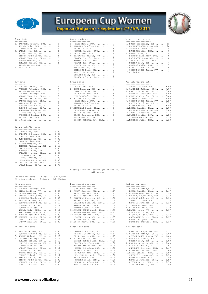



| 1. CAMPBELL Kathryn, SUI |
|--------------------------|
| WESLEY Erin, DEN         |
| KONOVA Nikoleta, BUL     |
| 4. WARREN Iva, BUL       |
| ALONSO Beatriz, ESP      |
| GIBSON-JONES Sarah, FRA  |
| ARBOVA Karoline, BUL     |
| WANNER Melanie, SUI      |
| BONAUDO Marion, FRA      |
| NISSEN Mette, DEN        |
| 11.25 tied at            |

## Fly outs

| 1. ZUPANIC Tihana, CRO   |
|--------------------------|
| 2. PRSKALO Katarina, CRO |
| NISSEN Mette, DEN        |
| CAMPBELL Kathryn, SUI    |
| ARBOVA Karoline, BUL     |
| GIBSON-JONES Sarah, FRA  |
| 7. MANCIC Katarina, CRO  |
| RIERA Camille, FRA       |
| WOLFENSBERGER Nina, SUI  |
| BUSSO Constanza, ESP     |
| SWANBERG Sharlene, DEN   |
| FLORES Noelia, ESP       |
| TRIGUEROS Miriam, ESP    |
| ואסת אנציטיס עסופטמא     |

### Ground outs/Fly outs

| 1. GARDE Sara, ESP 99.00      |  |
|-------------------------------|--|
| 2. ORESCANIN Lorena, CRO 6.00 |  |
| LOPEZ Miriam, ESP 6.00        |  |
| 4. KYNDESENSofia, DEN 4.00    |  |

|  |                   |  |  |  |  |  | ---- |  |  |
|--|-------------------|--|--|--|--|--|------|--|--|
|  | LIND Katrine, DEN |  |  |  |  |  | 4.00 |  |  |

- LIND Katrine, DEN.......... 4.00<br>
6. MAGNEE Margaux, FRA........ 2.50<br>
8. MARIE Manon, FRA........... 2.33<br>
9. RASMUSSEN Nana, DEN....... 2.00<br>
CARATINI Marion, FRA....... 2.00
- 
- 
- DOMANICO Elsa, FRA......... 2.00 FRANCO Yolanda, ESP........ 2.00
- MEIERHANS Barbara, SUI..... 2.00 14.LEMAIRE Camille, FRA....... 1.75 ARIAS Laura, ESP........... 1.75

|                                                                                                                                                                                                                                                             | Runs scored per game                                                                                                                                                                                                                                                                                                                                                                                                                                                                 |                                                                                                      | Doubles per game<br>----------------                                                                                                                                                                                                                                                         |
|-------------------------------------------------------------------------------------------------------------------------------------------------------------------------------------------------------------------------------------------------------------|--------------------------------------------------------------------------------------------------------------------------------------------------------------------------------------------------------------------------------------------------------------------------------------------------------------------------------------------------------------------------------------------------------------------------------------------------------------------------------------|------------------------------------------------------------------------------------------------------|----------------------------------------------------------------------------------------------------------------------------------------------------------------------------------------------------------------------------------------------------------------------------------------------|
| 1.25<br>1.17<br>1.17<br>1.17<br>1.17<br>1.17<br>1.00<br>0.83<br>0.83<br>0.83                                                                                                                                                                                | MERRILL Jennifer, SUI<br>SWANBERG Sharlene, DEN<br>LEMAIRE Camille, FRA<br>10.GIBSON-JONES Sarah, FRA<br>WOLFENSBERGER Nina, SUI<br>12. MANCIC Katarina, CRO<br>NISSEN Mette, DEN<br>WILKEN Mette, DEN<br>15. GUINN Daryl, SUI                                                                                                                                                                                                                                                       | 0.67<br>0.67<br>0.50                                                                                 | 1. CAMPBELL Kathr<br>RIERA Camille,<br>3. GIBSON-JONES S<br>4. WOLFENSBERGER<br>GLAUSER Adelin<br>ZUPANIC Tihana<br>MERRILL Jennif<br>8. SIMEONOVA Tedi<br>9. WANNER Melanie<br>10. MARIE Manon, F<br>ARBOVA Karolin<br>RASMUSSEN Nana<br>ORESCANIN Lore<br>MAGNEE Margaux<br>SWANBERG Sharl |
|                                                                                                                                                                                                                                                             | Homers per game                                                                                                                                                                                                                                                                                                                                                                                                                                                                      |                                                                                                      | RBIs per game<br>-------------                                                                                                                                                                                                                                                               |
| 0.50<br>0.33<br>0.20<br>0.17<br>0.17<br>0.17<br>0.17<br>0.17<br>0.17<br>0.17<br>0.17<br>0.00<br>0.00<br>0.00                                                                                                                                                | 1. CAMPBELL Kathryn, SUI<br>MERRILL Jennifer, SUI<br>GUINN Daryl, SUI<br>4. RIERA Camille, FRA<br>GIBSON-JONES Sarah, FRA<br>GLAUSER Adeline, SUI<br>WOLFENSBERGER Nina, SUI<br>MANCIC Katarina, CRO<br>ZUPANIC Tihana, CRO<br>RASMUSSEN Nana, DEN<br>HARAMINA Michaela, CRO<br>MARIE Manon, FRA<br>MONBERG Julie, DEN<br>ARBOVA Karoline, BUL                                                                                                                                       | 0.17<br>0.17<br>0.00<br>0.00<br>0.00<br>0.00<br>0.00<br>0.00<br>0.00<br>0.00<br>0.00<br>0.00<br>0.00 | 1. HARIZANOVA Lyu<br>2. CAMPBELL Kathr<br>GIBSON-JONES S<br>4. KONOVA Nikolet<br>WESLEY Erin, D<br>6. WANNER Melanie<br>7. GLAUSER Adelin<br>SWANBERG Sharl<br>9. MEIERHANS Barb<br>10.RIERA Camille,<br>ZUPANIC Tihana<br>MONBERG Julie,<br>MERRILL Jennif<br>NISSEN Mette,                 |
| 1. SIMEONOVA Tedi, BUL<br>2. WOLFENSBERGER Nina, SUI<br>3. WANNER Melanie, SUI<br>4. CAMPBELL Kathryn, SUI<br>MONBERG Julie, DEN<br>MAGNEE Margaux, FRA<br>FRANCO Yolanda, ESP<br>12. RIERA Camille, FRA<br>GIBSON-JONES Sarah, FRA<br>GLAUSER Adeline, SUI | 2.5 TPA/Game<br>Pitching minimums - 1 Games 2.1 IP/Game<br>1. CAMPBELL Kathryn, SUI 2.17<br>2. RIERA Camille, FRA 1.83<br>3. MAGNEE Margaux, FRA 1.50<br>4. GIBSON-JONES Sarah, FRA 1.33<br>SWANBERG Sharlene, DEN 1.33<br>6. SIMEONOVA Tedi, BUL<br>7. WOLFENSBERGER Nina, SUI<br>MONBERG Julie, DEN<br>KONOVA Nikoleta, BUL<br>WESLEY Erin, DEN<br>HARIZANOVA Lyubima, BUL<br>12.MERRILL Jennifer, SUI<br>13. GLAUSER Adeline, SUI<br>MANCIC Katarina, CRO<br>ARBOVA Karoline, BUL | --------------------<br>----------------                                                             | 1. SIMEONOVA Tedi, BUL 1.50<br>2. RIERA Camille, FRA 1.17<br>RASMUSSEN Nana, DEN 1.17<br>ARBOVA Karoline, BUL 1.17<br>5. CAMPBELL Kathryn, SUI 1.00<br>1.00<br>1.00<br>MAGNEE Margaux, FRA 1.00<br>1.00<br>0.83<br>0.83<br>0.67<br>0.17                                                      |

| ----------                |                | ---------------- |                                            |                                | --------------------                           |
|---------------------------|----------------|------------------|--------------------------------------------|--------------------------------|------------------------------------------------|
| 1. CAMPBELL Kathryn, SUI  | -4             |                  | 7<br>1. MARIE Manon, FRA                   |                                | 1. BUSSO Constanza, E                          |
| WESLEY Erin, DEN 4        |                |                  | 2. LEMAIRE Camille, FRA<br>6               |                                | 2. WOLFENSBERGER Nina                          |
| KONOVA Nikoleta, BUL 4    |                |                  | ARIAS Laura, ESP 6                         |                                | 3. TOPALOVA Elena, BU                          |
| 4. WARREN Iva, BUL        | 2              |                  | 4. WANNER Melanie, SUI<br>4                |                                | KYNDESENSofia, DEN                             |
| ALONSO Beatriz, ESP       | 2              |                  | 3<br>5. GARDE Sara, ESP                    |                                | 5. GUINN Daryl, SUI                            |
| GIBSON-JONES Sarah, FRA   | $\mathcal{L}$  |                  | 6. LASSAIGNE Celine, FRA<br>$\mathfrak{D}$ |                                | ZEHNDER Kimberley,                             |
| ARBOVA Karoline, BUL      | $\overline{2}$ |                  | 2<br>ALONSO Beatriz, ESP                   |                                | RASMUSSEN Nana, DE                             |
| WANNER Melanie, SUI       | 2              |                  | 2<br>FLORES Noelia, ESP                    |                                | 8. TRIGUEROS Miriam,                           |
| BONAUDO Marion, FRA       | 2              |                  | 2<br>WARREN Iva, BUL                       |                                | WESLEY Erin, DEN                               |
| NISSEN Mette, DEN         | 2              |                  | 2<br>NISSEN Mette, DEN                     |                                | MONBERG Julie, DEN                             |
| $11.25$ tied at           | $\overline{1}$ |                  | $\overline{2}$<br>HAGER Nadine, SUI        |                                | 11.MERRILL Jennifer,                           |
|                           |                |                  | DOMANICO Elsa, FRA                         | $2 \left( \frac{1}{2} \right)$ | GIBSON-JONES Sarah                             |
|                           |                |                  | 2<br>WESLEY Erin, DEN                      |                                | $13.4$ tied at                                 |
|                           |                |                  | 2<br>GFELLER Lena, SUI                     |                                |                                                |
|                           |                |                  | $\mathfrak{D}$<br>FRANCO Yolanda, ESP      |                                |                                                |
| Fly outs                  |                | Ground outs      |                                            |                                | Fly outs/Ground outs                           |
| 1. ZUPANIC Tihana, CRO 8  |                | -----------      | 1. GARDE Sara, ESP                         | $9 \qquad \qquad$              | ---------------------<br>1. ZUPANIC Tihana, CR |
| 2. PRSKALO Katarina, CRO  | $\overline{7}$ |                  | 8<br>2. LIND Katrine, DEN                  |                                | 2. CAMPBELL Kathryn,                           |
|                           | $\overline{7}$ |                  | 8                                          |                                | 3. MANCIC Katarina, C                          |
| NISSEN Mette, DEN         |                |                  | DOMANICO Elsa, FRA                         |                                |                                                |
| CAMPBELL Kathryn, SUI     | $\overline{7}$ |                  | RASMUSSEN Nana, DEN<br>-8                  |                                | SWANBERG Sharlene,                             |
| ARBOVA Karoline, BUL      |                |                  | KYNDESENSofia, DEN 8                       |                                | 5. MERRILL Jennifer,                           |
| GIBSON-JONES Sarah, FRA 7 |                |                  | 7<br>6. WILKEN Mette, DEN                  |                                | 6. SIMEONOVA Tedi, BU                          |
| 7. MANCIC Katarina, CRO 6 |                |                  | MARIE Manon, FRA 7                         |                                | 7. GIBSON-JONES Sarah                          |
| RIERA Camille, FRA        |                |                  | T.EMATRE Camille, FRA 7                    |                                | ARBOVA Karoline, B                             |

### 2-out RBIs Runners advanced Runners left on base

| 1. CAMPBELL Kathryn, SUI 4 | 1. MARIE Manon, FRA 7      | 1. BUSSO Constanza, ESP 11    |                |
|----------------------------|----------------------------|-------------------------------|----------------|
| WESLEY Erin, DEN 4         | 2. LEMAIRE Camille, FRA 6  | 2. WOLFENSBERGER Nina, SUI 10 |                |
| KONOVA Nikoleta, BUL 4     | ARIAS Laura, ESP 6         | 3. TOPALOVA Elena, BUL        | - 9            |
| 4. WARREN Iva, BUL $2$     | 4. WANNER Melanie, SUI 4   | KYNDESENSofia, DEN            | -9             |
| ALONSO Beatriz, ESP 2      | $5.$ GARDE Sara, ESP 3     | 5. GUINN Daryl, SUI           | 8 <sup>8</sup> |
| GIBSON-JONES Sarah, FRA 2  | 6. LASSAIGNE Celine, FRA 2 | ZEHNDER Kimberley, SUI        | 8              |
| ARBOVA Karoline, BUL 2     | ALONSO Beatriz, ESP 2      | RASMUSSEN Nana, DEN           | 8              |
| WANNER Melanie, SUI 2      | FLORES Noelia, ESP 2       | 8. TRIGUEROS Miriam, ESP      | -7             |
| BONAUDO Marion, FRA 2      | WARREN Iva, BUL 2          | WESLEY Erin, DEN              | 7              |
| NISSEN Mette, DEN 2        | NISSEN Mette, DEN 2        | MONBERG Julie, DEN            | 7              |
| 11.25 tied at 1            | HAGER Nadine, SUI 2        | 11.MERRILL Jennifer, SUI      | -6             |
|                            | DOMANICO Elsa, FRA 2       | GIBSON-JONES Sarah, FRA       | 6              |
|                            |                            |                               | -5.            |
|                            | GFELLER Lena, SUI          |                               |                |

### Fly outs/Ground outs

| 1. ZUPANIC Tihana, CRO 8   |                | 1. GARDE Sara, ESP        | 9               | 1. ZUPANIC Tihana, CRO 8.00    |      |
|----------------------------|----------------|---------------------------|-----------------|--------------------------------|------|
| 2. PRSKALO Katarina, CRO 7 |                | 2. LIND Katrine, DEN      | 8               | 2. CAMPBELL Kathryn, SUI 7.00  |      |
| NISSEN Mette, DEN          | - 7 -          | DOMANICO Elsa, FRA        | 8               | 3. MANCIC Katarina, CRO 6.00   |      |
| CAMPBELL Kathryn, SUI      | $7\phantom{0}$ | RASMUSSEN Nana, DEN       | 8               | SWANBERG Sharlene, DEN 6.00    |      |
| ARBOVA Karoline, BUL       | 7              | KYNDESENSofia, DEN        | 8               | 5. MERRILL Jennifer, SUI 5.00  |      |
| GIBSON-JONES Sarah, FRA 7  |                | 6. WILKEN Mette, DEN      | $7\overline{)}$ | 6. SIMEONOVA Tedi, BUL 4.00    |      |
| 7. MANCIC Katarina, CRO    | 6.             | MARIE Manon, FRA          | 7               | 7. GIBSON-JONES Sarah, FRA     | 3.50 |
| RIERA Camille, FRA         | 6              | LEMAIRE Camille, FRA      | $7\degree$      | ARBOVA Karoline, BUL 3.50      |      |
| WOLFENSBERGER Nina, SUI    | -6             | ARIAS Laura, ESP          | 7               | NISSEN Mette, DEN 3.50         |      |
| BUSSO Constanza, ESP       | -6             | 10. BENCHALI Sarah, FRA 6 |                 | 10. RIERA Camille, FRA 3.00    |      |
| SWANBERG Sharlene, DEN     | 6              | ORESCANIN Lorena, CRO     | -6              | WOLFENSBERGER Nina, SUI 3.00   |      |
| FLORES Noelia, ESP         | 6.             | FRANCO Yolanda, ESP       | 6               | 12. PRSKALO Katarina, CRO 1.75 |      |
| TRIGUEROS Miriam, ESP      | -6             | BUSSO Constanza, ESP      | -6              | 13. FLORES Noelia, ESP 1.50    |      |
| WESLEY Erin, DEN           | 6              | LOPEZ Miriam, ESP         | 6               | FETVOVA Mariya, BUL 1.50       |      |
| 15.5 tied at               | -5             | CIZMIC POKRAJA Pet, CRO   | -6              | 15. MONBERG Julie, DEN 1.33    |      |
|                            |                |                           |                 |                                |      |

 Batting Per-Game Leaders (as of Sep 05, 2014) (All games)

### Runs scored per game  $\qquad \qquad$  Doubles per game

| 1. CAMPBELL Kathryn, SUI 2.17                   |              | 1. SIMEONOVA Tedi, BUL 1.50                      |              | 1. CAMPBELL Kathryn, SUI 0.67                       |              |
|-------------------------------------------------|--------------|--------------------------------------------------|--------------|-----------------------------------------------------|--------------|
| 2. RIERA Camille, FRA 1.83                      |              | 2. RIERA Camille, FRA 1.17                       |              | RIERA Camille, FRA                                  | 0.67         |
| 3. MAGNEE Margaux, FRA 1.50                     |              | RASMUSSEN Nana, DEN 1.17                         |              | 3. GIBSON-JONES Sarah, FRA                          | 0.50         |
| 4. GIBSON-JONES Sarah, FRA 1.33                 |              | ARBOVA Karoline, BUL 1.17                        |              | 4. WOLFENSBERGER Nina, SUI                          | 0.33         |
| SWANBERG Sharlene, DEN 1.33                     |              | 5. CAMPBELL Kathryn, SUI 1.00                    |              | GLAUSER Adeline, SUI                                | 0.33         |
| 6. SIMEONOVA Tedi, BUL 1.25                     |              | MERRILL Jennifer, SUI 1.00                       |              | ZUPANIC Tihana, CRO                                 | 0.33         |
| 7. WOLFENSBERGER Nina, SUI 1.17                 |              | SWANBERG Sharlene, DEN 1.00                      |              | MERRILL Jennifer, SUI                               | 0.33         |
| MONBERG Julie, DEN 1.17                         |              | MAGNEE Margaux, FRA 1.00                         |              | 8. SIMEONOVA Tedi, BUL                              | 0.25         |
| KONOVA Nikoleta, BUL 1.17                       |              | LEMAIRE Camille, FRA 1.00                        |              | 9. WANNER Melanie, SUI                              | 0.20         |
| WESLEY Erin, DEN 1.17                           |              | 10.GIBSON-JONES Sarah, FRA 0.83                  |              | 10. MARIE Manon, FRA                                | 0.17         |
| HARIZANOVA Lyubima, BUL 1.17                    |              | WOLFENSBERGER Nina, SUI 0.83                     |              | ARBOVA Karoline, BUL 0.17                           |              |
| 12.MERRILL Jennifer, SUI 1.00                   |              | 12. MANCIC Katarina, CRO 0.67                    |              | RASMUSSEN Nana, DEN                                 | 0.17         |
| 13. GLAUSER Adeline, SUI 0.83                   |              | NISSEN Mette, DEN 0.67                           |              | ORESCANIN Lorena, CRO 0.17                          |              |
| MANCIC Katarina, CRO 0.83                       |              | WILKEN Mette, DEN 0.67                           |              | MAGNEE Margaux, FRA                                 | 0.17         |
| ARBOVA Karoline, BUL 0.83                       |              | 15. GUINN Daryl, SUI 0.50                        |              | SWANBERG Sharlene, DEN 0.17                         |              |
|                                                 |              |                                                  |              |                                                     |              |
| Triples per game<br>----------------            |              | Homers per game<br>---------------               |              | RBIs per game<br>-------------                      |              |
| 1. SIMEONOVA Tedi, BUL 0.50                     |              | 1. CAMPBELL Kathryn, SUI 0.17                    |              | 1. HARIZANOVA Lyubima, BUL 1.17                     |              |
| 2. WOLFENSBERGER Nina, SUI                      | 0.33         | MERRILL Jennifer, SUI                            | 0.17         | 2. CAMPBELL Kathryn, SUI                            | 1.00         |
| 3. WANNER Melanie, SUI                          | 0.20         | GUINN Daryl, SUI                                 | 0.17         | GIBSON-JONES Sarah, FRA                             | 1.00         |
| 4. CAMPBELL Kathryn, SUI                        | 0.17         | 4. RIERA Camille, FRA                            | 0.00         | 4. KONOVA Nikoleta, BUL                             | 0.83         |
|                                                 |              |                                                  |              |                                                     |              |
|                                                 | 0.17         |                                                  | 0.00         |                                                     |              |
| ZUPANIC Tihana, CRO                             |              | GIBSON-JONES Sarah, FRA                          |              | WESLEY Erin, DEN                                    | 0.83         |
| MARTINEZ Macarena, ESP                          | 0.17<br>0.17 | GLAUSER Adeline, SUI                             | 0.00<br>0.00 | 6. WANNER Melanie, SUI                              | 0.80<br>0.67 |
| KONOVA Nikoleta, BUL                            | 0.17         | WOLFENSBERGER Nina, SUI                          | 0.00         | 7. GLAUSER Adeline, SUI                             | 0.67         |
| ARBOVA Karoline, BUL<br>MONBERG Julie, DEN 0.17 |              | MANCIC Katarina, CRO<br>ZUPANIC Tihana, CRO 0.00 |              | SWANBERG Sharlene, DEN<br>9. MEIERHANS Barbara, SUI | 0.60         |
| MAGNEE Margaux, FRA 0.17                        |              | RASMUSSEN Nana, DEN 0.00                         |              | 10.RIERA Camille, FRA                               | 0.50         |
| FRANCO Yolanda, ESP 0.17                        |              | HARAMINA Michaela, CRO 0.00                      |              | ZUPANIC Tihana, CRO                                 | 0.50         |

| 1. CAMPBELL Kathryn, SUI        | 0.67 |
|---------------------------------|------|
| RIERA Camille, FRA              | 0.67 |
| 3. GIBSON-JONES Sarah, FRA      | 0.50 |
| 4. WOLFENSBERGER Nina, SUI      | 0.33 |
| GLAUSER Adeline, SUI            | 0.33 |
| ZUPANIC Tihana, CRO             | 0.33 |
| MERRILL Jennifer, SUI           | 0.33 |
| 8. SIMEONOVA Tedi, BUL          | 0.25 |
| 9. WANNER Melanie, SUI          | 0.20 |
| 10. MARIE Manon, FRA            | 0.17 |
| ARBOVA Karoline, BUL            | 0.17 |
| RASMUSSEN Nana, DEN             | 0.17 |
| ORESCANIN Lorena, CRO           | 0.17 |
| MAGNEE Margaux, FRA             | 0.17 |
| SWANBERG Sharlene, DEN          | 0.17 |
| RBIs per game                   |      |
| .<br>1. HARIZANOVA Lyubima, BUL | 1.17 |
| 2. CAMPBELL Kathryn, SUI        | 1.00 |
| GIBSON-JONES Sarah, FRA         | 1.00 |
| 4. KONOVA Nikoleta, BUL         | 0.83 |
| WESLEY Erin, DEN                | 0.83 |
| 6. WANNER Melanie, SUI          | 0.80 |
| 7. GLAUSER Adeline, SUI         | 0.67 |
| SWANBERG Sharlene, DEN          | 0.67 |
|                                 |      |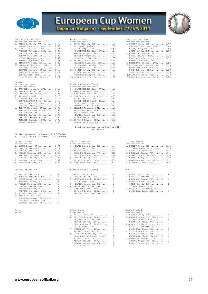



| Stolen bases per game                                                                                                                                                                                                                                                                                                                                                             |                                                                                                                      | Walks per game                                                                                                                                                                                                                                                                                                                                                                                           |                                                                                                                      | Strikeouts per game                                                                                                                                                                                                                                                                                                                             |
|-----------------------------------------------------------------------------------------------------------------------------------------------------------------------------------------------------------------------------------------------------------------------------------------------------------------------------------------------------------------------------------|----------------------------------------------------------------------------------------------------------------------|----------------------------------------------------------------------------------------------------------------------------------------------------------------------------------------------------------------------------------------------------------------------------------------------------------------------------------------------------------------------------------------------------------|----------------------------------------------------------------------------------------------------------------------|-------------------------------------------------------------------------------------------------------------------------------------------------------------------------------------------------------------------------------------------------------------------------------------------------------------------------------------------------|
| <br>1. RIERA Camille, FRA<br>ARBOVA Karoline, BUL<br>3. MANCIC Katarina, CRO<br>PRSKALO Katarina, CRO<br>MARIE Manon, FRA<br>KONOVA Nikoleta, BUL<br>MAGNEE Margaux, FRA<br>ARBOVA Avgustina, BUL<br>9. SIMEONOVA Tedi, BUL<br>10.GIBSON-JONES Sarah, FRA<br>WOLFENSBERGER Nina, SUI<br>GLAUSER Adeline, SUI<br>ORESCANIN Lorena, CRO<br>WESLEY Erin, DEN<br>LEMAIRE Camille, FRA | 0.50<br>0.50<br>0.33<br>0.33<br>0.33<br>0.33<br>0.33<br>0.33<br>0.25<br>0.17<br>0.17<br>0.17<br>0.17<br>0.17<br>0.17 | --------------<br>1. LOPEZ Miriam, ESP<br>MEIERHANS Barbara, SUI<br>3. GUINN Daryl, SUI<br>4. WOLFENSBERGER Nina, SUI<br>MAGNEE Margaux, FRA<br>ZEHNDER Kimberley, SUI<br>FETVOVA Mariya, BUL<br>8. MERRILL Jennifer, SUI<br>SWANBERG Sharlene, DEN<br>HARIZANOVA Lyubima, BUL<br>SIMEONOVA Tedi, BUL<br>12. NISSEN Mette, DEN<br>WILKEN Mette, DEN<br>OVNARSKA Filipina, BUL<br>15. WANNER Melanie, SUI | 1.00<br>1.00<br>0.83<br>0.67<br>0.67<br>0.67<br>0.67<br>0.50<br>0.50<br>0.50<br>0.50<br>0.33<br>0.33<br>0.33<br>0.20 | -------------------<br>1. WESLEY Erin, DEN<br>SWANBERG Sharlen<br>MAGNEE Margaux,<br>ARIAS Laura, ESP<br>5. CAMPBELL Kathryn<br>RIERA Camille, F<br>KONOVA Nikoleta,<br>BUSSO Constanza,<br>9. MEIERHANS Barbar<br>10.GIBSON-JONES Sar<br>RASMUSSEN Nana,<br>LIND Katrine, DE<br>LOPEZ Miriam, ES<br>14.WANNER Melanie,<br>15. MARTINEZ Macaren |
| $<$ page $/$<br>At bats per game<br>----------------                                                                                                                                                                                                                                                                                                                              |                                                                                                                      | Plate appearances/game<br>----------------------                                                                                                                                                                                                                                                                                                                                                         |                                                                                                                      |                                                                                                                                                                                                                                                                                                                                                 |
| 1. CAMPBELL Kathryn, SUI<br>2. RIERA Camille, FRA<br>3. GIBSON-JONES Sarah, FRA<br>4. SIMEONOVA Tedi, BUL<br>5. GLAUSER Adeline, SUI<br>WOLFENSBERGER Nina, SUI<br>MANCIC Katarina, CRO<br>ZUPANIC Tihana, CRO<br>9. KONOVA Nikoleta, BUL<br>HARAMINA Michaela, CRO<br>MARIE Manon, FRA<br>MONBERG Julie, DEN                                                                     | 3.67<br>3.50<br>3.33<br>3.25<br>3.17<br>3.17<br>3.17<br>3.17<br>3.00<br>3.00<br>3.00<br>3.00                         | 1. WOLFENSBERGER Nina, SUI 4.00<br>2. MAGNEE Margaux, FRA<br>3. SIMEONOVA Tedi, BUL<br>4. CAMPBELL Kathryn, SUI<br>RIERA Camille, FRA<br>GIBSON-JONES Sarah, FRA<br>GUINN Daryl, SUI<br>LEMAIRE Camille, FRA<br>9. GLAUSER Adeline, SUI<br>RASMUSSEN Nana, DEN<br>MARIE Manon, FRA 3.50<br>MERRILL Jennifer, SUI                                                                                         | 3.83<br>3.75<br>3.67<br>3.67<br>3.67<br>3.67<br>3.67<br>3.50<br>3.50<br>3.50                                         |                                                                                                                                                                                                                                                                                                                                                 |

|                                                                                    | LICCHING REAGELS (AS OF SED AS, CATA)<br>(All games) |                 |
|------------------------------------------------------------------------------------|------------------------------------------------------|-----------------|
| Hitting minimums - 1 Games 2.5 TPA/Game<br>Pitching minimums - 1 Games 2.1 IP/Game |                                                      |                 |
| Earned run avg                                                                     | Opposing bat avg                                     | Innings pitched |
| 1. GUINN Daryl. SUI 0.74                                                           | 1. MERRILL Jennifer, SUI . 174                       | 1. WESLEY Erin. |

# Batters struck out Batters SO out looking Wins

| 1. WESLEY Erin, DEN      | 78  |
|--------------------------|-----|
| 2. MERRILL Jennifer, SUI | 2.4 |
| 3. GUINN Daryl, SUI      | 22  |
| BENCHALI Sarah, FRA      | 22  |
| 5. FLORES Noelia, ESP    | 15  |
| 6. ZUPANIC Tihana, CRO   | 9   |
| 7. SIMEONOVA Tedi, BUL   | 7   |
| GARTNER Charline, FRA    | 7   |
| 9. ALONSO Beatriz, ESP   | 6   |
| 10.ZIVKOVIC Mia, CRO     | 1   |
| BUSSO Constanza, ESP     | 1   |
| LASSAIGNE Celine, FRA    | 1   |
| GLAUSER Adeline, SUI     | 1   |

| ---------------------           |                                 | --------------------            |  |
|---------------------------------|---------------------------------|---------------------------------|--|
| 1. RIERA Camille, FRA 0.50      | 1. LOPEZ Miriam, ESP 1.00       | 1. WESLEY Erin, DEN 0.00        |  |
| ARBOVA Karoline, BUL 0.50       | MEIERHANS Barbara, SUI 1.00     | SWANBERG Sharlene, DEN 0.00     |  |
| 3. MANCIC Katarina, CRO 0.33    | 3. GUINN Daryl, SUI 0.83        | MAGNEE Margaux, FRA 0.00        |  |
| PRSKALO Katarina, CRO 0.33      | 4. WOLFENSBERGER Nina, SUI 0.67 | ARIAS Laura, ESP 0.00           |  |
| MARIE Manon, FRA 0.33           | MAGNEE Margaux, FRA 0.67        | 5. CAMPBELL Kathryn, SUI 0.17   |  |
| KONOVA Nikoleta, BUL 0.33       | ZEHNDER Kimberley, SUI 0.67     | RIERA Camille, FRA 0.17         |  |
| MAGNEE Margaux, FRA 0.33        | FETVOVA Mariya, BUL 0.67        | KONOVA Nikoleta, BUL 0.17       |  |
| ARBOVA Avqustina, BUL 0.33      | 8. MERRILL Jennifer, SUI 0.50   | BUSSO Constanza, ESP 0.17       |  |
| 9. SIMEONOVA Tedi, BUL 0.25     | SWANBERG Sharlene, DEN 0.50     | 9. MEIERHANS Barbara, SUI 0.20  |  |
| 10.GIBSON-JONES Sarah, FRA 0.17 | HARIZANOVA Lyubima, BUL 0.50    | 10.GIBSON-JONES Sarah, FRA 0.33 |  |
| WOLFENSBERGER Nina, SUI 0.17    | SIMEONOVA Tedi, BUL 0.50        | RASMUSSEN Nana, DEN 0.33        |  |
| GLAUSER Adeline, SUI 0.17       | 12. NISSEN Mette, DEN 0.33      | LIND Katrine, DEN 0.33          |  |
| ORESCANIN Lorena, CRO 0.17      | WILKEN Mette, DEN 0.33          | LOPEZ Miriam, ESP 0.33          |  |
| WESLEY Erin, DEN 0.17           | OVNARSKA Filipina, BUL 0.33     | 14. WANNER Melanie, SUI 0.40    |  |
| LEMAIRE Camille, FRA 0.17       | 15. WANNER Melanie, SUI 0.20    | 15. MARTINEZ Macarena, ESP 0.50 |  |
|                                 |                                 |                                 |  |

### Plate appearances/game

| 1. CAMPBELL Kathryn, SUI   | 3.67 | 1. WOLFENSBERGER Nina, SUI | 4.00 |
|----------------------------|------|----------------------------|------|
| 2. RIERA Camille, FRA      | 3.50 | 2. MAGNEE Margaux, FRA     | 3.83 |
| 3. GIBSON-JONES Sarah, FRA | 3.33 | 3. SIMEONOVA Tedi, BUL     | 3.75 |
| 4. SIMEONOVA Tedi, BUL     | 3.25 | 4. CAMPBELL Kathryn, SUI   | 3.67 |
| 5. GLAUSER Adeline, SUI    | 3.17 | RIERA Camille, FRA         | 3.67 |
| WOLFENSBERGER Nina, SUI    | 3.17 | GIBSON-JONES Sarah, FRA    | 3.67 |
| MANCIC Katarina, CRO       | 3.17 | GUINN Daryl, SUI           | 3.67 |
| ZUPANIC Tihana, CRO        | 3.17 | LEMAIRE Camille, FRA       | 3.67 |
| 9. KONOVA Nikoleta, BUL    | 3.00 | 9. GLAUSER Adeline, SUI    | 3.50 |
| HARAMINA Michaela, CRO     | 3.00 | RASMUSSEN Nana, DEN        | 3.50 |
| MARIE Manon, FRA           | 3.00 | MARIE Manon, FRA           | 3.50 |
| MONBERG Julie, DEN         | 3,00 | MERRILL Jennifer, SUI      | 3.50 |
| MARTINEZ Macarena, ESP     | 3.00 | WILKEN Mette, DEN          | 3.50 |
| MERRILL Jennifer, SUI      | 3.00 | 14.ZUPANIC Tihana, CRO     | 3.33 |
| RASMUSSEN Nana, DEN        | 3.00 | ARBOVA Karoline, BUL       | 3.33 |
|                            |      |                            |      |

# Pitching Leaders (as of Sep 05, 2014) (All games)

### Opposing bat avg **Innings** pitched

| 1. GUINN Daryl, SUI 0.74      | 1. MERRILL Jennifer, SUI . 174 | 1. WESLEY Erin, DEN 37.0      |  |
|-------------------------------|--------------------------------|-------------------------------|--|
| 2. MERRILL Jennifer, SUI 1.11 | 2. GUINN Daryl, SUI .197       | 2. FLORES Noelia, ESP 28.0    |  |
| 3. WESLEY Erin, DEN 1.70      | 3. WESLEY Erin, DEN .204       | 3. ZUPANIC Tihana, CRO 25.1   |  |
| 4. FLORES Noelia, ESP 2.00    | 4. GARTNER Charline, FRA .215  | 4. BENCHALI Sarah, FRA 19.1   |  |
| 5. GARTNER Charline, FRA 2.29 | 5. BENCHALI Sarah, FRA .224    | 5. MERRILL Jennifer, SUI 19.0 |  |
| 6. ZUPANIC Tihana, CRO 2.76   | 6. FLORES Noelia, ESP .266     | GUINN Daryl, SUI 19.0         |  |
| 7. BENCHALI Sarah, FRA 3.62   | 7. ZUPANIC Tihana, CRO .302    | 7. GARTNER Charline, FRA 18.1 |  |
| 8. SIMEONOVA Tedi. BUL 6.30   | 8. SIMEONOVA Tedi. BUL 307     | 8. SIMEONOVA Tedi. BUL 16.2   |  |

|  |  |  | Batters SO out looking |
|--|--|--|------------------------|
|--|--|--|------------------------|

| 1. WESLEY Erin, DEN 78      | 1. WESLEY Erin, DEN 24     | 1. WESLEY Erin, DEN 4      |                |
|-----------------------------|----------------------------|----------------------------|----------------|
| 2. MERRILL Jennifer, SUI 24 | 2. FLORES Noelia, ESP 5    | 2. MERRILL Jennifer, SUI 3 |                |
| 3. GUINN Daryl, SUI 22      | 3. BENCHALI Sarah, FRA 4   | BENCHALI Sarah, FRA 3      |                |
| BENCHALI Sarah, FRA 22      | GUINN Daryl, SUI 4         | 4. GARTNER Charline, FRA 2 |                |
| 5. FLORES Noelia, ESP 15    | 5. MERRILL Jennifer, SUI 2 | GUINN Daryl, SUI 2         |                |
| 6. ZUPANIC Tihana, CRO 9    | 6. LASSAIGNE Celine, FRA 1 | FLORES Noelia, ESP 2       |                |
| 7. SIMEONOVA Tedi, BUL 7    | SIMEONOVA Tedi, BUL 1      | 7. BOGDANOVA Aleksand, BUL | $\overline{1}$ |
| GARTNER Charline, FRA 7     | ZUPANIC Tihana, CRO 1      | SIMEONOVA Tedi, BUL 1      |                |
| 9. ALONSO Beatriz, ESP 6    | GARTNER Charline, FRA 1    |                            |                |

| Saves                                                                                                                                                                                                                                                                                                                                                                                        | Appearances              |  |                |  |  |
|----------------------------------------------------------------------------------------------------------------------------------------------------------------------------------------------------------------------------------------------------------------------------------------------------------------------------------------------------------------------------------------------|--------------------------|--|----------------|--|--|
| $\frac{1}{2} \frac{1}{2} \frac{1}{2} \frac{1}{2} \frac{1}{2} \frac{1}{2} \frac{1}{2} \frac{1}{2} \frac{1}{2} \frac{1}{2} \frac{1}{2} \frac{1}{2} \frac{1}{2} \frac{1}{2} \frac{1}{2} \frac{1}{2} \frac{1}{2} \frac{1}{2} \frac{1}{2} \frac{1}{2} \frac{1}{2} \frac{1}{2} \frac{1}{2} \frac{1}{2} \frac{1}{2} \frac{1}{2} \frac{1}{2} \frac{1}{2} \frac{1}{2} \frac{1}{2} \frac{1}{2} \frac{$ |                          |  |                |  |  |
|                                                                                                                                                                                                                                                                                                                                                                                              | 1. WESLEY Erin, DEN 6    |  | 1. WESLEY Erin |  |  |
|                                                                                                                                                                                                                                                                                                                                                                                              | 2. ZUPANIC Tihana, CRO   |  | 2. GARTNER Cha |  |  |
|                                                                                                                                                                                                                                                                                                                                                                                              | 3. GARTNER Charline, FRA |  | FLORES Noel    |  |  |
|                                                                                                                                                                                                                                                                                                                                                                                              | FLORES Noelia, ESP       |  | ZUPANIC Tih    |  |  |
|                                                                                                                                                                                                                                                                                                                                                                                              | DEMOUNTI Carah EDA       |  | CUINM Daryl    |  |  |

- 
- 7. SIMEONOVA Tedi, BUL........ 3 SIMEONOVA Tedi, BUL........ 3 MERRILL Jennifer, SUI..... 3<br>
9. HARAMINA Michaela, CRO..... 2<br>
BOGDANOVA Aleksand, BUL.... 2<br>
2 BOGDANOVA Aleksand, BUL.... 2<br>
2 11. HARAMINA Michaela, CRO......... 2<br>
2 11. HARAMINA Michaela, CRO....... 1<br>
ARBOVA Avgusti 14.4 tied at.................. 1

| 1. WESLEY Erin, DEN<br>SWANBERG Sharlene, DEN | 0.00<br>0.00 |
|-----------------------------------------------|--------------|
| MAGNEE Margaux, FRA                           | 0.00         |
|                                               |              |
| ARIAS Laura, ESP                              | 0.00         |
| 5. CAMPBELL Kathryn, SUI                      | 0.17         |
| RIERA Camille, FRA                            | 0.17         |
| KONOVA Nikoleta, BUL                          | 0.17         |
| BUSSO Constanza, ESP                          | 0.17         |
| 9. MEIERHANS Barbara, SUI                     | 0.20         |
| 10.GIBSON-JONES Sarah, FRA                    | 0.33         |
| RASMUSSEN Nana, DEN                           | 0.33         |
| LIND Katrine, DEN                             | 0.33         |
| LOPEZ Miriam, ESP                             | 0.33         |
| 14. WANNER Melanie, SUI                       | 0.40         |

| 1. WESLEY Erin, DEN      | 37.0 |
|--------------------------|------|
| 2. FLORES Noelia, ESP    | 28.0 |
| 3. ZUPANIC Tihana, CRO   | 25.1 |
| 4. BENCHALI Sarah, FRA   | 19.1 |
| 5. MERRILL Jennifer, SUI | 19.0 |
| GUINN Daryl, SUI         | 19.0 |
| 7. GARTNER Charline, FRA | 18.1 |
|                          |      |

# 8. SIMEONOVA Tedi, BUL........ 6.30 8. SIMEONOVA Tedi, BUL........ .307 8. SIMEONOVA Tedi, BUL........ 16.2

| 1. WESLEY Erin, DEN        | 4              |
|----------------------------|----------------|
| 2. MERRILL Jennifer, SUI   | 3              |
| BENCHALI Sarah, FRA        | 3              |
| 4. GARTNER Charline, FRA   | 2              |
| GUINN Daryl, SUI           | $\mathfrak{D}$ |
| FLORES Noelia, ESP         | $\mathfrak{D}$ |
| 7. BOGDANOVA Aleksand, BUL | 1              |
| SIMEONOVA Tedi, BUL        | 1.             |

| _____ |                            |                            |  |
|-------|----------------------------|----------------------------|--|
|       | 1. WESLEY Erin, DEN $6$    | 1. WESLEY Erin, DEN 6      |  |
|       | 2. ZUPANIC Tihana, CRO 5   | 2. GARTNER Charline, FRA 4 |  |
|       | 3. GARTNER Charline, FRA 4 | FLORES Noelia, ESP 4       |  |
|       | FLORES Noelia, ESP 4       | ZUPANIC Tihana, CRO 4      |  |
|       | BENCHALI Sarah, FRA 4      | 5. GUINN Daryl, SUI 3      |  |
|       | ---------                  |                            |  |

- 3. GARTNER Charline, FRA...... 4<br>FLORES Noelia, ESP........ 4<br>ENCES Noelia, ESP......... 4<br>BENCHALI Sarah, FRA......... 4<br>GUINN Daryl, SUI.......... 4 5. GUINN Daryl, SUI......... 3
	-
	-
	-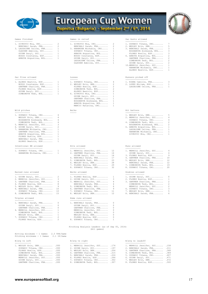



-------------- --------------- ----------------- 1. ZIVKOVIC Mia, CRO.......... 2 1. ZIVKOVIC Mia, CRO.......... 2 1. ZUPANIC Tihana, CRO........ 7 BENCHALI Sarah, FRA........ 2 BENCHALI Sarah, FRA........ 2 2. WESLEY Erin, DEN........... 5 3. LASSAIGNE Celine, FRA...... 1 3. HARAMINA Michaela, CRO..... 1 3. BENCHALI Sarah, FRA........ 3 GLAUSER Adeline, SUI....... 1 ZUPANIC Tihana, CRO........ 1 BOGDANOVA Aleksand, BUL.... 3 GUINN Daryl, SUI........... 1 ARBOVA Avgustina, BUL...... 1 FLORES Noelia, ESP......... 3 BUSSO Constanza, ESP....... 1 BUSSO Constanza, ESP....... 1 6. ARBOVA Avgustina, BUL...... 2 ARBOVA Avgustina, BUL...... 1 GUINN Daryl, SUI........... 1 GARTNER Charline, FRA...... 2 LASSAIGNE Celine, FRA...... 1 SIMEONOVA Tedi, BUL........ 2 GLAUSER Adeline, SUI....... 1 GUINN Daryl, SUI........... 2

| 1. ALONSO Beatriz, ESP |
|------------------------|
| BUSSO Constanza, ESP   |
| GARTNER Charline, FRA  |
| FLORES Noelia, ESP     |
| GUINN Daryl, SUI       |
| SIMEONOVA Tedi, BUL    |

### Wild pitches Wild pitches **Example 2018** Hit batters Balks Hit batters Hit batters Hit batters

| 1. ZUPANIC Tihana, CRO 4   | 1. WESLEY Erin, DEN 5      |  |
|----------------------------|----------------------------|--|
| WESLEY Erin, DEN 4         | 2. MERRILL Jennifer, SUI 4 |  |
| BOGDANOVA Aleksand, BUL 4  | ZUPANIC Tihana, CRO 4      |  |
| SIMEONOVA Tedi, BUL 4      | 4. SIMEONOVA Tedi, BUL 2   |  |
| 5. MERRILL Jennifer, SUI 3 | BOGDANOVA Aleksand, BUL 2  |  |

| 5. MERRILL Jennifer, SUI 3  | BOGDANOVA Aleksand, BUL 2  |
|-----------------------------|----------------------------|
| 6. GUINN Daryl, SUI 2       | 6. ARBOVA Avqustina, BUL 1 |
| 7. HARAMINA Michaela, CRO 1 | LASSAIGNE Celine, FRA 1    |
| GARTNER Charline, FRA 1     | HARAMINA Michaela, CRO 1   |
| ARBOVA Avqustina, BUL 1     | ZIVKOVIC Mia, CRO 1        |
| FLORES Noelia, ESP 1        |                            |
| BENCHALI Sarah, FRA 1       |                            |
| ALONSO Beatriz, ESP 1       |                            |

# Intentional BB allowed Hits allowed Runs allowed

|  | 1. ZUPANIC Tihana, CRO |  |
|--|------------------------|--|
|  | HARAMINA Michaela, CRO |  |

### Earned runs allowed Walks allowed Doubles allowed

| 1. GUINN Daryl, SUI      |  |
|--------------------------|--|
| 2. MERRILL Jennifer, SUI |  |
| 3. GARTNER Charline, FRA |  |
| 4. FLORES Noelia, ESP    |  |
| 5. WESLEY Erin, DEN      |  |
| 6. BENCHALI Sarah, FRA 1 |  |

| 1. BENCHALI Sarah, FRA   |
|--------------------------|
| GUINN Daryl, SUI         |
| GARTNER Charline, FRA    |
| 4. MERRILL Jennifer, SUI |
| SIMEONOVA Tedi, BUL      |

# ----------------- ------ ------------------ 1. ALONSO Beatriz, ESP........ 1 1. ZUPANIC Tihana, CRO........ 4 1. RIERA Camille, FRA......... 3 BUSSO Constanza, ESP....... 1 2. WESLEY Erin, DEN........... 2 2. LOPEZ Miriam, ESP.......... 1 GARTNER Charline, FRA...... 1 FLORES Noelia, ESP......... 2 LASSAIGNE Celine, FRA...... 1 FLORES Noelia, ESP......... 1 SIMEONOVA Tedi, BUL........ 2 GUINN Daryl, SUI........... 1 ALONSO Beatriz, ESP........ 2 SIMEONOVA Tedi, BUL........ 1 6. ZIVKOVIC Mia, CRO.......... 1 GUINN Daryl, SUI........... 1 GARTNER Charline, FRA...... 1 BOGDANOVA Aleksand, BUL.... 1 ARBOVA Avgustina, BUL...... 1 MANCIC Katarina, CRO....... 1

| $\sim$ | ۰, | OWAC<br>۰, |  |
|--------|----|------------|--|
|        |    |            |  |
|        |    |            |  |

| 1. ZUPANIC Tihana, CRO 1 | 1. MERRILL Jennifer, SUI 12 | 1. MERRILL Jennifer, SUI 4  |  |
|--------------------------|-----------------------------|-----------------------------|--|
| HARAMINA Michaela, CRO 1 | 2. GARTNER Charline, FRA 14 | GUINN Daryl, SUI 4          |  |
|                          | GUINN Daryl, SUI 14         | 3. FLORES Noelia, ESP 9     |  |
|                          | 4. BENCHALI Sarah, FRA 17   | 4. GARTNER Charline, FRA 10 |  |
|                          | 5. SIMEONOVA Tedi, BUL 23   | 5. WESLEY Erin, DEN 12      |  |
|                          | 6. WESLEY Erin, DEN 28      | BENCHALI Sarah, FRA 12      |  |
|                          | 7. FLORES Noelia, ESP 29    | 7. SIMEONOVA Tedi, BUL 19   |  |
|                          | 8 ZIIPANTO Tihana, ORO 32   | 8 ZUPANIC Tibana, CRO 20    |  |

| 1. GUINN Daryl, SUI 2      | 1. FLORES Noelia, ESP 1    | 1. GUINN Daryl, SUI 0      |                          |
|----------------------------|----------------------------|----------------------------|--------------------------|
| 2. MERRILL Jennifer, SUI 3 | 2. GUINN Daryl, SUI 3      | 2. FLORES Noelia, ESP 1    |                          |
| 3. GARTNER Charline, FRA 6 | 3. MERRILL Jennifer, SUI 4 | 3. GARTNER Charline, FRA 2 |                          |
| 4. FLORES Noelia, ESP 8    | BENCHALI Sarah, FRA 4      | SIMEONOVA Tedi, BUL 2      |                          |
| 5. WESLEY Erin, DEN 9      | 5. SIMEONOVA Tedi, BUL 6   | MERRILL Jennifer, SUI 2    |                          |
| 6. BENCHALI Sarah, FRA 10  | 6. GARTNER Charline, FRA 9 | 6. ZUPANIC Tihana, CRO     | $\overline{\phantom{a}}$ |
| ZUPANIC Tihana, CRO 10     | 7. ZUPANIC Tihana, CRO 11  | 7. WESLEY Erin, DEN 5      |                          |
| 8. SIMEONOVA Tedi, BUL 15  | 8. WESLEY Erin, DEN 12     | 8. BENCHALI Sarah, FRA 6   |                          |
|                            |                            |                            |                          |

# Triples allowed  $\overline{\phantom{0}}$  Home runs allowed  $\overline{\phantom{0}}$

| 1. BENCHALI Sarah, FRA   |     | 1. BENCHALI Sarah, FRA |  |
|--------------------------|-----|------------------------|--|
| GUINN Daryl, SUI         | 0   | GUINN Daryl, SUI       |  |
| GARTNER Charline, FRA    | 0   | GARTNER Charline, FRA  |  |
| 4. MERRILL Jennifer, SUI |     | MERRILL Jennifer, SUI  |  |
| SIMEONOVA Tedi, BUL      |     | SIMEONOVA Tedi, BUL    |  |
| WESLEY Erin, DEN         |     | WESLEY Erin, DEN       |  |
| 7. ZUPANIC Tihana, CRO   | 2   | FLORES Noelia, ESP     |  |
| FLORES Noelia, ESP       | -2. | 8. ZUPANIC Tihana, CRO |  |

# Pitching Analysis Leaders (as of Sep 05, 2014) (All games)

# Games finished Games in relief Sac bunts allowed

| 2. WESLEY Erin, DEN      |
|--------------------------|
| 3. BENCHALI Sarah, FRA   |
| BOGDANOVA Aleksand, BUL  |
| FLORES Noelia, ESP       |
| 6. ARBOVA Avqustina, BUL |
|                          |

- 
- 10.MERRILL Jennifer, SUI...... 1 HARAMINA Michaela, CRO..... 1 ALONSO Beatriz, ESP........ 1

## Sac flies allowed  $\qquad \qquad \qquad$  Losses  $\qquad \qquad$  Losses  $\qquad \qquad$  Runners picked off

|  | 1. RIERA Camille, FRA |  |  |  | 3            |
|--|-----------------------|--|--|--|--------------|
|  | 2. LOPEZ Miriam, ESP  |  |  |  |              |
|  | LASSAIGNE Celine, FRA |  |  |  | $\mathbf{1}$ |

- 
- 
- 
- -

| 1. ZUPANIC Tihana, CRO 1<br>HARAMINA Michaela, CRO 1 | 1. MERRILL Jennifer, SUI 12<br>2. GARTNER Charline, FRA 14<br>GUINN Daryl, SUI 14 | 1. MERRILL Jennifer, SUI 4<br>GUINN Daryl, SUI 4<br>3. FLORES Noelia, ESP 9 |
|------------------------------------------------------|-----------------------------------------------------------------------------------|-----------------------------------------------------------------------------|
|                                                      | 4. BENCHALI Sarah, FRA 17                                                         | 4. GARTNER Charline, FRA 10                                                 |
|                                                      | 5. SIMEONOVA Tedi, BUL 23                                                         | 5. WESLEY Erin, DEN 12                                                      |
|                                                      | 6. WESLEY Erin, DEN 28                                                            | BENCHALI Sarah, FRA 12                                                      |
|                                                      | 7. FLORES Noelia, ESP 29                                                          | 7. SIMEONOVA Tedi, BUL 19                                                   |
|                                                      | 8. ZUPANIC Tihana, CRO 32                                                         | 8. ZUPANIC Tihana, CRO 20                                                   |
|                                                      |                                                                                   |                                                                             |

| 1. GUINN Daryl, SUI      | n  |
|--------------------------|----|
| 2. FLORES Noelia, ESP    | 1. |
| 3. GARTNER Charline, FRA | 2  |
| SIMEONOVA Tedi, BUL      | 2  |
| MERRILL Jennifer, SUI    | 2  |
| 6. ZUPANIC Tihana, CRO   | २  |
| 7. WESLEY Erin, DEN      | 5  |
| 8. BENCHALI Sarah, FRA   | 6  |
|                          |    |

| 47.AVG<br>ı |  | ı |
|-------------|--|---|
|-------------|--|---|

| B/avq vs left              | B/avg vs right                 | B/avg vs leadoff               |  |
|----------------------------|--------------------------------|--------------------------------|--|
| -------------              |                                |                                |  |
| 1. WESLEY Erin, DEN .000   | 1. MERRILL Jennifer, SUI . 174 | 1. MERRILL Jennifer, SUI . 158 |  |
| ZUPANIC Tihana, CRO .000   | 2. GUINN Daryl, SUI . 197      | 2. BENCHALI Sarah, FRA . 211   |  |
| FLORES Noelia, ESP .000    | 3. WESLEY Erin, DEN .204       | 3. GARTNER Charline, FRA .368  |  |
| SIMEONOVA Tedi, BUL .000   | 4. GARTNER Charline, FRA .215  | 4. SIMEONOVA Tedi, BUL .389    |  |
| BENCHALI Sarah, FRA .000   | 5. BENCHALI Sarah, FRA .224    | 5. ZUPANIC Tihana, CRO . 407   |  |
| MERRILL Jennifer, SUI .000 | 6. FLORES Noelia, ESP .266     | 6. GUINN Daryl, SUI . 471      |  |
| GUINN Daryl, SUI .000      | 7. ZUPANIC Tihana, CRO .302    | 7. WESLEY Erin, DEN . 472      |  |
| GARTNER Charline, FRA .000 | 8. SIMEONOVA Tedi, BUL .307    | 8. FLORES Noelia, ESP .500     |  |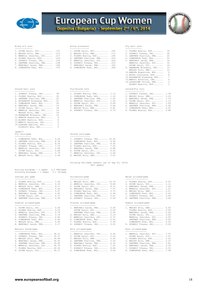

# **European Cup Women** Dupnitsa (Bulgaria) - September 2nd / 6th, 2014



| 1. GUINN Daryl, SUI      | .167 |
|--------------------------|------|
| 2. WESLEY Erin, DEN      | .213 |
| 3. MERRILL Jennifer, SUI | .217 |
| 4. FLORES Noelia, ESP    | .219 |
| 5. ZUPANIC Tihana, CRO   | .235 |
| 6. GARTNER Charline, FRA | .238 |
| 7. BENCHALI Sarah, FRA   | .296 |
|                          |      |

| Ground ball- | OUT S |
|--------------|-------|
|              |       |

- 
- WESLEY Erin, DEN............... 16<br>10.HARAMINA Michaela, CRO...... 12<br>11.ARBOVA Avgustina, BUL....... 9<br>12.ALONSO Beatriz, ESP........ 8
- 13.MANCIC Katarina, CRO....... 5 14.GLAUSER Adeline, SUI....... 2 ZIVKOVIC Mia, CRO.......... 2 <page/>
- 
- 

| 1. SIMEONOVA Tedi, BUL 9.24   |      | 1. ZUPANIC Tihana, CRO 10.50     |
|-------------------------------|------|----------------------------------|
| 2. GARTNER Charline, FRA 8.78 |      | 2. SIMEONOVA Tedi, BUL 8.40      |
| 3. FLORES Noelia, ESP 8.50    |      | 3. GARTNER Charline, FRA 8.40    |
| 4. ZUPANIC Tihana, CRO 7.74   |      | 4. FLORES Noelia, ESP 7.50       |
| 5. MERRILL Jennifer, SUI      | 5.89 | 5. BENCHALI Sarah, FRA 6.88      |
| GUINN Daryl, SUI              | 5.89 | 6. GUINN Daryl, SUI<br>6.63      |
| 7. BENCHALI Sarah, FRA        | 5.79 | 7. MERRILL Jennifer, SUI<br>5.89 |
| 8. WESLEY Erin, DEN 2.46      |      | 8. WESLEY Erin, DEN 3.03         |

| Hitting minimums - 1 Games  |  |  | 2.5 TPA/Game |
|-----------------------------|--|--|--------------|
| Pitching minimums - 1 Games |  |  | 2.1 IP/Game  |

| 1. FLORES Noelia, ESP    | 7.00 |
|--------------------------|------|
| 2. MERRILL Jennifer, SUI | 6.33 |
| 3. WESLEY Erin, DEN      | 6.17 |
| 4. SIMEONOVA Tedi, BUL   | 5.56 |
| 5. ZUPANIC Tihana, CRO   | 5.07 |
| 6. BENCHALI Sarah, FRA   | 4.83 |
| 7. GUINN Daryl, SUI      | 4.75 |
| 8. GARTNER Charline, FRA | 4.58 |

### Doubles allowed/game

| 1. GUINN Daryl, SUI<br>2. FLORES Noelia, ESP<br>3. MERRILL Jennifer, SUI<br>4. GARTNER Charline, FRA<br>5. ZUPANIC Tihana, CRO | 0.00<br>0.25<br>0.74<br>0.76<br>0.83 |
|--------------------------------------------------------------------------------------------------------------------------------|--------------------------------------|
| 6. SIMEONOVA Tedi, BUL                                                                                                         | 0.84                                 |
| 7. WESLEY Erin, DEN<br>8. BENCHALI Sarah, FRA                                                                                  | 0.95<br>2.17                         |
|                                                                                                                                |                                      |

### Batters faced/game

| 1. SIMEONOVA Tedi, BUL 36.12   |  |
|--------------------------------|--|
| 2. ZUPANIC Tihana, CRO 35.37   |  |
| 3. WESLEY Erin, DEN 30.08      |  |
| 4. BENCHALI Sarah, FRA 30.05   |  |
| 5. GARTNER Charline, FRA 29.40 |  |
|                                |  |

# B/avg w/2 outs B/avg w/runners Fly ball outs

| --------------                 |                                |                              |  |
|--------------------------------|--------------------------------|------------------------------|--|
| 1. GUINN Daryl, SUI .167       | 1. GUINN Daryl, SUI .162       | 1. FLORES Noelia, ESP 34     |  |
| 2. WESLEY Erin, DEN .213       | 2. WESLEY Erin, DEN . 171      | 2. ZUPANIC Tihana, CRO 28    |  |
| 3. MERRILL Jennifer, SUI . 217 | 3. FLORES Noelia, ESP .185     | 3. GARTNER Charline, FRA 23  |  |
| 4. FLORES Noelia, ESP .219     | 4. GARTNER Charline, FRA .214  | 4. SIMEONOVA Tedi, BUL 22    |  |
| 5. ZUPANIC Tihana, CRO . 235   | 5. MERRILL Jennifer, SUI . 222 | 5. BENCHALI Sarah, FRA 16    |  |
| 6. GARTNER Charline, FRA .238  | 6. ZUPANIC Tihana, CRO .233    | MERRILL Jennifer, SUI 16     |  |
| 7. BENCHALI Sarah, FRA . 296   | 7. BENCHALI Sarah, FRA .324    | GUINN Daryl, SUI 16          |  |
| 8. SIMEONOVA Tedi, BUL .370    | 8. SIMEONOVA Tedi, BUL .364    | 8. HARAMINA Michaela, CRO 13 |  |

| Fly ball outs |  |
|---------------|--|

| 1. GUINN Daryl, SUI .167       |  | 1. GUINN Daryl, SUI .162       |  | 1. FLORES Noelia, ESP 34      |                          |
|--------------------------------|--|--------------------------------|--|-------------------------------|--------------------------|
| 2. WESLEY Erin, DEN .213       |  | 2. WESLEY Erin, DEN . 171      |  | 2. ZUPANIC Tihana, CRO 28     |                          |
| 3. MERRILL Jennifer, SUI . 217 |  | 3. FLORES Noelia, ESP .185     |  | 3. GARTNER Charline, FRA 23   |                          |
| 4. FLORES Noelia, ESP .219     |  | 4. GARTNER Charline, FRA .214  |  | 4. SIMEONOVA Tedi, BUL 22     |                          |
| $5.$ ZUPANIC Tihana, CRO .235  |  | 5. MERRILL Jennifer, SUI . 222 |  | 5. BENCHALI Sarah, FRA 16     |                          |
| 6. GARTNER Charline, FRA .238  |  | 6. ZUPANIC Tihana, CRO .233    |  | MERRILL Jennifer, SUI 16      |                          |
| 7. BENCHALI Sarah, FRA .296    |  | 7. BENCHALI Sarah, FRA 324     |  | GUINN Daryl, SUI 16           |                          |
| 8. SIMEONOVA Tedi, BUL .370    |  | 8. SIMEONOVA Tedi, BUL .364    |  | 8. HARAMINA Michaela, CRO 13  |                          |
|                                |  |                                |  | WESLEY Erin, DEN 13           |                          |
|                                |  |                                |  | 10.ARBOVA Avqustina, BUL 9    |                          |
|                                |  |                                |  | 11.BUSSO Constanza, ESP 8     |                          |
|                                |  |                                |  | 12. BOGDANOVA Aleksand, BUL 7 |                          |
|                                |  |                                |  | 13. MANCIC Katarina, CRO      | 4                        |
|                                |  |                                |  | 14.LASSAIGNE Celine, FRA      | $\overline{\phantom{a}}$ |
|                                |  |                                |  |                               |                          |

ALONSO Beatriz, ESP........ 3

## Fly/Ground outs Ground/Fly outs

| ---------------- |                               |  |  |                               |  |  |                               |  |  |
|------------------|-------------------------------|--|--|-------------------------------|--|--|-------------------------------|--|--|
|                  | 1. ZUPANIC Tihana, CRO 38     |  |  | 1. FLORES Noelia, ESP 1.13    |  |  | 1. ZUPANIC Tihana, CRO 1.36   |  |  |
|                  | 2. FLORES Noelia, ESP 30      |  |  | 2. SIMEONOVA Tedi, BUL 1.10   |  |  | 2. WESLEY Erin, DEN 1.23      |  |  |
|                  | 3. GARTNER Charline, FRA 22   |  |  | 3. GARTNER Charline, FRA 1.05 |  |  | 3. BENCHALI Sarah, FRA 1.19   |  |  |
|                  | 4. BOGDANOVA Aleksand, BUL 21 |  |  | 4. MERRILL Jennifer, SUI 1.00 |  |  | 4. GUINN Daryl, SUI 1.13      |  |  |
|                  | 5. SIMEONOVA Tedi, BUL 20     |  |  | 5. GUINN Daryl, SUI 0.89      |  |  | 5. MERRILL Jennifer, SUI 1.00 |  |  |
|                  | 6. BENCHALI Sarah, FRA 19     |  |  | 6. BENCHALI Sarah, FRA 0.84   |  |  | 6. GARTNER Charline, FRA 0.96 |  |  |
|                  | 7. GUINN Daryl, SUI 18        |  |  | 7. WESLEY Erin, DEN 0.81      |  |  | 7. SIMEONOVA Tedi, BUL 0.91   |  |  |
|                  | 8. MERRILL Jennifer, SUI 16   |  |  | 8. ZUPANIC Tihana, CRO 0.74   |  |  | 8. FLORES Noelia, ESP 0.88    |  |  |

# Ground outs/game

| 1. ZUPANIC Tihana, CRO 10.50  |  |
|-------------------------------|--|
| 2. SIMEONOVA Tedi, BUL 8.40   |  |
| 3. GARTNER Charline, FRA 8.40 |  |
| 1. FLORES Noelia, ESP 7.50    |  |
| . BENCHALI Sarah, FRA 6.88    |  |
| 6. GUINN Daryl, SUI 6.63      |  |
| . MERRILL Jennifer, SUI 5.89  |  |
| 8. WESLEY Erin, DEN 3.03      |  |

### Pitching Per-Game leaders (as of Sep 05, 2014) (All games)

### Innings per game Strikeouts/game Walks allowed/game

| ----------------              |                               |                               |  |
|-------------------------------|-------------------------------|-------------------------------|--|
| 1. FLORES Noelia, ESP 7.00    | 1. WESLEY Erin, DEN 14.76     | 1. FLORES Noelia, ESP 0.25    |  |
| 2. MERRILL Jennifer, SUI 6.33 | 2. MERRILL Jennifer, SUI 8.84 | 2. GUINN Daryl, SUI 1.11      |  |
| 3. WESLEY Erin, DEN 6.17      | 3. GUINN Daryl, SUI 8.11      | 3. BENCHALI Sarah, FRA 1.45   |  |
| 4. SIMEONOVA Tedi, BUL 5.56   | 4. BENCHALI Sarah, FRA 7.97   | 4. MERRILL Jennifer, SUI 1.47 |  |
| 5. ZUPANIC Tihana, CRO 5.07   | 5. FLORES Noelia, ESP 3.75    | 5. WESLEY Erin, DEN 2.27      |  |
| 6. BENCHALI Sarah, FRA 4.83   | 6. SIMEONOVA Tedi, BUL 2.94   | 6. SIMEONOVA Tedi, BUL 2.52   |  |
| 7. GUINN Daryl, SUI 4.75      | 7. GARTNER Charline, FRA 2.67 | 7. ZUPANIC Tihana, CRO 3.04   |  |
| 8. GARTNER Charline, FRA 4.58 | 8. ZUPANIC Tihana, CRO 2.49   | 8. GARTNER Charline, FRA 3.44 |  |

### Doubles allowed/game Triples allowed/game Homers allowed/game

| ---------------------         |                               | --------------------        |  |
|-------------------------------|-------------------------------|-----------------------------|--|
| 1. GUINN Daryl, SUI 0.00      | 1. BENCHALI Sarah, FRA 0.00   | 1. WESLEY Erin, DEN 0.00    |  |
| 2. FLORES Noelia, ESP 0.25    | GUINN Daryl, SUI 0.00         | FLORES Noelia, ESP 0.00     |  |
| 3. MERRILL Jennifer, SUI 0.74 | GARTNER Charline, FRA 0.00    | BENCHALI Sarah, FRA 0.00    |  |
| 4. GARTNER Charline, FRA 0.76 | 4. WESLEY Erin, DEN 0.19      | GUINN Daryl, SUI 0.00       |  |
| 5. ZUPANIC Tihana, CRO 0.83   | 5. MERRILL Jennifer, SUI 0.37 | MERRILL Jennifer, SUI 0.00  |  |
| 6. SIMEONOVA Tedi, BUL 0.84   | 6. SIMEONOVA Tedi, BUL 0.42   | GARTNER Charline, FRA 0.00  |  |
| 7. WESLEY Erin, DEN 0.95      | 7. FLORES Noelia, ESP 0.50    | SIMEONOVA Tedi, BUL 0.00    |  |
| 8. BENCHALI Sarah, FRA 2.17   | 8. ZUPANIC Tihana, CRO 0.55   | 8. ZUPANIC Tihana, CRO 0.28 |  |
|                               |                               |                             |  |

| ------------------             |                                                                |  |
|--------------------------------|----------------------------------------------------------------|--|
| 1. SIMEONOVA Tedi, BUL 36.12   | 1. MERRILL Jennifer, SUI 1.47<br>1. MERRILL Jennifer, SUI 4.42 |  |
| 2. ZUPANIC Tihana, CRO 35.37   | 2. GUINN Daryl, SUI 5.16<br>GUINN Daryl, SUI 1.47              |  |
| 3. WESLEY Erin, DEN 30.08      | 3. WESLEY Erin, DEN 5.30<br>3. FLORES Noelia, ESP 2.25         |  |
| 4. BENCHALI Sarah, FRA 30.05   | 4. WESLEY Erin, DEN 2.27<br>4. GARTNER Charline, FRA 5.35      |  |
| 5. GARTNER Charline, FRA 29.40 | 5. GARTNER Charline, FRA 3.82<br>5. BENCHALI Sarah, FRA 6.16   |  |
| 6. MERRILL Jennifer, SUI 28.74 | 6. FLORES Noelia, ESP 7.25<br>6. BENCHALI Sarah, FRA 4.34      |  |
| 7. FLORES Noelia, ESP 28.50    | 7. ZUPANIC Tihana, CRO 8.84<br>7. ZUPANIC Tihana, CRO 5.53     |  |
| 8. GUINN Daryl, SUI 28.37      | 8. SIMEONOVA Tedi, BUL 9.66<br>8. SIMEONOVA Tedi, BUL 7.98     |  |

| 1. FLORES Noelia, ESP    | 0.25 |
|--------------------------|------|
| 2. GUINN Daryl, SUI      | 1.11 |
| 3. BENCHALI Sarah, FRA   | 1.45 |
| 4. MERRILL Jennifer, SUI | 1.47 |
| 5. WESLEY Erin, DEN      | 2.27 |
| 6. SIMEONOVA Tedi, BUL   | 2.52 |
| 7. ZUPANIC Tihana, CRO   | 3.04 |
| 8. GARTNER Charline, FRA | 3.44 |

| 1. WESLEY Erin, DEN    | 0.00 |
|------------------------|------|
| FLORES Noelia, ESP     | 0.00 |
| BENCHALI Sarah, FRA    | 0.00 |
| GUINN Daryl, SUI       | 0.00 |
| MERRILL Jennifer, SUI  | 0.00 |
| GARTNER Charline, FRA  | 0.00 |
| SIMEONOVA Tedi, BUL    | 0.00 |
| 8. ZUPANIC Tihana, CRO | 0.28 |

### Batters faced/game Hits allowed/game Runs allowed/game

| 1. SIMEONOVA Tedi, BUL 36.12   | 1. MERRILL Jennifer, SUI 4.42    | 1. MERRILL Jennifer, SUI 1.47     |  |
|--------------------------------|----------------------------------|-----------------------------------|--|
| 2. ZUPANIC Tihana, CRO 35.37   | 2. GUINN Daryl, SUI 5.16         | GUINN Daryl, SUI 1.47             |  |
| 3. WESLEY Erin, DEN 30.08      | 3. WESLEY Erin, DEN 5.30         | 3. FLORES Noelia, ESP 2.25        |  |
| 4. BENCHALI Sarah, FRA 30.05   | 4. GARTNER Charline, FRA 5.35    | 4. WESLEY Erin, DEN 2.27          |  |
| 5. GARTNER Charline, FRA 29.40 | 5. BENCHALI Sarah, FRA 6.16      | 5. GARTNER Charline, FRA 3.82     |  |
| 6. MERRILL Jennifer, SUI 28.74 | 6. FLORES Noelia, ESP 7.25       | 6. BENCHALI Sarah, FRA 4.34       |  |
| 7. FLORES Noelia, ESP 28.50    | 7. ZUPANIC Tihana, CRO 8.84      | 7. ZUPANIC Tihana, CRO 5.53       |  |
|                                | <b>Q</b> CTMPONOVA TAA DIIT Q GG | <b>Q</b> CIMPONOVA THAN DIIT 2 QQ |  |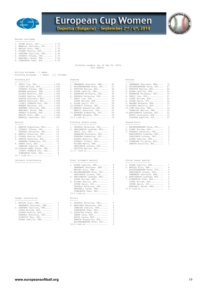

# **European Cup Women**

Dupnitsa (Bulgaria) - September 2nd / 6th, 2014



# Earned runs/game

---------------<br>1. GUINN Daryl, SUI............ 0.74<br>2. MERRILL Jennifer, SUI........ 1.70<br>3. WESLEY Erin, DEN........... 1.70<br>4. FLORES Noelia, ESP......... 2.00 5. GARTNER Charline, FRA...... 2.29 6. ZUPANIC Tihana, CRO........ 2.76 7. BENCHALI Sarah, FRA........ 3.62 8. SIMEONOVA Tedi, BUL........ 6.30

Fielding Leaders (as of Sep 05, 2014) (All games)

# Hitting minimums - 1 Games Pitching minimums - 1 Games 2.1 IP/Game Fielding pct and the chances of the chances of the chances of the chances of the chances of the chances of the chances of the chances of the chances of the chances of the chances of the chances of the chances of the chance ------------<br>1. SERIC Iva, CRO............. 1.000 1. SWANBERG Sharlene, DEN..... 82 1. SWANBERG Sharlene, DEN..... 79 LOPEZ Miriam, ESP.......... 1.000 2. WOLFENSBERGER Nina, SUI.... 51 2. WOLFENSBERGER Nina, SUI.... 47 ZUPANIC Tihana, CRO........ 1.000 3. FETVOVA Mariya, BUL........ 44 3. FETVOVA Mariya, BUL........ 42 MAGNEE Margaux, FRA........ 1.000 4. RIERA Camille, FRA......... 39 4. RIERA Camille, FRA......... 32 ALONSO Beatriz, ESP........ 1.000 5. HARAMINA Michaela, CRO..... 38 5. HARAMINA Michaela, CRO..... 29 FLORES Noelia, ESP......... 1.000 6. PRSKALO Katarina, CRO...... 30 6. SERIC Iva, CRO............. 27 KONOVA Nikoleta, BUL....... 1.000 7. SERIC Iva, CRO............. 29 7. LOPEZ Miriam, ESP.......... 25 ARBOVA Karoline, BUL....... 1.000 LOPEZ Miriam, ESP.......... 29 8. GUINN Daryl, SUI........... 22 CIZMIC POKRAJA Pet, CRO.... 1.000 9. GUINN Daryl, SUI........... 28 9. MAGNEE Margaux, FRA........ 19 WANNER Melanie, SUI........ 1.000 10.ZUPANIC Tihana, CRO........ 26 10.ALONSO Beatriz, ESP........ 17 GARTNER Charline, FRA...... 1.000 11.ARBOVA Avgustina, BUL...... 25 11.LIND Katrine, DEN.......... 16 BENCHALI Sarah, FRA........ 1.000 MANCIC Katarina, CRO....... 25 CARATINI Marion, FRA....... 16 FRANCO Yolanda, ESP........ 1.000 13.ZEHNDER Kimberley, SUI..... 24 13.HARIZANOVA Lyubima, BUL.... 15 WESLEY Erin, DEN........... 1.000 MAGNEE Margaux, FRA........ 24 BUSSO Constanza, ESP....... 15 MERRILL Jennifer, SUI...... 1.000 15.5 tied at.................. 23 GLAUSER Adeline, SUI....... 15 Assists Assists Fielding double plays Passed balls ------- --------------------- ------------ 1. ARBOVA Avgustina, BUL...... 17 1. PRSKALO Katarina, CRO...... 3 1. WOLFENSBERGER Nina, SUI.... 5 2. ZUPANIC Tihana, CRO........ 14 2. HARIZANOVA Lyubima, BUL.... 2 2. LOPEZ Miriam, ESP.......... 3 PRSKALO Katarina, CRO...... 14 SERIC Iva, CRO............. 2 3. PRSKALO Katarina, CRO...... 2 4. MANCIC Katarina, CRO....... 13 HARAMINA Michaela, CRO..... 2 HARIZANOVA Lyubima, BUL.... 2 5. FLORES Noelia, ESP......... 12 ZEHNDER Kimberley, SUI..... 2 ORESCANIN Lorena, CRO...... 2

| 6. KONOVA Nikoleta, BUL    | 1. |
|----------------------------|----|
| ZEHNDER Kimberley, SUI     | 1  |
| 8. GARDE Sara, ESP         |    |
| LEMAIRE Camille, FRA       |    |
| 10.GIBSON-JONES Sarah, FRA |    |
| CIZMIC POKRAJA Pet, CRO    |    |
| CIMPOMOUS BAAL DUI         |    |

 SIMEONOVA Tedi, BUL........ 8 13.7 tied at...................

## --------------------- ---------------------- --------------------

## Caught stealing by Errors

| 1. WESLEY Erin, DEN      |                  | 1. PRSKALO Katarina, CRO<br>5. |
|--------------------------|------------------|--------------------------------|
| SWANBERG Sharlene, DEN   | 2                | 2. MARTINEZ Macarena, ESP<br>4 |
| 3. GARTNER Charline, FRA | $1 \quad \cdots$ | LEMAIRE Camille, FRA<br>4      |
| LOPEZ Miriam, ESP        |                  | SIMEONOVA Tedi, BUL<br>4       |
| FLORES Noelia, ESP       |                  | 5. TOPALOVA Elena, BUL<br>3    |
| PRSKALO Katarina, CRO    | 1                | GARDE Sara, ESP<br>२           |
| ZIVKOVIC Mia, CRO        | 1                | ARIAS Laura, ESP               |
| RIERA Camille, FRA       | -1               | ARBOVA Avqustina, BUL<br>₹     |
|                          |                  | WOLFENSBERGER Nina, SUI<br>₹   |

| 1. SWANBERG Sharlene, DEN  | 8              |
|----------------------------|----------------|
| 2. WOLFENSBERGER Nina, SUI | 5              |
| 3. FETVOVA Mariya, BUL     | 4              |
| 4. RIERA Camille, FRA      | 3              |
| 5. HARAMINA Michaela, CRO  | 3              |
| 6. PRSKALO Katarina, CRO   | 3              |
| 7. SERIC Iva, CRO          | 2              |
| LOPEZ Miriam, ESP          | 2              |
| 9. GUINN Daryl, SUI        | 2              |
| 10. ZUPANIC Tihana, CRO    | 2              |
| 11.ARBOVA Avgustina, BUL   | $\overline{c}$ |
| MANCIC Katarina, CRO       | 2              |
| 13.ZEHNDER Kimberley, SUI  | 2              |
| MAGNEE Margaux, FRA        | 2              |
| $15.5$ tied at             | 2              |

| 1. ARBOVA Avqustina, BUL 17  | 1. PRSKALO Katarina, CRO 3                | 1. WOLFENSBERGER Nina, SUI 5 |
|------------------------------|-------------------------------------------|------------------------------|
| 2. ZUPANIC Tihana, CRO 14    | 2. HARIZANOVA Lyubima, BUL 2              | 2. LOPEZ Miriam, ESP 3       |
| PRSKALO Katarina, CRO 14     | SERIC Iva, $CRO$ 2                        | 3. PRSKALO Katarina, CRO 2   |
| 4. MANCIC Katarina, CRO 13   | HARAMINA Michaela, CRO 2                  | HARIZANOVA Lyubima, BUL 2    |
| 5. FLORES Noelia, ESP 12     | ZEHNDER Kimberley, SUI 2                  | ORESCANIN Lorena, CRO 2      |
| 6. KONOVA Nikoleta, BUL 10   | ALONSO Beatriz, ESP 2                     | RIERA Camille, FRA 2         |
| ZEHNDER Kimberley, SUI 10    | ZUPANIC Tihana, CRO 2                     | 7. OVNARSKA Filipina, BUL 1  |
| 8. GARDE Sara, ESP 9         | NISSEN Mette, DEN 2                       | ARBOVA Karoline, BUL 1       |
| LEMAIRE Camille, FRA 9       | ORESCANIN Lorena, CRO 2                   |                              |
| 10.GIBSON-JONES Sarah, FRA 8 | FETVOVA Mariya, BUL 2                     |                              |
|                              | CIZMIC POKRAJA Pet, CRO 8 11.17 tied at 1 |                              |

### Catchers interference **Steal attempts against** Stolen bases against

|  |                            | 8 |
|--|----------------------------|---|
|  | 1. RIERA Camille, FRA      |   |
|  | SWANBERG Sharlene, DEN     | 8 |
|  | WESLEY Erin, DEN           | 8 |
|  |                            |   |
|  | 4. WOLFENSBERGER Nina, SUI | 6 |
|  | ORESCANIN Lorena, CRO      | 6 |
|  | 6. HARIZANOVA Lyubima, BUL | 5 |
|  | LOPEZ Miriam, ESP          | 5 |
|  | 8. FLORES Noelia, ESP      | 4 |
|  | GUINN Daryl, SUI           | 4 |
|  | PRSKALO Katarina, CRO      | 4 |
|  | BENCHALI Sarah, FRA        | 4 |
|  | SIMEONOVA Tedi, BUL        | 4 |
|  | 13.5 tied at               | 3 |
|  |                            |   |

- 1. WESLEY Erin, DEN........... 2 1. PRSKALO Katarina, CRO...... 5
- 10.8 tied at...................

| . SWANBERG Sharlene, DEN      | 79  |
|-------------------------------|-----|
| . WOLFENSBERGER Nina, SUI     | 47  |
| . FETVOVA Mariya, BUL         | 42  |
| . RIERA Camille, FRA          | 32  |
| . HARAMINA Michaela, CRO      | 29  |
| . SERIC Iva, CRO              | 27  |
| . LOPEZ Miriam, ESP           | 25  |
| . GUINN Daryl, SUI            | 22  |
| . MAGNEE Margaux, FRA         | 19  |
| 0.ALONSO Beatriz, ESP         | 17  |
| 1.LIND Katrine, DEN           | -16 |
| CARATINI Marion, FRA          | 16  |
| 3. HARIZANOVA Lyubima, BUL 15 |     |
| BUSSO Constanza, ESP 15       |     |
| GLAUSER Adeline, SUI          | 15  |
|                               |     |
| assed balls                   |     |
|                               |     |
| . WOLFENSBERGER Nina, SUI     | .5  |
|                               |     |

| 1. ARBOVA Avgustina, BUL 17 | 1. PRSKALO Katarina, CRO   | 1. WOLFENSBERGER Nina, SUI 5 |                         |
|-----------------------------|----------------------------|------------------------------|-------------------------|
| 2. ZUPANIC Tihana, CRO 14   | 2. HARIZANOVA Lyubima, BUL | 2. LOPEZ Miriam, ESP         | $\overline{\mathbf{3}}$ |
| PRSKALO Katarina, CRO 14    | SERIC Iva, $CRO$ 2         | 3. PRSKALO Katarina, CRO 2   |                         |
| 4. MANCIC Katarina, CRO 13  | HARAMINA Michaela, CRO 2   | HARIZANOVA Lyubima, BUL      | $\overline{2}$          |
| 5. FLORES Noelia, ESP 12    | ZEHNDER Kimberley, SUI 2   | ORESCANIN Lorena, CRO 2      |                         |
| 6. KONOVA Nikoleta, BUL 10  | ALONSO Beatriz, ESP 2      | RIERA Camille, FRA 2         |                         |
| ZEHNDER Kimberley, SUI 10   | ZUPANIC Tihana, CRO 2      | 7. OVNARSKA Filipina, BUL 1  |                         |
| 8. GARDE Sara, ESP 9        | NISSEN Mette, DEN 2        | ARBOVA Karoline, BUL 1       |                         |

| 1. RIERA Camille, FRA 8      |                         | 1. RIERA Camille, FRA 7              |  |
|------------------------------|-------------------------|--------------------------------------|--|
| SWANBERG Sharlene, DEN 8     |                         | 2. WESLEY Erin, DEN 6                |  |
| WESLEY Erin, DEN 8           |                         | WOLFENSBERGER Nina, SUI 6            |  |
| 4. WOLFENSBERGER Nina, SUI 6 |                         | ORESCANIN Lorena, CRO 6              |  |
|                              | ORESCANIN Lorena, CRO 6 | SWANBERG Sharlene, DEN 6             |  |
| 6. HARIZANOVA Lyubima, BUL 5 |                         | 6. HARIZANOVA Lyubima, BUL 5         |  |
| LOPEZ Miriam, ESP 5          |                         | 7. SIMEONOVA Tedi, BUL 4             |  |
| 8. FLORES Noelia, ESP 4      |                         | LOPEZ Miriam, ESP 4                  |  |
| GUINN Daryl, SUI 4           |                         | GUINN Daryl, SUI 4                   |  |
|                              | PRSKALO Katarina, CRO 4 | BENCHALI Sarah, FRA 4                |  |
|                              |                         | BENCHALI Sarah, FRA 4 11.6 tied at 3 |  |
|                              |                         |                                      |  |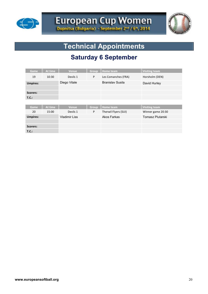



# **Technical Appointments**

# **Saturday 6 September**

| Game            | At time | <b>Venue</b>         | Group        | Home team               | <b>Visiting team</b> |
|-----------------|---------|----------------------|--------------|-------------------------|----------------------|
| 19              | 10:30   | Devils 1             | P            | Les Comanches (FRA)     | Horsholm (DEN)       |
| <b>Umpires:</b> |         | Diego Vitale         |              | <b>Branislav Susila</b> | David Hurley         |
|                 |         |                      |              |                         |                      |
| Scorers:        |         |                      |              |                         |                      |
| T.C.:           |         |                      |              |                         |                      |
|                 |         |                      |              |                         |                      |
| Game            | At time | Venue                | <b>Group</b> | <b>Home team</b>        | <b>Visiting team</b> |
| 20              | 15:00   | Devils 1             | P            | Therwil Flyers (SUI)    | Winner game 20:30    |
| <b>Umpires:</b> |         | <b>Vladimir Liss</b> |              | Akos Farkas             | Tomasz Plutarski     |
|                 |         |                      |              |                         |                      |
| Scorers:        |         |                      |              |                         |                      |
| T.C.:           |         |                      |              |                         |                      |